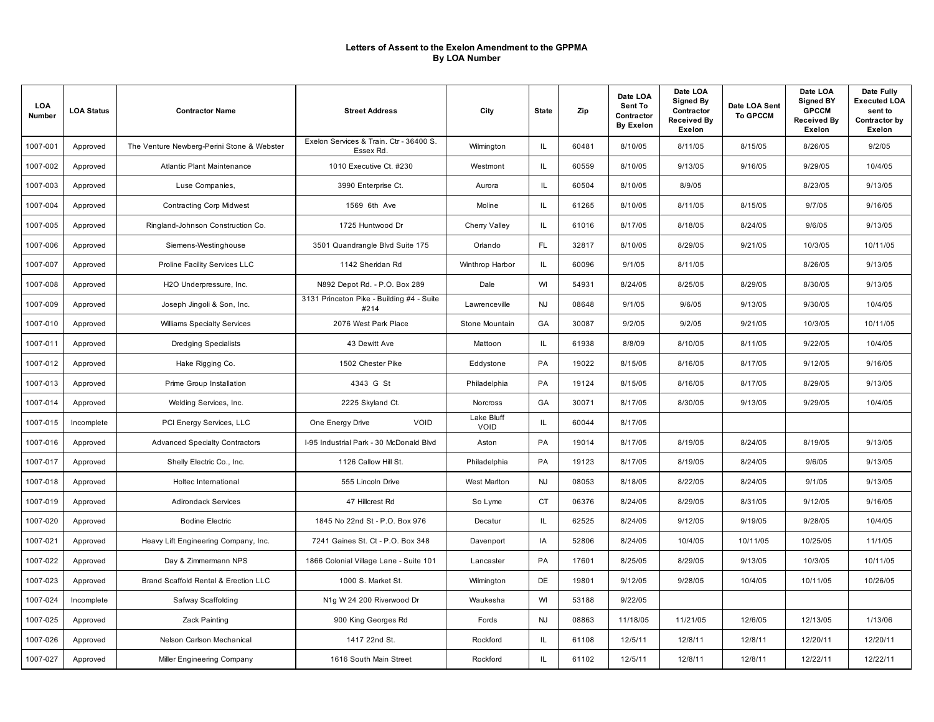| <b>LOA</b><br>Number | <b>LOA Status</b> | <b>Contractor Name</b>                     | <b>Street Address</b>                                | City                      | <b>State</b> | Zip   | Date LOA<br>Sent To<br>Contractor<br><b>By Exelon</b> | Date LOA<br><b>Signed By</b><br>Contractor<br><b>Received By</b><br>Exelon | Date LOA Sent<br><b>To GPCCM</b> | Date LOA<br><b>Signed BY</b><br><b>GPCCM</b><br><b>Received By</b><br>Exelon | Date Fully<br><b>Executed LOA</b><br>sent to<br>Contractor by<br>Exelon |
|----------------------|-------------------|--------------------------------------------|------------------------------------------------------|---------------------------|--------------|-------|-------------------------------------------------------|----------------------------------------------------------------------------|----------------------------------|------------------------------------------------------------------------------|-------------------------------------------------------------------------|
| 1007-001             | Approved          | The Venture Newberg-Perini Stone & Webster | Exelon Services & Train. Ctr - 36400 S.<br>Essex Rd. | Wilmington                | IL           | 60481 | 8/10/05                                               | 8/11/05                                                                    | 8/15/05                          | 8/26/05                                                                      | 9/2/05                                                                  |
| 1007-002             | Approved          | Atlantic Plant Maintenance                 | 1010 Executive Ct. #230                              | Westmont                  | IL.          | 60559 | 8/10/05                                               | 9/13/05                                                                    | 9/16/05                          | 9/29/05                                                                      | 10/4/05                                                                 |
| 1007-003             | Approved          | Luse Companies,                            | 3990 Enterprise Ct.                                  | Aurora                    | IL           | 60504 | 8/10/05                                               | 8/9/05                                                                     |                                  | 8/23/05                                                                      | 9/13/05                                                                 |
| 1007-004             | Approved          | <b>Contracting Corp Midwest</b>            | 1569 6th Ave                                         | Moline                    | IL           | 61265 | 8/10/05                                               | 8/11/05                                                                    | 8/15/05                          | 9/7/05                                                                       | 9/16/05                                                                 |
| 1007-005             | Approved          | Ringland-Johnson Construction Co.          | 1725 Huntwood Dr                                     | Cherry Valley             | IL           | 61016 | 8/17/05                                               | 8/18/05                                                                    | 8/24/05                          | 9/6/05                                                                       | 9/13/05                                                                 |
| 1007-006             | Approved          | Siemens-Westinghouse                       | 3501 Quandrangle Blvd Suite 175                      | Orlando                   | <b>FL</b>    | 32817 | 8/10/05                                               | 8/29/05                                                                    | 9/21/05                          | 10/3/05                                                                      | 10/11/05                                                                |
| 1007-007             | Approved          | Proline Facility Services LLC              | 1142 Sheridan Rd                                     | Winthrop Harbor           | IL.          | 60096 | 9/1/05                                                | 8/11/05                                                                    |                                  | 8/26/05                                                                      | 9/13/05                                                                 |
| 1007-008             | Approved          | H2O Underpressure, Inc.                    | N892 Depot Rd. - P.O. Box 289                        | Dale                      | WI           | 54931 | 8/24/05                                               | 8/25/05                                                                    | 8/29/05                          | 8/30/05                                                                      | 9/13/05                                                                 |
| 1007-009             | Approved          | Joseph Jingoli & Son, Inc.                 | 3131 Princeton Pike - Building #4 - Suite<br>#214    | Lawrenceville             | <b>NJ</b>    | 08648 | 9/1/05                                                | 9/6/05                                                                     | 9/13/05                          | 9/30/05                                                                      | 10/4/05                                                                 |
| 1007-010             | Approved          | <b>Williams Specialty Services</b>         | 2076 West Park Place                                 | Stone Mountain            | GA           | 30087 | 9/2/05                                                | 9/2/05                                                                     | 9/21/05                          | 10/3/05                                                                      | 10/11/05                                                                |
| 1007-011             | Approved          | <b>Dredging Specialists</b>                | 43 Dewitt Ave                                        | Mattoon                   | IL.          | 61938 | 8/8/09                                                | 8/10/05                                                                    | 8/11/05                          | 9/22/05                                                                      | 10/4/05                                                                 |
| 1007-012             | Approved          | Hake Rigging Co.                           | 1502 Chester Pike                                    | Eddystone                 | PA           | 19022 | 8/15/05                                               | 8/16/05                                                                    | 8/17/05                          | 9/12/05                                                                      | 9/16/05                                                                 |
| 1007-013             | Approved          | Prime Group Installation                   | 4343 G St                                            | Philadelphia              | PA           | 19124 | 8/15/05                                               | 8/16/05                                                                    | 8/17/05                          | 8/29/05                                                                      | 9/13/05                                                                 |
| 1007-014             | Approved          | Welding Services, Inc.                     | 2225 Skyland Ct.                                     | Norcross                  | GA           | 30071 | 8/17/05                                               | 8/30/05                                                                    | 9/13/05                          | 9/29/05                                                                      | 10/4/05                                                                 |
| 1007-015             | Incomplete        | PCI Energy Services, LLC                   | One Energy Drive<br>VOID                             | Lake Bluff<br><b>VOID</b> | IL.          | 60044 | 8/17/05                                               |                                                                            |                                  |                                                                              |                                                                         |
| 1007-016             | Approved          | <b>Advanced Specialty Contractors</b>      | I-95 Industrial Park - 30 McDonald Blvd              | Aston                     | PA           | 19014 | 8/17/05                                               | 8/19/05                                                                    | 8/24/05                          | 8/19/05                                                                      | 9/13/05                                                                 |
| 1007-017             | Approved          | Shelly Electric Co., Inc.                  | 1126 Callow Hill St.                                 | Philadelphia              | PA           | 19123 | 8/17/05                                               | 8/19/05                                                                    | 8/24/05                          | 9/6/05                                                                       | 9/13/05                                                                 |
| 1007-018             | Approved          | Holtec International                       | 555 Lincoln Drive                                    | <b>West Marlton</b>       | <b>NJ</b>    | 08053 | 8/18/05                                               | 8/22/05                                                                    | 8/24/05                          | 9/1/05                                                                       | 9/13/05                                                                 |
| 1007-019             | Approved          | <b>Adirondack Services</b>                 | 47 Hillcrest Rd                                      | So Lyme                   | <b>CT</b>    | 06376 | 8/24/05                                               | 8/29/05                                                                    | 8/31/05                          | 9/12/05                                                                      | 9/16/05                                                                 |
| 1007-020             | Approved          | <b>Bodine Electric</b>                     | 1845 No 22nd St - P.O. Box 976                       | Decatur                   | IL.          | 62525 | 8/24/05                                               | 9/12/05                                                                    | 9/19/05                          | 9/28/05                                                                      | 10/4/05                                                                 |
| 1007-021             | Approved          | Heavy Lift Engineering Company, Inc.       | 7241 Gaines St. Ct - P.O. Box 348                    | Davenport                 | IA           | 52806 | 8/24/05                                               | 10/4/05                                                                    | 10/11/05                         | 10/25/05                                                                     | 11/1/05                                                                 |
| 1007-022             | Approved          | Day & Zimmermann NPS                       | 1866 Colonial Village Lane - Suite 101               | Lancaster                 | <b>PA</b>    | 17601 | 8/25/05                                               | 8/29/05                                                                    | 9/13/05                          | 10/3/05                                                                      | 10/11/05                                                                |
| 1007-023             | Approved          | Brand Scaffold Rental & Erection LLC       | 1000 S. Market St.                                   | Wilmington                | DE           | 19801 | 9/12/05                                               | 9/28/05                                                                    | 10/4/05                          | 10/11/05                                                                     | 10/26/05                                                                |
| 1007-024             | Incomplete        | Safway Scaffolding                         | N1g W 24 200 Riverwood Dr                            | Waukesha                  | WI           | 53188 | 9/22/05                                               |                                                                            |                                  |                                                                              |                                                                         |
| 1007-025             | Approved          | Zack Painting                              | 900 King Georges Rd                                  | Fords                     | <b>NJ</b>    | 08863 | 11/18/05                                              | 11/21/05                                                                   | 12/6/05                          | 12/13/05                                                                     | 1/13/06                                                                 |
| 1007-026             | Approved          | Nelson Carlson Mechanical                  | 1417 22nd St.                                        | Rockford                  | IL.          | 61108 | 12/5/11                                               | 12/8/11                                                                    | 12/8/11                          | 12/20/11                                                                     | 12/20/11                                                                |
| 1007-027             | Approved          | Miller Engineering Company                 | 1616 South Main Street                               | Rockford                  | IL           | 61102 | 12/5/11                                               | 12/8/11                                                                    | 12/8/11                          | 12/22/11                                                                     | 12/22/11                                                                |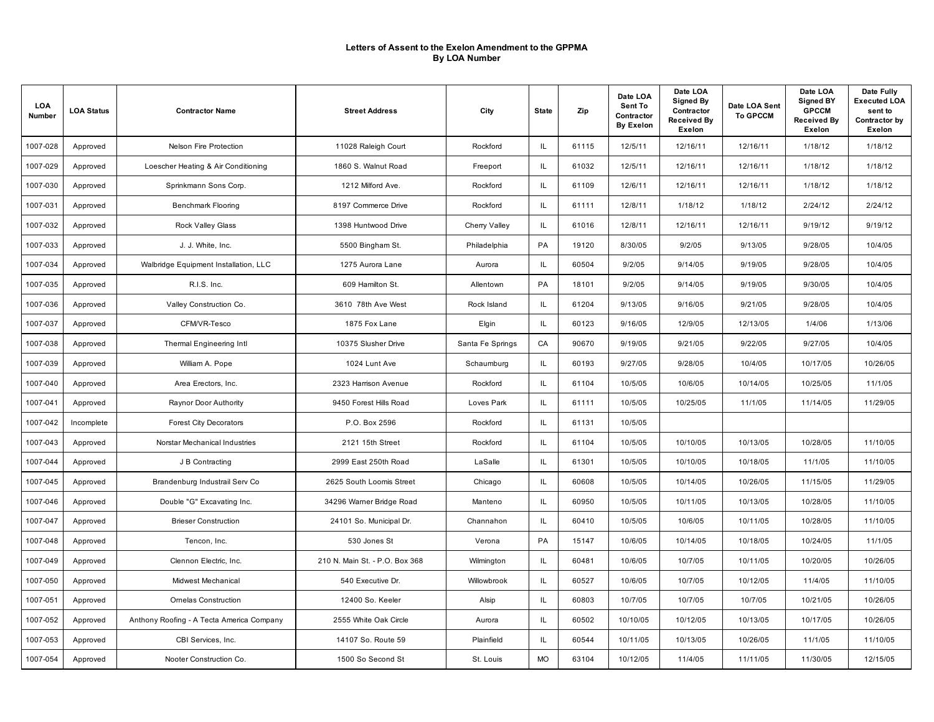| LOA<br>Number | <b>LOA Status</b> | <b>Contractor Name</b>                    | <b>Street Address</b>          | City             | <b>State</b> | Zip   | Date LOA<br>Sent To<br>Contractor<br><b>By Exelon</b> | Date LOA<br><b>Signed By</b><br>Contractor<br><b>Received By</b><br>Exelon | Date LOA Sent<br><b>To GPCCM</b> | Date LOA<br><b>Signed BY</b><br><b>GPCCM</b><br><b>Received By</b><br>Exelon | Date Fully<br><b>Executed LOA</b><br>sent to<br>Contractor by<br>Exelon |
|---------------|-------------------|-------------------------------------------|--------------------------------|------------------|--------------|-------|-------------------------------------------------------|----------------------------------------------------------------------------|----------------------------------|------------------------------------------------------------------------------|-------------------------------------------------------------------------|
| 1007-028      | Approved          | Nelson Fire Protection                    | 11028 Raleigh Court            | Rockford         | IL           | 61115 | 12/5/11                                               | 12/16/11                                                                   | 12/16/11                         | 1/18/12                                                                      | 1/18/12                                                                 |
| 1007-029      | Approved          | Loescher Heating & Air Conditioning       | 1860 S. Walnut Road            | Freeport         | IL.          | 61032 | 12/5/11                                               | 12/16/11                                                                   | 12/16/11                         | 1/18/12                                                                      | 1/18/12                                                                 |
| 1007-030      | Approved          | Sprinkmann Sons Corp.                     | 1212 Milford Ave.              | Rockford         | IL.          | 61109 | 12/6/11                                               | 12/16/11                                                                   | 12/16/11                         | 1/18/12                                                                      | 1/18/12                                                                 |
| 1007-031      | Approved          | <b>Benchmark Flooring</b>                 | 8197 Commerce Drive            | Rockford         | IL.          | 61111 | 12/8/11                                               | 1/18/12                                                                    | 1/18/12                          | 2/24/12                                                                      | 2/24/12                                                                 |
| 1007-032      | Approved          | <b>Rock Valley Glass</b>                  | 1398 Huntwood Drive            | Cherry Valley    | IL.          | 61016 | 12/8/11                                               | 12/16/11                                                                   | 12/16/11                         | 9/19/12                                                                      | 9/19/12                                                                 |
| 1007-033      | Approved          | J. J. White, Inc.                         | 5500 Bingham St.               | Philadelphia     | PA           | 19120 | 8/30/05                                               | 9/2/05                                                                     | 9/13/05                          | 9/28/05                                                                      | 10/4/05                                                                 |
| 1007-034      | Approved          | Walbridge Equipment Installation, LLC     | 1275 Aurora Lane               | Aurora           | IL.          | 60504 | 9/2/05                                                | 9/14/05                                                                    | 9/19/05                          | 9/28/05                                                                      | 10/4/05                                                                 |
| 1007-035      | Approved          | R.I.S. Inc.                               | 609 Hamilton St.               | Allentown        | PA           | 18101 | 9/2/05                                                | 9/14/05                                                                    | 9/19/05                          | 9/30/05                                                                      | 10/4/05                                                                 |
| 1007-036      | Approved          | Valley Construction Co.                   | 3610 78th Ave West             | Rock Island      | IL.          | 61204 | 9/13/05                                               | 9/16/05                                                                    | 9/21/05                          | 9/28/05                                                                      | 10/4/05                                                                 |
| 1007-037      | Approved          | CFM/VR-Tesco                              | 1875 Fox Lane                  | Elgin            | IL.          | 60123 | 9/16/05                                               | 12/9/05                                                                    | 12/13/05                         | 1/4/06                                                                       | 1/13/06                                                                 |
| 1007-038      | Approved          | Thermal Engineering Intl                  | 10375 Slusher Drive            | Santa Fe Springs | CA           | 90670 | 9/19/05                                               | 9/21/05                                                                    | 9/22/05                          | 9/27/05                                                                      | 10/4/05                                                                 |
| 1007-039      | Approved          | William A. Pope                           | 1024 Lunt Ave                  | Schaumburg       | IL.          | 60193 | 9/27/05                                               | 9/28/05                                                                    | 10/4/05                          | 10/17/05                                                                     | 10/26/05                                                                |
| 1007-040      | Approved          | Area Erectors, Inc.                       | 2323 Harrison Avenue           | Rockford         | IL.          | 61104 | 10/5/05                                               | 10/6/05                                                                    | 10/14/05                         | 10/25/05                                                                     | 11/1/05                                                                 |
| 1007-041      | Approved          | Raynor Door Authority                     | 9450 Forest Hills Road         | Loves Park       | IL.          | 61111 | 10/5/05                                               | 10/25/05                                                                   | 11/1/05                          | 11/14/05                                                                     | 11/29/05                                                                |
| 1007-042      | Incomplete        | <b>Forest City Decorators</b>             | P.O. Box 2596                  | Rockford         | IL.          | 61131 | 10/5/05                                               |                                                                            |                                  |                                                                              |                                                                         |
| 1007-043      | Approved          | Norstar Mechanical Industries             | 2121 15th Street               | Rockford         | IL.          | 61104 | 10/5/05                                               | 10/10/05                                                                   | 10/13/05                         | 10/28/05                                                                     | 11/10/05                                                                |
| 1007-044      | Approved          | J B Contracting                           | 2999 East 250th Road           | LaSalle          | IL.          | 61301 | 10/5/05                                               | 10/10/05                                                                   | 10/18/05                         | 11/1/05                                                                      | 11/10/05                                                                |
| 1007-045      | Approved          | Brandenburg Industrail Serv Co            | 2625 South Loomis Street       | Chicago          | IL.          | 60608 | 10/5/05                                               | 10/14/05                                                                   | 10/26/05                         | 11/15/05                                                                     | 11/29/05                                                                |
| 1007-046      | Approved          | Double "G" Excavating Inc.                | 34296 Warner Bridge Road       | Manteno          | IL.          | 60950 | 10/5/05                                               | 10/11/05                                                                   | 10/13/05                         | 10/28/05                                                                     | 11/10/05                                                                |
| 1007-047      | Approved          | <b>Brieser Construction</b>               | 24101 So. Municipal Dr.        | Channahon        | IL.          | 60410 | 10/5/05                                               | 10/6/05                                                                    | 10/11/05                         | 10/28/05                                                                     | 11/10/05                                                                |
| 1007-048      | Approved          | Tencon, Inc.                              | 530 Jones St                   | Verona           | PA           | 15147 | 10/6/05                                               | 10/14/05                                                                   | 10/18/05                         | 10/24/05                                                                     | 11/1/05                                                                 |
| 1007-049      | Approved          | Clennon Electric. Inc.                    | 210 N. Main St. - P.O. Box 368 | Wilmington       | IL.          | 60481 | 10/6/05                                               | 10/7/05                                                                    | 10/11/05                         | 10/20/05                                                                     | 10/26/05                                                                |
| 1007-050      | Approved          | Midwest Mechanical                        | 540 Executive Dr.              | Willowbrook      | IL.          | 60527 | 10/6/05                                               | 10/7/05                                                                    | 10/12/05                         | 11/4/05                                                                      | 11/10/05                                                                |
| 1007-051      | Approved          | <b>Omelas Construction</b>                | 12400 So. Keeler               | Alsip            | IL.          | 60803 | 10/7/05                                               | 10/7/05                                                                    | 10/7/05                          | 10/21/05                                                                     | 10/26/05                                                                |
| 1007-052      | Approved          | Anthony Roofing - A Tecta America Company | 2555 White Oak Circle          | Aurora           | IL           | 60502 | 10/10/05                                              | 10/12/05                                                                   | 10/13/05                         | 10/17/05                                                                     | 10/26/05                                                                |
| 1007-053      | Approved          | CBI Services, Inc.                        | 14107 So. Route 59             | Plainfield       | IL.          | 60544 | 10/11/05                                              | 10/13/05                                                                   | 10/26/05                         | 11/1/05                                                                      | 11/10/05                                                                |
| 1007-054      | Approved          | Nooter Construction Co.                   | 1500 So Second St              | St. Louis        | <b>MO</b>    | 63104 | 10/12/05                                              | 11/4/05                                                                    | 11/11/05                         | 11/30/05                                                                     | 12/15/05                                                                |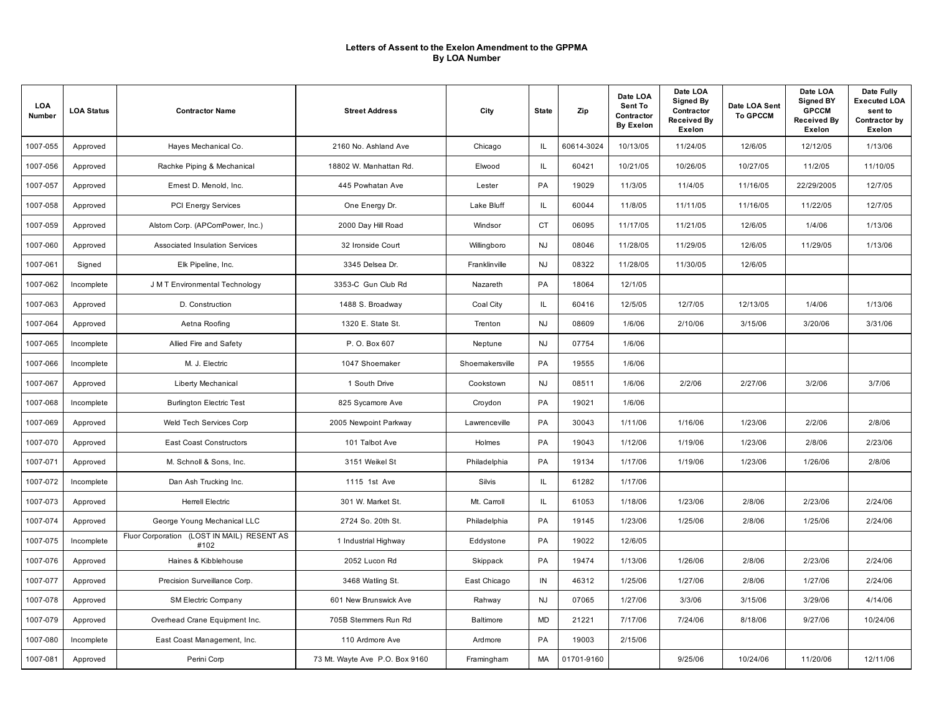| LOA<br>Number | <b>LOA Status</b> | <b>Contractor Name</b>                                | <b>Street Address</b>          | City            | <b>State</b> | Zip        | Date LOA<br>Sent To<br>Contractor<br><b>By Exelon</b> | Date LOA<br>Signed By<br>Contractor<br><b>Received By</b><br>Exelon | Date LOA Sent<br><b>To GPCCM</b> | Date LOA<br><b>Signed BY</b><br><b>GPCCM</b><br><b>Received By</b><br><b>Exelon</b> | Date Fully<br><b>Executed LOA</b><br>sent to<br>Contractor by<br>Exelon |
|---------------|-------------------|-------------------------------------------------------|--------------------------------|-----------------|--------------|------------|-------------------------------------------------------|---------------------------------------------------------------------|----------------------------------|-------------------------------------------------------------------------------------|-------------------------------------------------------------------------|
| 1007-055      | Approved          | Hayes Mechanical Co.                                  | 2160 No. Ashland Ave           | Chicago         | IL.          | 60614-3024 | 10/13/05                                              | 11/24/05                                                            | 12/6/05                          | 12/12/05                                                                            | 1/13/06                                                                 |
| 1007-056      | Approved          | Rachke Piping & Mechanical                            | 18802 W. Manhattan Rd.         | Elwood          | IL           | 60421      | 10/21/05                                              | 10/26/05                                                            | 10/27/05                         | 11/2/05                                                                             | 11/10/05                                                                |
| 1007-057      | Approved          | Ernest D. Menold, Inc.                                | 445 Powhatan Ave               | Lester          | PA           | 19029      | 11/3/05                                               | 11/4/05                                                             | 11/16/05                         | 22/29/2005                                                                          | 12/7/05                                                                 |
| 1007-058      | Approved          | PCI Energy Services                                   | One Energy Dr.                 | Lake Bluff      | IL           | 60044      | 11/8/05                                               | 11/11/05                                                            | 11/16/05                         | 11/22/05                                                                            | 12/7/05                                                                 |
| 1007-059      | Approved          | Alstom Corp. (APComPower, Inc.)                       | 2000 Day Hill Road             | Windsor         | <b>CT</b>    | 06095      | 11/17/05                                              | 11/21/05                                                            | 12/6/05                          | 1/4/06                                                                              | 1/13/06                                                                 |
| 1007-060      | Approved          | Associated Insulation Services                        | 32 Ironside Court              | Willingboro     | <b>NJ</b>    | 08046      | 11/28/05                                              | 11/29/05                                                            | 12/6/05                          | 11/29/05                                                                            | 1/13/06                                                                 |
| 1007-061      | Signed            | Elk Pipeline, Inc.                                    | 3345 Delsea Dr.                | Franklinville   | <b>NJ</b>    | 08322      | 11/28/05                                              | 11/30/05                                                            | 12/6/05                          |                                                                                     |                                                                         |
| 1007-062      | Incomplete        | J M T Environmental Technology                        | 3353-C Gun Club Rd             | Nazareth        | PA           | 18064      | 12/1/05                                               |                                                                     |                                  |                                                                                     |                                                                         |
| 1007-063      | Approved          | D. Construction                                       | 1488 S. Broadway               | Coal City       | IL.          | 60416      | 12/5/05                                               | 12/7/05                                                             | 12/13/05                         | 1/4/06                                                                              | 1/13/06                                                                 |
| 1007-064      | Approved          | Aetna Roofing                                         | 1320 E. State St.              | Trenton         | <b>NJ</b>    | 08609      | 1/6/06                                                | 2/10/06                                                             | 3/15/06                          | 3/20/06                                                                             | 3/31/06                                                                 |
| 1007-065      | Incomplete        | Allied Fire and Safety                                | P. O. Box 607                  | Neptune         | <b>NJ</b>    | 07754      | 1/6/06                                                |                                                                     |                                  |                                                                                     |                                                                         |
| 1007-066      | Incomplete        | M. J. Electric                                        | 1047 Shoemaker                 | Shoemakersville | PA           | 19555      | 1/6/06                                                |                                                                     |                                  |                                                                                     |                                                                         |
| 1007-067      | Approved          | Liberty Mechanical                                    | 1 South Drive                  | Cookstown       | <b>NJ</b>    | 08511      | 1/6/06                                                | 2/2/06                                                              | 2/27/06                          | 3/2/06                                                                              | 3/7/06                                                                  |
| 1007-068      | Incomplete        | <b>Burlington Electric Test</b>                       | 825 Sycamore Ave               | Croydon         | PA           | 19021      | 1/6/06                                                |                                                                     |                                  |                                                                                     |                                                                         |
| 1007-069      | Approved          | Weld Tech Services Corp                               | 2005 Newpoint Parkway          | Lawrenceville   | PA           | 30043      | 1/11/06                                               | 1/16/06                                                             | 1/23/06                          | 2/2/06                                                                              | 2/8/06                                                                  |
| 1007-070      | Approved          | <b>East Coast Constructors</b>                        | 101 Talbot Ave                 | Holmes          | PA           | 19043      | 1/12/06                                               | 1/19/06                                                             | 1/23/06                          | 2/8/06                                                                              | 2/23/06                                                                 |
| 1007-071      | Approved          | M. Schnoll & Sons, Inc.                               | 3151 Weikel St                 | Philadelphia    | PA           | 19134      | 1/17/06                                               | 1/19/06                                                             | 1/23/06                          | 1/26/06                                                                             | 2/8/06                                                                  |
| 1007-072      | Incomplete        | Dan Ash Trucking Inc.                                 | 1115 1st Ave                   | Silvis          | IL.          | 61282      | 1/17/06                                               |                                                                     |                                  |                                                                                     |                                                                         |
| 1007-073      | Approved          | <b>Herrell Electric</b>                               | 301 W. Market St.              | Mt. Carroll     | IL.          | 61053      | 1/18/06                                               | 1/23/06                                                             | 2/8/06                           | 2/23/06                                                                             | 2/24/06                                                                 |
| 1007-074      | Approved          | George Young Mechanical LLC                           | 2724 So. 20th St.              | Philadelphia    | PA           | 19145      | 1/23/06                                               | 1/25/06                                                             | 2/8/06                           | 1/25/06                                                                             | 2/24/06                                                                 |
| 1007-075      | Incomplete        | (LOST IN MAIL) RESENT AS<br>Fluor Corporation<br>#102 | 1 Industrial Highway           | Eddystone       | PA           | 19022      | 12/6/05                                               |                                                                     |                                  |                                                                                     |                                                                         |
| 1007-076      | Approved          | Haines & Kibblehouse                                  | 2052 Lucon Rd                  | Skippack        | PA           | 19474      | 1/13/06                                               | 1/26/06                                                             | 2/8/06                           | 2/23/06                                                                             | 2/24/06                                                                 |
| 1007-077      | Approved          | Precision Surveillance Corp.                          | 3468 Watling St.               | East Chicago    | IN           | 46312      | 1/25/06                                               | 1/27/06                                                             | 2/8/06                           | 1/27/06                                                                             | 2/24/06                                                                 |
| 1007-078      | Approved          | <b>SM Electric Company</b>                            | 601 New Brunswick Ave          | Rahway          | <b>NJ</b>    | 07065      | 1/27/06                                               | 3/3/06                                                              | 3/15/06                          | 3/29/06                                                                             | 4/14/06                                                                 |
| 1007-079      | Approved          | Overhead Crane Equipment Inc.                         | 705B Stemmers Run Rd           | Baltimore       | <b>MD</b>    | 21221      | 7/17/06                                               | 7/24/06                                                             | 8/18/06                          | 9/27/06                                                                             | 10/24/06                                                                |
| 1007-080      | Incomplete        | East Coast Management, Inc.                           | 110 Ardmore Ave                | Ardmore         | <b>PA</b>    | 19003      | 2/15/06                                               |                                                                     |                                  |                                                                                     |                                                                         |
| 1007-081      | Approved          | Perini Corp                                           | 73 Mt. Wayte Ave P.O. Box 9160 | Framingham      | <b>MA</b>    | 01701-9160 |                                                       | 9/25/06                                                             | 10/24/06                         | 11/20/06                                                                            | 12/11/06                                                                |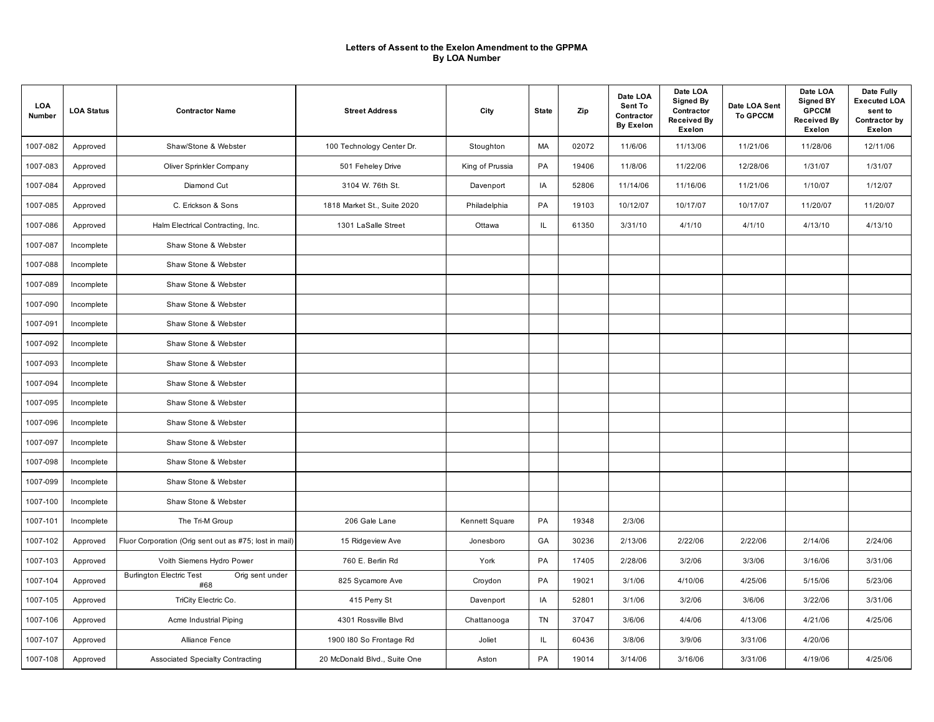| <b>LOA</b><br>Number | <b>LOA Status</b> | <b>Contractor Name</b>                                    | <b>Street Address</b>        | City            | <b>State</b> | Zip   | Date LOA<br>Sent To<br>Contractor<br><b>By Exelon</b> | Date LOA<br><b>Signed By</b><br>Contractor<br><b>Received By</b><br>Exelon | Date LOA Sent<br><b>To GPCCM</b> | Date LOA<br><b>Signed BY</b><br><b>GPCCM</b><br><b>Received By</b><br>Exelon | Date Fully<br><b>Executed LOA</b><br>sent to<br>Contractor by<br>Exelon |
|----------------------|-------------------|-----------------------------------------------------------|------------------------------|-----------------|--------------|-------|-------------------------------------------------------|----------------------------------------------------------------------------|----------------------------------|------------------------------------------------------------------------------|-------------------------------------------------------------------------|
| 1007-082             | Approved          | Shaw/Stone & Webster                                      | 100 Technology Center Dr.    | Stoughton       | MA           | 02072 | 11/6/06                                               | 11/13/06                                                                   | 11/21/06                         | 11/28/06                                                                     | 12/11/06                                                                |
| 1007-083             | Approved          | Oliver Sprinkler Company                                  | 501 Feheley Drive            | King of Prussia | PA           | 19406 | 11/8/06                                               | 11/22/06                                                                   | 12/28/06                         | 1/31/07                                                                      | 1/31/07                                                                 |
| 1007-084             | Approved          | Diamond Cut                                               | 3104 W. 76th St.             | Davenport       | IA           | 52806 | 11/14/06                                              | 11/16/06                                                                   | 11/21/06                         | 1/10/07                                                                      | 1/12/07                                                                 |
| 1007-085             | Approved          | C. Erickson & Sons                                        | 1818 Market St., Suite 2020  | Philadelphia    | PA           | 19103 | 10/12/07                                              | 10/17/07                                                                   | 10/17/07                         | 11/20/07                                                                     | 11/20/07                                                                |
| 1007-086             | Approved          | Halm Electrical Contracting, Inc.                         | 1301 LaSalle Street          | Ottawa          | IL.          | 61350 | 3/31/10                                               | 4/1/10                                                                     | 4/1/10                           | 4/13/10                                                                      | 4/13/10                                                                 |
| 1007-087             | Incomplete        | Shaw Stone & Webster                                      |                              |                 |              |       |                                                       |                                                                            |                                  |                                                                              |                                                                         |
| 1007-088             | Incomplete        | Shaw Stone & Webster                                      |                              |                 |              |       |                                                       |                                                                            |                                  |                                                                              |                                                                         |
| 1007-089             | Incomplete        | Shaw Stone & Webster                                      |                              |                 |              |       |                                                       |                                                                            |                                  |                                                                              |                                                                         |
| 1007-090             | Incomplete        | Shaw Stone & Webster                                      |                              |                 |              |       |                                                       |                                                                            |                                  |                                                                              |                                                                         |
| 1007-091             | Incomplete        | Shaw Stone & Webster                                      |                              |                 |              |       |                                                       |                                                                            |                                  |                                                                              |                                                                         |
| 1007-092             | Incomplete        | Shaw Stone & Webster                                      |                              |                 |              |       |                                                       |                                                                            |                                  |                                                                              |                                                                         |
| 1007-093             | Incomplete        | Shaw Stone & Webster                                      |                              |                 |              |       |                                                       |                                                                            |                                  |                                                                              |                                                                         |
| 1007-094             | Incomplete        | Shaw Stone & Webster                                      |                              |                 |              |       |                                                       |                                                                            |                                  |                                                                              |                                                                         |
| 1007-095             | Incomplete        | Shaw Stone & Webster                                      |                              |                 |              |       |                                                       |                                                                            |                                  |                                                                              |                                                                         |
| 1007-096             | Incomplete        | Shaw Stone & Webster                                      |                              |                 |              |       |                                                       |                                                                            |                                  |                                                                              |                                                                         |
| 1007-097             | Incomplete        | Shaw Stone & Webster                                      |                              |                 |              |       |                                                       |                                                                            |                                  |                                                                              |                                                                         |
| 1007-098             | Incomplete        | Shaw Stone & Webster                                      |                              |                 |              |       |                                                       |                                                                            |                                  |                                                                              |                                                                         |
| 1007-099             | Incomplete        | Shaw Stone & Webster                                      |                              |                 |              |       |                                                       |                                                                            |                                  |                                                                              |                                                                         |
| 1007-100             | Incomplete        | Shaw Stone & Webster                                      |                              |                 |              |       |                                                       |                                                                            |                                  |                                                                              |                                                                         |
| 1007-101             | Incomplete        | The Tri-M Group                                           | 206 Gale Lane                | Kennett Square  | PA           | 19348 | 2/3/06                                                |                                                                            |                                  |                                                                              |                                                                         |
| 1007-102             | Approved          | Fluor Corporation (Orig sent out as #75; lost in mail)    | 15 Ridgeview Ave             | Jonesboro       | GA           | 30236 | 2/13/06                                               | 2/22/06                                                                    | 2/22/06                          | 2/14/06                                                                      | 2/24/06                                                                 |
| 1007-103             | Approved          | Voith Siemens Hydro Power                                 | 760 E. Berlin Rd             | York            | PA           | 17405 | 2/28/06                                               | 3/2/06                                                                     | 3/3/06                           | 3/16/06                                                                      | 3/31/06                                                                 |
| 1007-104             | Approved          | <b>Burlington Electric Test</b><br>Orig sent under<br>#68 | 825 Sycamore Ave             | Croydon         | PA           | 19021 | 3/1/06                                                | 4/10/06                                                                    | 4/25/06                          | 5/15/06                                                                      | 5/23/06                                                                 |
| 1007-105             | Approved          | TriCity Electric Co.                                      | 415 Perry St                 | Davenport       | IA           | 52801 | 3/1/06                                                | 3/2/06                                                                     | 3/6/06                           | 3/22/06                                                                      | 3/31/06                                                                 |
| 1007-106             | Approved          | Acme Industrial Piping                                    | 4301 Rossville Blvd          | Chattanooga     | TN           | 37047 | 3/6/06                                                | 4/4/06                                                                     | 4/13/06                          | 4/21/06                                                                      | 4/25/06                                                                 |
| 1007-107             | Approved          | Alliance Fence                                            | 1900 I80 So Frontage Rd      | Joliet          | IL           | 60436 | 3/8/06                                                | 3/9/06                                                                     | 3/31/06                          | 4/20/06                                                                      |                                                                         |
| 1007-108             | Approved          | <b>Associated Specialty Contracting</b>                   | 20 McDonald Blvd., Suite One | Aston           | PA           | 19014 | 3/14/06                                               | 3/16/06                                                                    | 3/31/06                          | 4/19/06                                                                      | 4/25/06                                                                 |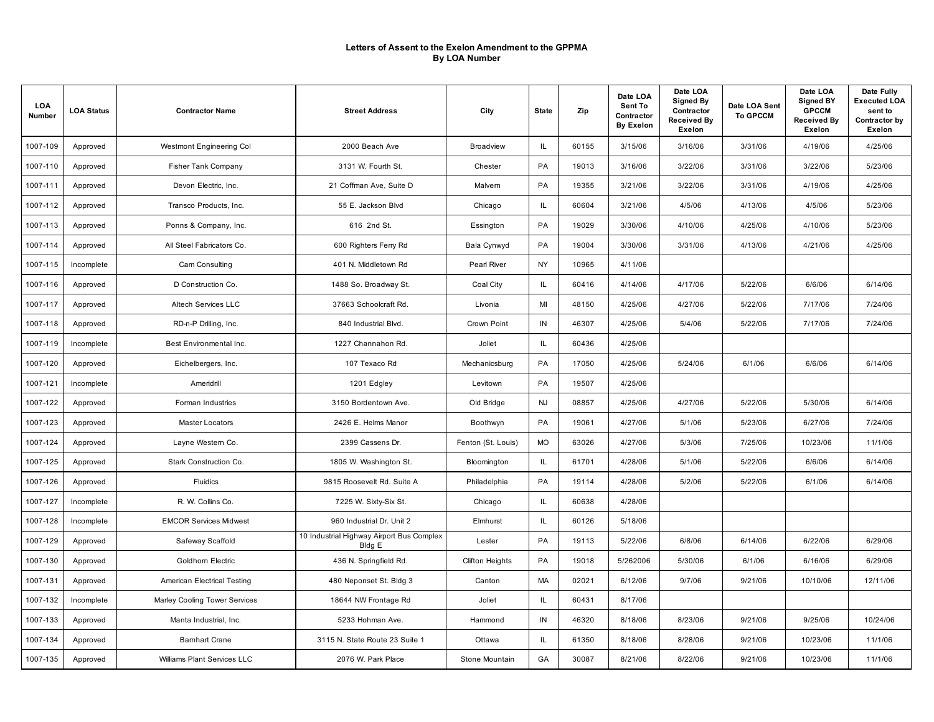| <b>LOA</b><br>Number | <b>LOA Status</b> | <b>Contractor Name</b>        | <b>Street Address</b>                               | City                   | <b>State</b>  | Zip   | Date LOA<br>Sent To<br>Contractor<br><b>By Exelon</b> | Date LOA<br><b>Signed By</b><br>Contractor<br><b>Received By</b><br>Exelon | Date LOA Sent<br><b>To GPCCM</b> | Date LOA<br><b>Signed BY</b><br><b>GPCCM</b><br><b>Received By</b><br>Exelon | Date Fully<br><b>Executed LOA</b><br>sent to<br>Contractor by<br>Exelon |
|----------------------|-------------------|-------------------------------|-----------------------------------------------------|------------------------|---------------|-------|-------------------------------------------------------|----------------------------------------------------------------------------|----------------------------------|------------------------------------------------------------------------------|-------------------------------------------------------------------------|
| 1007-109             | Approved          | Westmont Engineering Col      | 2000 Beach Ave                                      | <b>Broadview</b>       | IL.           | 60155 | 3/15/06                                               | 3/16/06                                                                    | 3/31/06                          | 4/19/06                                                                      | 4/25/06                                                                 |
| 1007-110             | Approved          | <b>Fisher Tank Company</b>    | 3131 W. Fourth St.                                  | Chester                | PA            | 19013 | 3/16/06                                               | 3/22/06                                                                    | 3/31/06                          | 3/22/06                                                                      | 5/23/06                                                                 |
| 1007-111             | Approved          | Devon Electric, Inc.          | 21 Coffman Ave, Suite D                             | Malvern                | PA            | 19355 | 3/21/06                                               | 3/22/06                                                                    | 3/31/06                          | 4/19/06                                                                      | 4/25/06                                                                 |
| 1007-112             | Approved          | Transco Products, Inc.        | 55 E. Jackson Blvd                                  | Chicago                | $\mathsf{IL}$ | 60604 | 3/21/06                                               | 4/5/06                                                                     | 4/13/06                          | 4/5/06                                                                       | 5/23/06                                                                 |
| 1007-113             | Approved          | Ponns & Company, Inc.         | 616 2nd St.                                         | Essington              | PA            | 19029 | 3/30/06                                               | 4/10/06                                                                    | 4/25/06                          | 4/10/06                                                                      | 5/23/06                                                                 |
| 1007-114             | Approved          | All Steel Fabricators Co.     | 600 Righters Ferry Rd                               | Bala Cynwyd            | PA            | 19004 | 3/30/06                                               | 3/31/06                                                                    | 4/13/06                          | 4/21/06                                                                      | 4/25/06                                                                 |
| 1007-115             | Incomplete        | Cam Consulting                | 401 N. Middletown Rd                                | Pearl River            | NY            | 10965 | 4/11/06                                               |                                                                            |                                  |                                                                              |                                                                         |
| 1007-116             | Approved          | D Construction Co.            | 1488 So. Broadway St.                               | Coal City              | IL.           | 60416 | 4/14/06                                               | 4/17/06                                                                    | 5/22/06                          | 6/6/06                                                                       | 6/14/06                                                                 |
| 1007-117             | Approved          | Altech Services LLC           | 37663 Schoolcraft Rd.                               | Livonia                | MI            | 48150 | 4/25/06                                               | 4/27/06                                                                    | 5/22/06                          | 7/17/06                                                                      | 7/24/06                                                                 |
| 1007-118             | Approved          | RD-n-P Drilling, Inc.         | 840 Industrial Blvd.                                | Crown Point            | IN            | 46307 | 4/25/06                                               | 5/4/06                                                                     | 5/22/06                          | 7/17/06                                                                      | 7/24/06                                                                 |
| 1007-119             | Incomplete        | Best Environmental Inc.       | 1227 Channahon Rd.                                  | Joliet                 | IL.           | 60436 | 4/25/06                                               |                                                                            |                                  |                                                                              |                                                                         |
| 1007-120             | Approved          | Eichelbergers, Inc.           | 107 Texaco Rd                                       | Mechanicsburg          | PA            | 17050 | 4/25/06                                               | 5/24/06                                                                    | 6/1/06                           | 6/6/06                                                                       | 6/14/06                                                                 |
| 1007-121             | Incomplete        | Ameridrill                    | 1201 Edgley                                         | Levitown               | PA            | 19507 | 4/25/06                                               |                                                                            |                                  |                                                                              |                                                                         |
| 1007-122             | Approved          | Forman Industries             | 3150 Bordentown Ave.                                | Old Bridge             | <b>NJ</b>     | 08857 | 4/25/06                                               | 4/27/06                                                                    | 5/22/06                          | 5/30/06                                                                      | 6/14/06                                                                 |
| 1007-123             | Approved          | Master Locators               | 2426 E. Helms Manor                                 | Boothwyn               | PA            | 19061 | 4/27/06                                               | 5/1/06                                                                     | 5/23/06                          | 6/27/06                                                                      | 7/24/06                                                                 |
| 1007-124             | Approved          | Layne Western Co.             | 2399 Cassens Dr.                                    | Fenton (St. Louis)     | <b>MO</b>     | 63026 | 4/27/06                                               | 5/3/06                                                                     | 7/25/06                          | 10/23/06                                                                     | 11/1/06                                                                 |
| 1007-125             | Approved          | Stark Construction Co.        | 1805 W. Washington St.                              | Bloomington            | IL.           | 61701 | 4/28/06                                               | 5/1/06                                                                     | 5/22/06                          | 6/6/06                                                                       | 6/14/06                                                                 |
| 1007-126             | Approved          | Fluidics                      | 9815 Roosevelt Rd. Suite A                          | Philadelphia           | PA            | 19114 | 4/28/06                                               | 5/2/06                                                                     | 5/22/06                          | 6/1/06                                                                       | 6/14/06                                                                 |
| 1007-127             | Incomplete        | R. W. Collins Co.             | 7225 W. Sixty-Six St.                               | Chicago                | IL.           | 60638 | 4/28/06                                               |                                                                            |                                  |                                                                              |                                                                         |
| 1007-128             | Incomplete        | <b>EMCOR Services Midwest</b> | 960 Industrial Dr. Unit 2                           | Elmhurst               | IL.           | 60126 | 5/18/06                                               |                                                                            |                                  |                                                                              |                                                                         |
| 1007-129             | Approved          | Safeway Scaffold              | 10 Industrial Highway Airport Bus Complex<br>Bldg E | Lester                 | PA            | 19113 | 5/22/06                                               | 6/8/06                                                                     | 6/14/06                          | 6/22/06                                                                      | 6/29/06                                                                 |
| 1007-130             | Approved          | Goldhorn Electric             | 436 N. Springfield Rd.                              | <b>Clifton Heights</b> | PA            | 19018 | 5/262006                                              | 5/30/06                                                                    | 6/1/06                           | 6/16/06                                                                      | 6/29/06                                                                 |
| 1007-131             | Approved          | American Electrical Testing   | 480 Neponset St. Bldg 3                             | Canton                 | MA            | 02021 | 6/12/06                                               | 9/7/06                                                                     | 9/21/06                          | 10/10/06                                                                     | 12/11/06                                                                |
| 1007-132             | Incomplete        | Marley Cooling Tower Services | 18644 NW Frontage Rd                                | Joliet                 | IL            | 60431 | 8/17/06                                               |                                                                            |                                  |                                                                              |                                                                         |
| 1007-133             | Approved          | Manta Industrial, Inc.        | 5233 Hohman Ave.                                    | Hammond                | IN            | 46320 | 8/18/06                                               | 8/23/06                                                                    | 9/21/06                          | 9/25/06                                                                      | 10/24/06                                                                |
| 1007-134             | Approved          | <b>Bamhart Crane</b>          | 3115 N. State Route 23 Suite 1                      | Ottawa                 | IL.           | 61350 | 8/18/06                                               | 8/28/06                                                                    | 9/21/06                          | 10/23/06                                                                     | 11/1/06                                                                 |
| 1007-135             | Approved          | Williams Plant Services LLC   | 2076 W. Park Place                                  | Stone Mountain         | GA            | 30087 | 8/21/06                                               | 8/22/06                                                                    | 9/21/06                          | 10/23/06                                                                     | 11/1/06                                                                 |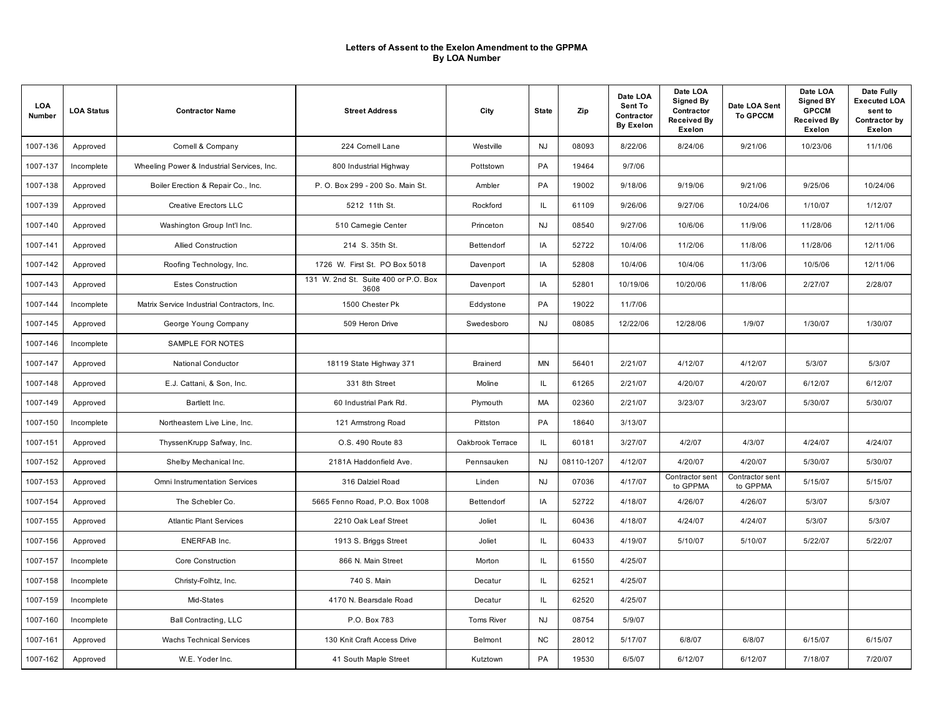| LOA<br>Number | <b>LOA Status</b> | <b>Contractor Name</b>                      | <b>Street Address</b>                        | City              | <b>State</b> | Zip        | Date LOA<br>Sent To<br>Contractor<br><b>By Exelon</b> | Date LOA<br>Signed By<br>Contractor<br><b>Received By</b><br>Exelon | Date LOA Sent<br><b>To GPCCM</b> | Date LOA<br><b>Signed BY</b><br><b>GPCCM</b><br><b>Received By</b><br><b>Exelon</b> | Date Fully<br><b>Executed LOA</b><br>sent to<br>Contractor by<br>Exelon |
|---------------|-------------------|---------------------------------------------|----------------------------------------------|-------------------|--------------|------------|-------------------------------------------------------|---------------------------------------------------------------------|----------------------------------|-------------------------------------------------------------------------------------|-------------------------------------------------------------------------|
| 1007-136      | Approved          | Comell & Company                            | 224 Cornell Lane                             | Westville         | <b>NJ</b>    | 08093      | 8/22/06                                               | 8/24/06                                                             | 9/21/06                          | 10/23/06                                                                            | 11/1/06                                                                 |
| 1007-137      | Incomplete        | Wheeling Power & Industrial Services, Inc.  | 800 Industrial Highway                       | Pottstown         | PA           | 19464      | 9/7/06                                                |                                                                     |                                  |                                                                                     |                                                                         |
| 1007-138      | Approved          | Boiler Erection & Repair Co., Inc.          | P. O. Box 299 - 200 So. Main St.             | Ambler            | PA           | 19002      | 9/18/06                                               | 9/19/06                                                             | 9/21/06                          | 9/25/06                                                                             | 10/24/06                                                                |
| 1007-139      | Approved          | <b>Creative Erectors LLC</b>                | 5212 11th St.                                | Rockford          | IL           | 61109      | 9/26/06                                               | 9/27/06                                                             | 10/24/06                         | 1/10/07                                                                             | 1/12/07                                                                 |
| 1007-140      | Approved          | Washington Group Int'l Inc.                 | 510 Carnegie Center                          | Princeton         | <b>NJ</b>    | 08540      | 9/27/06                                               | 10/6/06                                                             | 11/9/06                          | 11/28/06                                                                            | 12/11/06                                                                |
| 1007-141      | Approved          | Allied Construction                         | 214 S. 35th St.                              | Bettendorf        | IA           | 52722      | 10/4/06                                               | 11/2/06                                                             | 11/8/06                          | 11/28/06                                                                            | 12/11/06                                                                |
| 1007-142      | Approved          | Roofing Technology, Inc.                    | 1726 W. First St. PO Box 5018                | Davenport         | IA           | 52808      | 10/4/06                                               | 10/4/06                                                             | 11/3/06                          | 10/5/06                                                                             | 12/11/06                                                                |
| 1007-143      | Approved          | <b>Estes Construction</b>                   | 131 W. 2nd St. Suite 400 or P.O. Box<br>3608 | Davenport         | IA           | 52801      | 10/19/06                                              | 10/20/06                                                            | 11/8/06                          | 2/27/07                                                                             | 2/28/07                                                                 |
| 1007-144      | Incomplete        | Matrix Service Industrial Contractors, Inc. | 1500 Chester Pk                              | Eddystone         | PA           | 19022      | 11/7/06                                               |                                                                     |                                  |                                                                                     |                                                                         |
| 1007-145      | Approved          | George Young Company                        | 509 Heron Drive                              | Swedesboro        | <b>NJ</b>    | 08085      | 12/22/06                                              | 12/28/06                                                            | 1/9/07                           | 1/30/07                                                                             | 1/30/07                                                                 |
| 1007-146      | Incomplete        | SAMPLE FOR NOTES                            |                                              |                   |              |            |                                                       |                                                                     |                                  |                                                                                     |                                                                         |
| 1007-147      | Approved          | National Conductor                          | 18119 State Highway 371                      | Brainerd          | MN           | 56401      | 2/21/07                                               | 4/12/07                                                             | 4/12/07                          | 5/3/07                                                                              | 5/3/07                                                                  |
| 1007-148      | Approved          | E.J. Cattani, & Son, Inc.                   | 331 8th Street                               | Moline            | IL.          | 61265      | 2/21/07                                               | 4/20/07                                                             | 4/20/07                          | 6/12/07                                                                             | 6/12/07                                                                 |
| 1007-149      | Approved          | Bartlett Inc.                               | 60 Industrial Park Rd.                       | Plymouth          | <b>MA</b>    | 02360      | 2/21/07                                               | 3/23/07                                                             | 3/23/07                          | 5/30/07                                                                             | 5/30/07                                                                 |
| 1007-150      | Incomplete        | Northeastern Live Line, Inc.                | 121 Armstrong Road                           | Pittston          | PA           | 18640      | 3/13/07                                               |                                                                     |                                  |                                                                                     |                                                                         |
| 1007-151      | Approved          | ThyssenKrupp Safway, Inc.                   | O.S. 490 Route 83                            | Oakbrook Terrace  | IL.          | 60181      | 3/27/07                                               | 4/2/07                                                              | 4/3/07                           | 4/24/07                                                                             | 4/24/07                                                                 |
| 1007-152      | Approved          | Shelby Mechanical Inc.                      | 2181A Haddonfield Ave.                       | Pennsauken        | <b>NJ</b>    | 08110-1207 | 4/12/07                                               | 4/20/07                                                             | 4/20/07                          | 5/30/07                                                                             | 5/30/07                                                                 |
| 1007-153      | Approved          | Omni Instrumentation Services               | 316 Dalziel Road                             | Linden            | <b>NJ</b>    | 07036      | 4/17/07                                               | Contractor sent<br>to GPPMA                                         | Contractor sent<br>to GPPMA      | 5/15/07                                                                             | 5/15/07                                                                 |
| 1007-154      | Approved          | The Schebler Co.                            | 5665 Fenno Road, P.O. Box 1008               | Bettendorf        | IA           | 52722      | 4/18/07                                               | 4/26/07                                                             | 4/26/07                          | 5/3/07                                                                              | 5/3/07                                                                  |
| 1007-155      | Approved          | <b>Atlantic Plant Services</b>              | 2210 Oak Leaf Street                         | Joliet            | IL.          | 60436      | 4/18/07                                               | 4/24/07                                                             | 4/24/07                          | 5/3/07                                                                              | 5/3/07                                                                  |
| 1007-156      | Approved          | ENERFAB Inc.                                | 1913 S. Briggs Street                        | Joliet            | IL.          | 60433      | 4/19/07                                               | 5/10/07                                                             | 5/10/07                          | 5/22/07                                                                             | 5/22/07                                                                 |
| 1007-157      | Incomplete        | Core Construction                           | 866 N. Main Street                           | Morton            | IL           | 61550      | 4/25/07                                               |                                                                     |                                  |                                                                                     |                                                                         |
| 1007-158      | Incomplete        | Christy-Folhtz, Inc.                        | 740 S. Main                                  | Decatur           | IL.          | 62521      | 4/25/07                                               |                                                                     |                                  |                                                                                     |                                                                         |
| 1007-159      | Incomplete        | Mid-States                                  | 4170 N. Bearsdale Road                       | Decatur           | IL           | 62520      | 4/25/07                                               |                                                                     |                                  |                                                                                     |                                                                         |
| 1007-160      | Incomplete        | <b>Ball Contracting, LLC</b>                | P.O. Box 783                                 | <b>Toms River</b> | <b>NJ</b>    | 08754      | 5/9/07                                                |                                                                     |                                  |                                                                                     |                                                                         |
| 1007-161      | Approved          | <b>Wachs Technical Services</b>             | 130 Knit Craft Access Drive                  | Belmont           | NC           | 28012      | 5/17/07                                               | 6/8/07                                                              | 6/8/07                           | 6/15/07                                                                             | 6/15/07                                                                 |
| 1007-162      | Approved          | W.E. Yoder Inc.                             | 41 South Maple Street                        | Kutztown          | PA           | 19530      | 6/5/07                                                | 6/12/07                                                             | 6/12/07                          | 7/18/07                                                                             | 7/20/07                                                                 |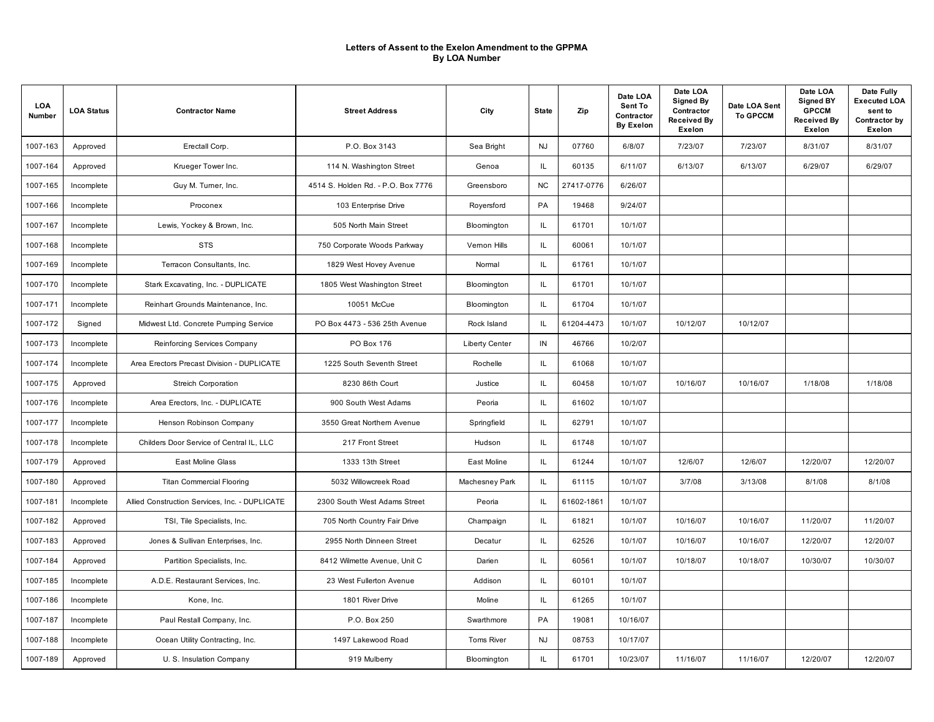| LOA<br>Number | <b>LOA Status</b> | <b>Contractor Name</b>                         | <b>Street Address</b>              | City                  | <b>State</b> | Zip        | Date LOA<br>Sent To<br>Contractor<br><b>By Exelon</b> | Date LOA<br>Signed By<br>Contractor<br><b>Received By</b><br>Exelon | Date LOA Sent<br><b>To GPCCM</b> | Date LOA<br><b>Signed BY</b><br><b>GPCCM</b><br><b>Received By</b><br>Exelon | Date Fully<br><b>Executed LOA</b><br>sent to<br>Contractor by<br>Exelon |
|---------------|-------------------|------------------------------------------------|------------------------------------|-----------------------|--------------|------------|-------------------------------------------------------|---------------------------------------------------------------------|----------------------------------|------------------------------------------------------------------------------|-------------------------------------------------------------------------|
| 1007-163      | Approved          | Erectall Corp.                                 | P.O. Box 3143                      | Sea Bright            | <b>NJ</b>    | 07760      | 6/8/07                                                | 7/23/07                                                             | 7/23/07                          | 8/31/07                                                                      | 8/31/07                                                                 |
| 1007-164      | Approved          | Krueger Tower Inc.                             | 114 N. Washington Street           | Genoa                 | IL           | 60135      | 6/11/07                                               | 6/13/07                                                             | 6/13/07                          | 6/29/07                                                                      | 6/29/07                                                                 |
| 1007-165      | Incomplete        | Guy M. Turner, Inc.                            | 4514 S. Holden Rd. - P.O. Box 7776 | Greensboro            | <b>NC</b>    | 27417-0776 | 6/26/07                                               |                                                                     |                                  |                                                                              |                                                                         |
| 1007-166      | Incomplete        | Proconex                                       | 103 Enterprise Drive               | Royersford            | PA           | 19468      | 9/24/07                                               |                                                                     |                                  |                                                                              |                                                                         |
| 1007-167      | Incomplete        | Lewis, Yockey & Brown, Inc.                    | 505 North Main Street              | Bloomington           | IL.          | 61701      | 10/1/07                                               |                                                                     |                                  |                                                                              |                                                                         |
| 1007-168      | Incomplete        | <b>STS</b>                                     | 750 Corporate Woods Parkway        | Vernon Hills          | IL.          | 60061      | 10/1/07                                               |                                                                     |                                  |                                                                              |                                                                         |
| 1007-169      | Incomplete        | Terracon Consultants, Inc.                     | 1829 West Hovey Avenue             | Normal                | IL.          | 61761      | 10/1/07                                               |                                                                     |                                  |                                                                              |                                                                         |
| 1007-170      | Incomplete        | Stark Excavating, Inc. - DUPLICATE             | 1805 West Washington Street        | Bloomington           | IL.          | 61701      | 10/1/07                                               |                                                                     |                                  |                                                                              |                                                                         |
| 1007-171      | Incomplete        | Reinhart Grounds Maintenance, Inc.             | 10051 McCue                        | Bloomington           | IL.          | 61704      | 10/1/07                                               |                                                                     |                                  |                                                                              |                                                                         |
| 1007-172      | Signed            | Midwest Ltd. Concrete Pumping Service          | PO Box 4473 - 536 25th Avenue      | Rock Island           | IL           | 61204-4473 | 10/1/07                                               | 10/12/07                                                            | 10/12/07                         |                                                                              |                                                                         |
| 1007-173      | Incomplete        | Reinforcing Services Company                   | PO Box 176                         | <b>Liberty Center</b> | IN           | 46766      | 10/2/07                                               |                                                                     |                                  |                                                                              |                                                                         |
| 1007-174      | Incomplete        | Area Erectors Precast Division - DUPLICATE     | 1225 South Seventh Street          | Rochelle              | IL.          | 61068      | 10/1/07                                               |                                                                     |                                  |                                                                              |                                                                         |
| 1007-175      | Approved          | Streich Corporation                            | 8230 86th Court                    | Justice               | IL.          | 60458      | 10/1/07                                               | 10/16/07                                                            | 10/16/07                         | 1/18/08                                                                      | 1/18/08                                                                 |
| 1007-176      | Incomplete        | Area Erectors, Inc. - DUPLICATE                | 900 South West Adams               | Peoria                | IL.          | 61602      | 10/1/07                                               |                                                                     |                                  |                                                                              |                                                                         |
| 1007-177      | Incomplete        | Henson Robinson Company                        | 3550 Great Northern Avenue         | Springfield           | IL.          | 62791      | 10/1/07                                               |                                                                     |                                  |                                                                              |                                                                         |
| 1007-178      | Incomplete        | Childers Door Service of Central IL, LLC       | 217 Front Street                   | Hudson                | IL.          | 61748      | 10/1/07                                               |                                                                     |                                  |                                                                              |                                                                         |
| 1007-179      | Approved          | East Moline Glass                              | 1333 13th Street                   | East Moline           | IL.          | 61244      | 10/1/07                                               | 12/6/07                                                             | 12/6/07                          | 12/20/07                                                                     | 12/20/07                                                                |
| 1007-180      | Approved          | <b>Titan Commercial Flooring</b>               | 5032 Willowcreek Road              | Machesney Park        | IL.          | 61115      | 10/1/07                                               | 3/7/08                                                              | 3/13/08                          | 8/1/08                                                                       | 8/1/08                                                                  |
| 1007-181      | Incomplete        | Allied Construction Services, Inc. - DUPLICATE | 2300 South West Adams Street       | Peoria                | ΙL           | 61602-1861 | 10/1/07                                               |                                                                     |                                  |                                                                              |                                                                         |
| 1007-182      | Approved          | TSI, Tile Specialists, Inc.                    | 705 North Country Fair Drive       | Champaign             | IL           | 61821      | 10/1/07                                               | 10/16/07                                                            | 10/16/07                         | 11/20/07                                                                     | 11/20/07                                                                |
| 1007-183      | Approved          | Jones & Sullivan Enterprises, Inc.             | 2955 North Dinneen Street          | Decatur               | IL           | 62526      | 10/1/07                                               | 10/16/07                                                            | 10/16/07                         | 12/20/07                                                                     | 12/20/07                                                                |
| 1007-184      | Approved          | Partition Specialists, Inc.                    | 8412 Wilmette Avenue, Unit C       | Darien                | IL.          | 60561      | 10/1/07                                               | 10/18/07                                                            | 10/18/07                         | 10/30/07                                                                     | 10/30/07                                                                |
| 1007-185      | Incomplete        | A.D.E. Restaurant Services, Inc.               | 23 West Fullerton Avenue           | Addison               | IL           | 60101      | 10/1/07                                               |                                                                     |                                  |                                                                              |                                                                         |
| 1007-186      | Incomplete        | Kone, Inc.                                     | 1801 River Drive                   | Moline                | IL.          | 61265      | 10/1/07                                               |                                                                     |                                  |                                                                              |                                                                         |
| 1007-187      | Incomplete        | Paul Restall Company, Inc.                     | P.O. Box 250                       | Swarthmore            | PA           | 19081      | 10/16/07                                              |                                                                     |                                  |                                                                              |                                                                         |
| 1007-188      | Incomplete        | Ocean Utility Contracting, Inc.                | 1497 Lakewood Road                 | <b>Toms River</b>     | <b>NJ</b>    | 08753      | 10/17/07                                              |                                                                     |                                  |                                                                              |                                                                         |
| 1007-189      | Approved          | U. S. Insulation Company                       | 919 Mulberry                       | Bloomington           | IL           | 61701      | 10/23/07                                              | 11/16/07                                                            | 11/16/07                         | 12/20/07                                                                     | 12/20/07                                                                |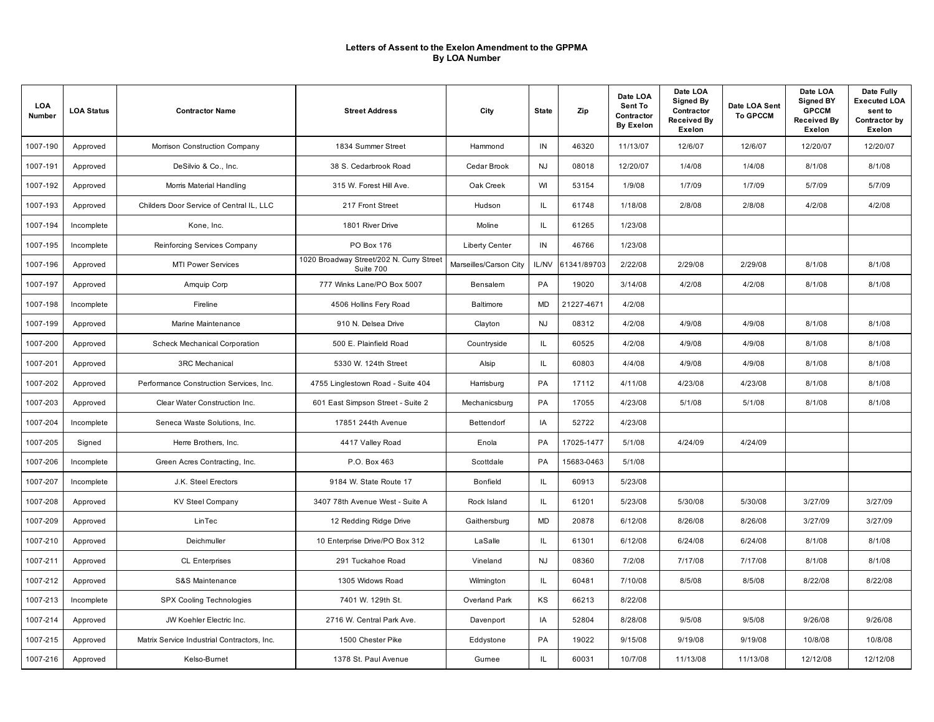| LOA<br>Number | <b>LOA Status</b> | <b>Contractor Name</b>                      | <b>Street Address</b>                                 | City                   | <b>State</b> | Zip         | Date LOA<br>Sent To<br>Contractor<br><b>By Exelon</b> | Date LOA<br>Signed By<br>Contractor<br><b>Received By</b><br>Exelon | Date LOA Sent<br><b>To GPCCM</b> | Date LOA<br><b>Signed BY</b><br><b>GPCCM</b><br><b>Received By</b><br><b>Exelon</b> | Date Fully<br><b>Executed LOA</b><br>sent to<br>Contractor by<br>Exelon |
|---------------|-------------------|---------------------------------------------|-------------------------------------------------------|------------------------|--------------|-------------|-------------------------------------------------------|---------------------------------------------------------------------|----------------------------------|-------------------------------------------------------------------------------------|-------------------------------------------------------------------------|
| 1007-190      | Approved          | Morrison Construction Company               | 1834 Summer Street                                    | Hammond                | IN           | 46320       | 11/13/07                                              | 12/6/07                                                             | 12/6/07                          | 12/20/07                                                                            | 12/20/07                                                                |
| 1007-191      | Approved          | DeSilvio & Co., Inc.                        | 38 S. Cedarbrook Road                                 | Cedar Brook            | NJ           | 08018       | 12/20/07                                              | 1/4/08                                                              | 1/4/08                           | 8/1/08                                                                              | 8/1/08                                                                  |
| 1007-192      | Approved          | Morris Material Handling                    | 315 W. Forest Hill Ave.                               | Oak Creek              | WI           | 53154       | 1/9/08                                                | 1/7/09                                                              | 1/7/09                           | 5/7/09                                                                              | 5/7/09                                                                  |
| 1007-193      | Approved          | Childers Door Service of Central IL, LLC    | 217 Front Street                                      | Hudson                 | IL           | 61748       | 1/18/08                                               | 2/8/08                                                              | 2/8/08                           | 4/2/08                                                                              | 4/2/08                                                                  |
| 1007-194      | Incomplete        | Kone, Inc.                                  | 1801 River Drive                                      | Moline                 | IL.          | 61265       | 1/23/08                                               |                                                                     |                                  |                                                                                     |                                                                         |
| 1007-195      | Incomplete        | Reinforcing Services Company                | PO Box 176                                            | <b>Liberty Center</b>  | IN           | 46766       | 1/23/08                                               |                                                                     |                                  |                                                                                     |                                                                         |
| 1007-196      | Approved          | <b>MTI Power Services</b>                   | 1020 Broadway Street/202 N. Curry Street<br>Suite 700 | Marseilles/Carson City | IL/NV        | 61341/89703 | 2/22/08                                               | 2/29/08                                                             | 2/29/08                          | 8/1/08                                                                              | 8/1/08                                                                  |
| 1007-197      | Approved          | Amquip Corp                                 | 777 Winks Lane/PO Box 5007                            | Bensalem               | PA           | 19020       | 3/14/08                                               | 4/2/08                                                              | 4/2/08                           | 8/1/08                                                                              | 8/1/08                                                                  |
| 1007-198      | Incomplete        | Fireline                                    | 4506 Hollins Fery Road                                | Baltimore              | <b>MD</b>    | 21227-4671  | 4/2/08                                                |                                                                     |                                  |                                                                                     |                                                                         |
| 1007-199      | Approved          | Marine Maintenance                          | 910 N. Delsea Drive                                   | Clayton                | <b>NJ</b>    | 08312       | 4/2/08                                                | 4/9/08                                                              | 4/9/08                           | 8/1/08                                                                              | 8/1/08                                                                  |
| 1007-200      | Approved          | <b>Scheck Mechanical Corporation</b>        | 500 E. Plainfield Road                                | Countryside            | IL.          | 60525       | 4/2/08                                                | 4/9/08                                                              | 4/9/08                           | 8/1/08                                                                              | 8/1/08                                                                  |
| 1007-201      | Approved          | <b>3RC Mechanical</b>                       | 5330 W. 124th Street                                  | Alsip                  | IL.          | 60803       | 4/4/08                                                | 4/9/08                                                              | 4/9/08                           | 8/1/08                                                                              | 8/1/08                                                                  |
| 1007-202      | Approved          | Performance Construction Services, Inc.     | 4755 Linglestown Road - Suite 404                     | Harrisburg             | PA           | 17112       | 4/11/08                                               | 4/23/08                                                             | 4/23/08                          | 8/1/08                                                                              | 8/1/08                                                                  |
| 1007-203      | Approved          | Clear Water Construction Inc.               | 601 East Simpson Street - Suite 2                     | Mechanicsburg          | PA           | 17055       | 4/23/08                                               | 5/1/08                                                              | 5/1/08                           | 8/1/08                                                                              | 8/1/08                                                                  |
| 1007-204      | Incomplete        | Seneca Waste Solutions, Inc.                | 17851 244th Avenue                                    | Bettendorf             | IA           | 52722       | 4/23/08                                               |                                                                     |                                  |                                                                                     |                                                                         |
| 1007-205      | Signed            | Herre Brothers, Inc.                        | 4417 Valley Road                                      | Enola                  | PA           | 17025-1477  | 5/1/08                                                | 4/24/09                                                             | 4/24/09                          |                                                                                     |                                                                         |
| 1007-206      | Incomplete        | Green Acres Contracting, Inc.               | P.O. Box 463                                          | Scottdale              | PA           | 15683-0463  | 5/1/08                                                |                                                                     |                                  |                                                                                     |                                                                         |
| 1007-207      | Incomplete        | J.K. Steel Erectors                         | 9184 W. State Route 17                                | <b>Bonfield</b>        | IL.          | 60913       | 5/23/08                                               |                                                                     |                                  |                                                                                     |                                                                         |
| 1007-208      | Approved          | <b>KV Steel Company</b>                     | 3407 78th Avenue West - Suite A                       | Rock Island            | IL.          | 61201       | 5/23/08                                               | 5/30/08                                                             | 5/30/08                          | 3/27/09                                                                             | 3/27/09                                                                 |
| 1007-209      | Approved          | LinTec                                      | 12 Redding Ridge Drive                                | Gaithersburg           | <b>MD</b>    | 20878       | 6/12/08                                               | 8/26/08                                                             | 8/26/08                          | 3/27/09                                                                             | 3/27/09                                                                 |
| 1007-210      | Approved          | Deichmuller                                 | 10 Enterprise Drive/PO Box 312                        | LaSalle                | IL.          | 61301       | 6/12/08                                               | 6/24/08                                                             | 6/24/08                          | 8/1/08                                                                              | 8/1/08                                                                  |
| 1007-211      | Approved          | <b>CL Enterprises</b>                       | 291 Tuckahoe Road                                     | Vineland               | <b>NJ</b>    | 08360       | 7/2/08                                                | 7/17/08                                                             | 7/17/08                          | 8/1/08                                                                              | 8/1/08                                                                  |
| 1007-212      | Approved          | S&S Maintenance                             | 1305 Widows Road                                      | Wilmington             | IL.          | 60481       | 7/10/08                                               | 8/5/08                                                              | 8/5/08                           | 8/22/08                                                                             | 8/22/08                                                                 |
| 1007-213      | Incomplete        | SPX Cooling Technologies                    | 7401 W. 129th St.                                     | Overland Park          | KS           | 66213       | 8/22/08                                               |                                                                     |                                  |                                                                                     |                                                                         |
| 1007-214      | Approved          | JW Koehler Electric Inc.                    | 2716 W. Central Park Ave.                             | Davenport              | IA           | 52804       | 8/28/08                                               | 9/5/08                                                              | 9/5/08                           | 9/26/08                                                                             | 9/26/08                                                                 |
| 1007-215      | Approved          | Matrix Service Industrial Contractors, Inc. | 1500 Chester Pike                                     | Eddystone              | PA           | 19022       | 9/15/08                                               | 9/19/08                                                             | 9/19/08                          | 10/8/08                                                                             | 10/8/08                                                                 |
| 1007-216      | Approved          | Kelso-Burnet                                | 1378 St. Paul Avenue                                  | Gumee                  | IL.          | 60031       | 10/7/08                                               | 11/13/08                                                            | 11/13/08                         | 12/12/08                                                                            | 12/12/08                                                                |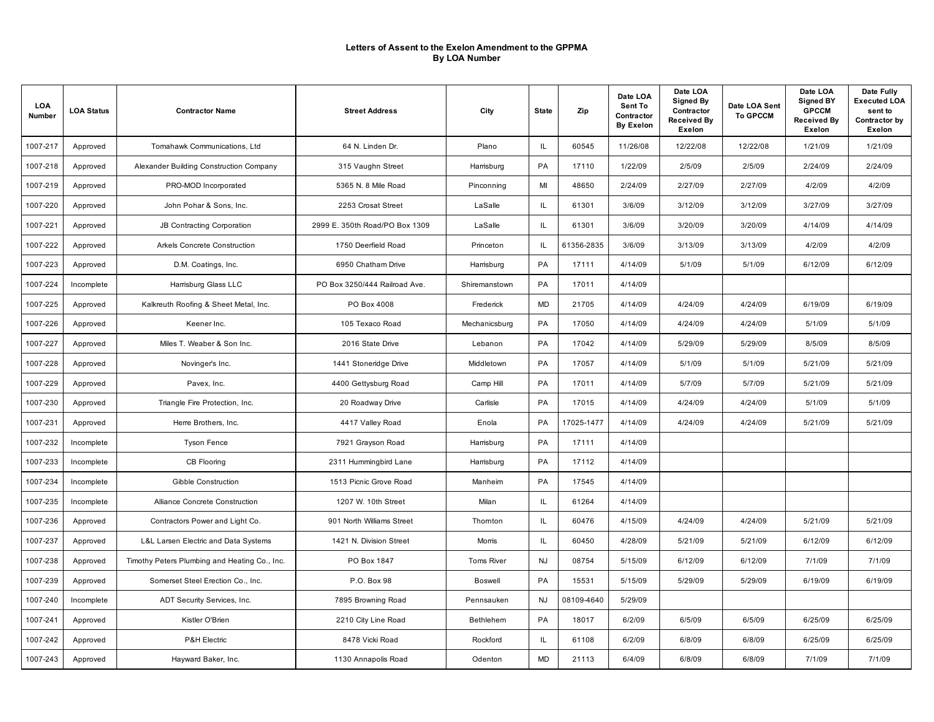| <b>LOA</b><br>Number | <b>LOA Status</b> | <b>Contractor Name</b>                        | <b>Street Address</b>          | City              | <b>State</b>  | Zip        | Date LOA<br>Sent To<br>Contractor<br><b>By Exelon</b> | Date LOA<br><b>Signed By</b><br>Contractor<br>Received By<br>Exelon | Date LOA Sent<br><b>To GPCCM</b> | Date LOA<br><b>Signed BY</b><br><b>GPCCM</b><br><b>Received By</b><br>Exelon | Date Fully<br><b>Executed LOA</b><br>sent to<br>Contractor by<br>Exelon |
|----------------------|-------------------|-----------------------------------------------|--------------------------------|-------------------|---------------|------------|-------------------------------------------------------|---------------------------------------------------------------------|----------------------------------|------------------------------------------------------------------------------|-------------------------------------------------------------------------|
| 1007-217             | Approved          | Tomahawk Communications, Ltd                  | 64 N. Linden Dr.               | Plano             | IL.           | 60545      | 11/26/08                                              | 12/22/08                                                            | 12/22/08                         | 1/21/09                                                                      | 1/21/09                                                                 |
| 1007-218             | Approved          | Alexander Building Construction Company       | 315 Vaughn Street              | Harrisburg        | PA            | 17110      | 1/22/09                                               | 2/5/09                                                              | 2/5/09                           | 2/24/09                                                                      | 2/24/09                                                                 |
| 1007-219             | Approved          | PRO-MOD Incorporated                          | 5365 N. 8 Mile Road            | Pinconning        | MI            | 48650      | 2/24/09                                               | 2/27/09                                                             | 2/27/09                          | 4/2/09                                                                       | 4/2/09                                                                  |
| 1007-220             | Approved          | John Pohar & Sons, Inc.                       | 2253 Crosat Street             | LaSalle           | $\mathsf{IL}$ | 61301      | 3/6/09                                                | 3/12/09                                                             | 3/12/09                          | 3/27/09                                                                      | 3/27/09                                                                 |
| 1007-221             | Approved          | JB Contracting Corporation                    | 2999 E. 350th Road/PO Box 1309 | LaSalle           | <b>IL</b>     | 61301      | 3/6/09                                                | 3/20/09                                                             | 3/20/09                          | 4/14/09                                                                      | 4/14/09                                                                 |
| 1007-222             | Approved          | Arkels Concrete Construction                  | 1750 Deerfield Road            | Princeton         | IL            | 61356-2835 | 3/6/09                                                | 3/13/09                                                             | 3/13/09                          | 4/2/09                                                                       | 4/2/09                                                                  |
| 1007-223             | Approved          | D.M. Coatings, Inc.                           | 6950 Chatham Drive             | Harrisburg        | PA            | 17111      | 4/14/09                                               | 5/1/09                                                              | 5/1/09                           | 6/12/09                                                                      | 6/12/09                                                                 |
| 1007-224             | Incomplete        | Harrisburg Glass LLC                          | PO Box 3250/444 Railroad Ave.  | Shiremanstown     | PA            | 17011      | 4/14/09                                               |                                                                     |                                  |                                                                              |                                                                         |
| 1007-225             | Approved          | Kalkreuth Roofing & Sheet Metal, Inc.         | PO Box 4008                    | Frederick         | MD            | 21705      | 4/14/09                                               | 4/24/09                                                             | 4/24/09                          | 6/19/09                                                                      | 6/19/09                                                                 |
| 1007-226             | Approved          | Keener Inc.                                   | 105 Texaco Road                | Mechanicsburg     | <b>PA</b>     | 17050      | 4/14/09                                               | 4/24/09                                                             | 4/24/09                          | 5/1/09                                                                       | 5/1/09                                                                  |
| 1007-227             | Approved          | Miles T. Weaber & Son Inc.                    | 2016 State Drive               | Lebanon           | PA            | 17042      | 4/14/09                                               | 5/29/09                                                             | 5/29/09                          | 8/5/09                                                                       | 8/5/09                                                                  |
| 1007-228             | Approved          | Novinger's Inc.                               | 1441 Stoneridge Drive          | Middletown        | <b>PA</b>     | 17057      | 4/14/09                                               | 5/1/09                                                              | 5/1/09                           | 5/21/09                                                                      | 5/21/09                                                                 |
| 1007-229             | Approved          | Pavex, Inc.                                   | 4400 Gettysburg Road           | Camp Hill         | PA            | 17011      | 4/14/09                                               | 5/7/09                                                              | 5/7/09                           | 5/21/09                                                                      | 5/21/09                                                                 |
| 1007-230             | Approved          | Triangle Fire Protection, Inc.                | 20 Roadway Drive               | Carlisle          | PA            | 17015      | 4/14/09                                               | 4/24/09                                                             | 4/24/09                          | 5/1/09                                                                       | 5/1/09                                                                  |
| 1007-231             | Approved          | Herre Brothers, Inc.                          | 4417 Valley Road               | Enola             | PA            | 17025-1477 | 4/14/09                                               | 4/24/09                                                             | 4/24/09                          | 5/21/09                                                                      | 5/21/09                                                                 |
| 1007-232             | Incomplete        | <b>Tyson Fence</b>                            | 7921 Grayson Road              | Harrisburg        | PA            | 17111      | 4/14/09                                               |                                                                     |                                  |                                                                              |                                                                         |
| 1007-233             | Incomplete        | <b>CB Flooring</b>                            | 2311 Hummingbird Lane          | Harrisburg        | PA            | 17112      | 4/14/09                                               |                                                                     |                                  |                                                                              |                                                                         |
| 1007-234             | Incomplete        | Gibble Construction                           | 1513 Picnic Grove Road         | Manheim           | PA            | 17545      | 4/14/09                                               |                                                                     |                                  |                                                                              |                                                                         |
| 1007-235             | Incomplete        | Alliance Concrete Construction                | 1207 W. 10th Street            | Milan             | IL.           | 61264      | 4/14/09                                               |                                                                     |                                  |                                                                              |                                                                         |
| 1007-236             | Approved          | Contractors Power and Light Co.               | 901 North Williams Street      | Thornton          | IL.           | 60476      | 4/15/09                                               | 4/24/09                                                             | 4/24/09                          | 5/21/09                                                                      | 5/21/09                                                                 |
| 1007-237             | Approved          | L&L Larsen Electric and Data Systems          | 1421 N. Division Street        | Morris            | $\mathsf{IL}$ | 60450      | 4/28/09                                               | 5/21/09                                                             | 5/21/09                          | 6/12/09                                                                      | 6/12/09                                                                 |
| 1007-238             | Approved          | Timothy Peters Plumbing and Heating Co., Inc. | PO Box 1847                    | <b>Toms River</b> | <b>NJ</b>     | 08754      | 5/15/09                                               | 6/12/09                                                             | 6/12/09                          | 7/1/09                                                                       | 7/1/09                                                                  |
| 1007-239             | Approved          | Somerset Steel Erection Co., Inc.             | P.O. Box 98                    | <b>Boswell</b>    | PA            | 15531      | 5/15/09                                               | 5/29/09                                                             | 5/29/09                          | 6/19/09                                                                      | 6/19/09                                                                 |
| 1007-240             | Incomplete        | ADT Security Services, Inc.                   | 7895 Browning Road             | Pennsauken        | <b>NJ</b>     | 08109-4640 | 5/29/09                                               |                                                                     |                                  |                                                                              |                                                                         |
| 1007-241             | Approved          | Kistler O'Brien                               | 2210 City Line Road            | Bethlehem         | PA            | 18017      | 6/2/09                                                | 6/5/09                                                              | 6/5/09                           | 6/25/09                                                                      | 6/25/09                                                                 |
| 1007-242             | Approved          | P&H Electric                                  | 8478 Vicki Road                | Rockford          | <b>IL</b>     | 61108      | 6/2/09                                                | 6/8/09                                                              | 6/8/09                           | 6/25/09                                                                      | 6/25/09                                                                 |
| 1007-243             | Approved          | Hayward Baker, Inc.                           | 1130 Annapolis Road            | Odenton           | <b>MD</b>     | 21113      | 6/4/09                                                | 6/8/09                                                              | 6/8/09                           | 7/1/09                                                                       | 7/1/09                                                                  |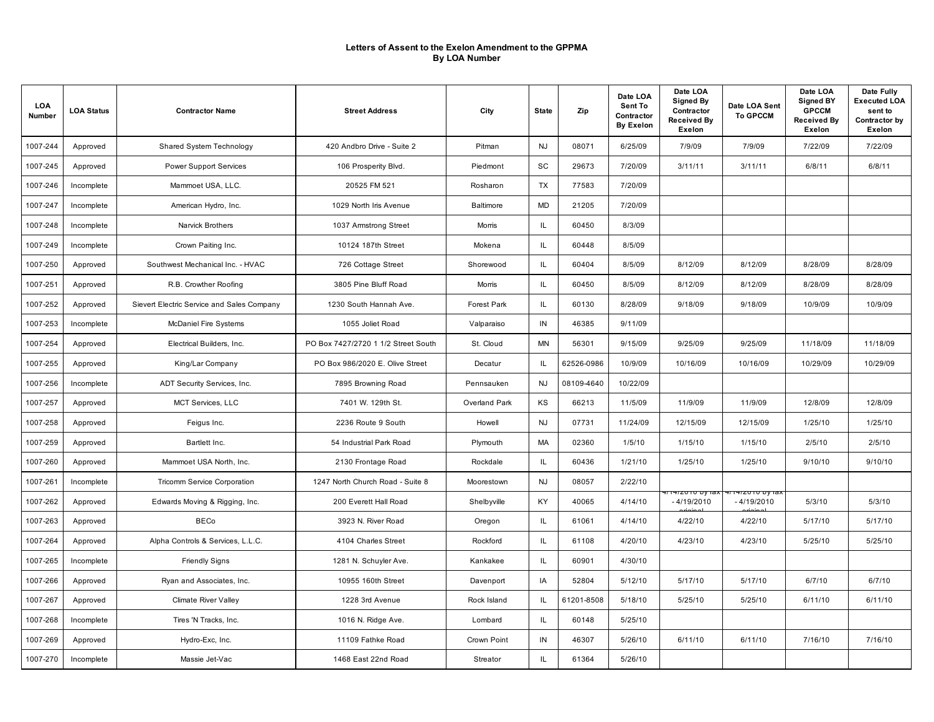| LOA<br>Number | <b>LOA Status</b> | <b>Contractor Name</b>                     | <b>Street Address</b>               | City          | <b>State</b> | Zip        | Date LOA<br>Sent To<br>Contractor<br><b>By Exelon</b> | Date LOA<br>Signed By<br>Contractor<br><b>Received By</b><br>Exelon | Date LOA Sent<br><b>To GPCCM</b>            | Date LOA<br><b>Signed BY</b><br><b>GPCCM</b><br><b>Received By</b><br><b>Exelon</b> | Date Fully<br><b>Executed LOA</b><br>sent to<br>Contractor by<br>Exelon |
|---------------|-------------------|--------------------------------------------|-------------------------------------|---------------|--------------|------------|-------------------------------------------------------|---------------------------------------------------------------------|---------------------------------------------|-------------------------------------------------------------------------------------|-------------------------------------------------------------------------|
| 1007-244      | Approved          | Shared System Technology                   | 420 Andbro Drive - Suite 2          | Pitman        | <b>NJ</b>    | 08071      | 6/25/09                                               | 7/9/09                                                              | 7/9/09                                      | 7/22/09                                                                             | 7/22/09                                                                 |
| 1007-245      | Approved          | <b>Power Support Services</b>              | 106 Prosperity Blvd.                | Piedmont      | <b>SC</b>    | 29673      | 7/20/09                                               | 3/11/11                                                             | 3/11/11                                     | 6/8/11                                                                              | 6/8/11                                                                  |
| 1007-246      | Incomplete        | Mammoet USA, LLC.                          | 20525 FM 521                        | Rosharon      | TX           | 77583      | 7/20/09                                               |                                                                     |                                             |                                                                                     |                                                                         |
| 1007-247      | Incomplete        | American Hydro, Inc.                       | 1029 North Iris Avenue              | Baltimore     | <b>MD</b>    | 21205      | 7/20/09                                               |                                                                     |                                             |                                                                                     |                                                                         |
| 1007-248      | Incomplete        | Narvick Brothers                           | 1037 Armstrong Street               | Morris        | IL           | 60450      | 8/3/09                                                |                                                                     |                                             |                                                                                     |                                                                         |
| 1007-249      | Incomplete        | Crown Paiting Inc.                         | 10124 187th Street                  | Mokena        | IL.          | 60448      | 8/5/09                                                |                                                                     |                                             |                                                                                     |                                                                         |
| 1007-250      | Approved          | Southwest Mechanical Inc. - HVAC           | 726 Cottage Street                  | Shorewood     | IL.          | 60404      | 8/5/09                                                | 8/12/09                                                             | 8/12/09                                     | 8/28/09                                                                             | 8/28/09                                                                 |
| 1007-251      | Approved          | R.B. Crowther Roofing                      | 3805 Pine Bluff Road                | Morris        | IL.          | 60450      | 8/5/09                                                | 8/12/09                                                             | 8/12/09                                     | 8/28/09                                                                             | 8/28/09                                                                 |
| 1007-252      | Approved          | Sievert Electric Service and Sales Company | 1230 South Hannah Ave.              | Forest Park   | IL.          | 60130      | 8/28/09                                               | 9/18/09                                                             | 9/18/09                                     | 10/9/09                                                                             | 10/9/09                                                                 |
| 1007-253      | Incomplete        | <b>McDaniel Fire Systems</b>               | 1055 Joliet Road                    | Valparaiso    | IN           | 46385      | 9/11/09                                               |                                                                     |                                             |                                                                                     |                                                                         |
| 1007-254      | Approved          | Electrical Builders, Inc.                  | PO Box 7427/2720 1 1/2 Street South | St. Cloud     | MN           | 56301      | 9/15/09                                               | 9/25/09                                                             | 9/25/09                                     | 11/18/09                                                                            | 11/18/09                                                                |
| 1007-255      | Approved          | King/Lar Company                           | PO Box 986/2020 E. Olive Street     | Decatur       | IL           | 62526-0986 | 10/9/09                                               | 10/16/09                                                            | 10/16/09                                    | 10/29/09                                                                            | 10/29/09                                                                |
| 1007-256      | Incomplete        | ADT Security Services, Inc.                | 7895 Browning Road                  | Pennsauken    | <b>NJ</b>    | 08109-4640 | 10/22/09                                              |                                                                     |                                             |                                                                                     |                                                                         |
| 1007-257      | Approved          | <b>MCT Services, LLC</b>                   | 7401 W. 129th St.                   | Overland Park | KS           | 66213      | 11/5/09                                               | 11/9/09                                                             | 11/9/09                                     | 12/8/09                                                                             | 12/8/09                                                                 |
| 1007-258      | Approved          | Feigus Inc.                                | 2236 Route 9 South                  | Howell        | <b>NJ</b>    | 07731      | 11/24/09                                              | 12/15/09                                                            | 12/15/09                                    | 1/25/10                                                                             | 1/25/10                                                                 |
| 1007-259      | Approved          | Bartlett Inc.                              | 54 Industrial Park Road             | Plymouth      | <b>MA</b>    | 02360      | 1/5/10                                                | 1/15/10                                                             | 1/15/10                                     | 2/5/10                                                                              | 2/5/10                                                                  |
| 1007-260      | Approved          | Mammoet USA North, Inc.                    | 2130 Frontage Road                  | Rockdale      | IL.          | 60436      | 1/21/10                                               | 1/25/10                                                             | 1/25/10                                     | 9/10/10                                                                             | 9/10/10                                                                 |
| 1007-261      | Incomplete        | Tricomm Service Corporation                | 1247 North Church Road - Suite 8    | Moorestown    | <b>NJ</b>    | 08057      | 2/22/10                                               |                                                                     |                                             |                                                                                     |                                                                         |
| 1007-262      | Approved          | Edwards Moving & Rigging, Inc.             | 200 Everett Hall Road               | Shelbyville   | KY           | 40065      | 4/14/10                                               | ι 4/2 υτυ υγιαλ<br>$-4/19/2010$                                     | <del>1/14/2010 Dy Iax</del><br>$-4/19/2010$ | 5/3/10                                                                              | 5/3/10                                                                  |
| 1007-263      | Approved          | <b>BECo</b>                                | 3923 N. River Road                  | Oregon        | IL           | 61061      | 4/14/10                                               | 4/22/10                                                             | 4/22/10                                     | 5/17/10                                                                             | 5/17/10                                                                 |
| 1007-264      | Approved          | Alpha Controls & Services, L.L.C.          | 4104 Charles Street                 | Rockford      | IL.          | 61108      | 4/20/10                                               | 4/23/10                                                             | 4/23/10                                     | 5/25/10                                                                             | 5/25/10                                                                 |
| 1007-265      | Incomplete        | <b>Friendly Signs</b>                      | 1281 N. Schuyler Ave.               | Kankakee      | IL.          | 60901      | 4/30/10                                               |                                                                     |                                             |                                                                                     |                                                                         |
| 1007-266      | Approved          | Ryan and Associates, Inc.                  | 10955 160th Street                  | Davenport     | IA           | 52804      | 5/12/10                                               | 5/17/10                                                             | 5/17/10                                     | 6/7/10                                                                              | 6/7/10                                                                  |
| 1007-267      | Approved          | Climate River Valley                       | 1228 3rd Avenue                     | Rock Island   | IL.          | 61201-8508 | 5/18/10                                               | 5/25/10                                                             | 5/25/10                                     | 6/11/10                                                                             | 6/11/10                                                                 |
| 1007-268      | Incomplete        | Tires 'N Tracks, Inc.                      | 1016 N. Ridge Ave.                  | Lombard       | IL           | 60148      | 5/25/10                                               |                                                                     |                                             |                                                                                     |                                                                         |
| 1007-269      | Approved          | Hydro-Exc, Inc.                            | 11109 Fathke Road                   | Crown Point   | IN           | 46307      | 5/26/10                                               | 6/11/10                                                             | 6/11/10                                     | 7/16/10                                                                             | 7/16/10                                                                 |
| 1007-270      | Incomplete        | Massie Jet-Vac                             | 1468 East 22nd Road                 | Streator      | IL.          | 61364      | 5/26/10                                               |                                                                     |                                             |                                                                                     |                                                                         |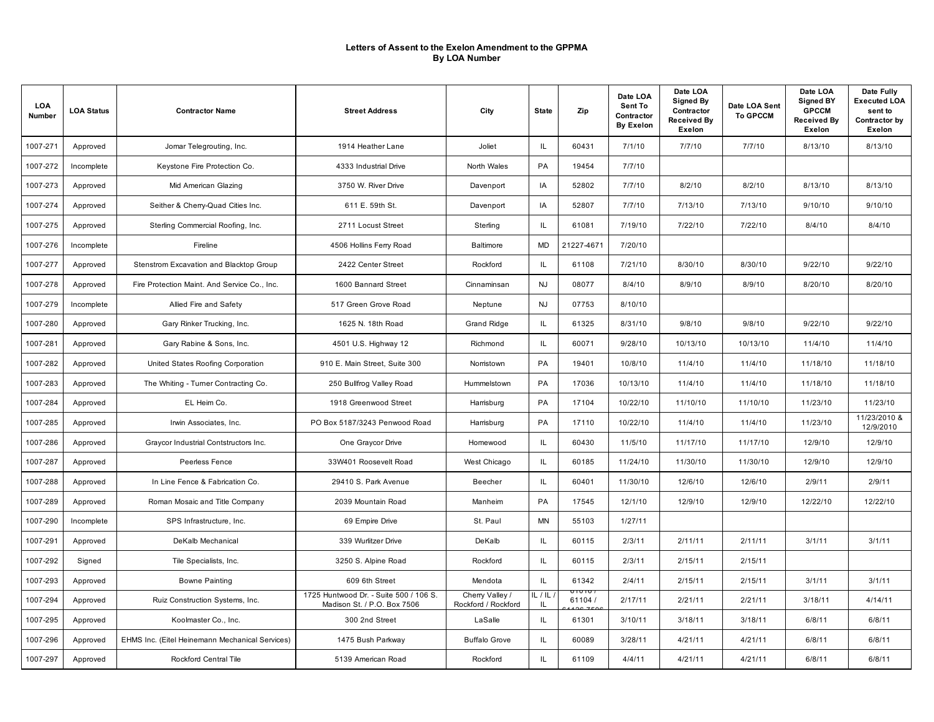| LOA<br>Number | <b>LOA Status</b> | <b>Contractor Name</b>                          | <b>Street Address</b>                                                 | City                                   | <b>State</b>   | Zip                                       | Date LOA<br>Sent To<br>Contractor<br><b>By Exelon</b> | Date LOA<br>Signed By<br>Contractor<br><b>Received By</b><br>Exelon | Date LOA Sent<br><b>To GPCCM</b> | Date LOA<br><b>Signed BY</b><br><b>GPCCM</b><br><b>Received By</b><br><b>Exelon</b> | Date Fully<br><b>Executed LOA</b><br>sent to<br>Contractor by<br>Exelon |
|---------------|-------------------|-------------------------------------------------|-----------------------------------------------------------------------|----------------------------------------|----------------|-------------------------------------------|-------------------------------------------------------|---------------------------------------------------------------------|----------------------------------|-------------------------------------------------------------------------------------|-------------------------------------------------------------------------|
| 1007-271      | Approved          | Jomar Telegrouting, Inc.                        | 1914 Heather Lane                                                     | Joliet                                 | IL.            | 60431                                     | 7/1/10                                                | 7/7/10                                                              | 7/7/10                           | 8/13/10                                                                             | 8/13/10                                                                 |
| 1007-272      | Incomplete        | Keystone Fire Protection Co.                    | 4333 Industrial Drive                                                 | North Wales                            | PA             | 19454                                     | 7/7/10                                                |                                                                     |                                  |                                                                                     |                                                                         |
| 1007-273      | Approved          | Mid American Glazing                            | 3750 W. River Drive                                                   | Davenport                              | IA             | 52802                                     | 7/7/10                                                | 8/2/10                                                              | 8/2/10                           | 8/13/10                                                                             | 8/13/10                                                                 |
| 1007-274      | Approved          | Seither & Cherry-Quad Cities Inc.               | 611 E. 59th St.                                                       | Davenport                              | IA             | 52807                                     | 7/7/10                                                | 7/13/10                                                             | 7/13/10                          | 9/10/10                                                                             | 9/10/10                                                                 |
| 1007-275      | Approved          | Sterling Commercial Roofing, Inc.               | 2711 Locust Street                                                    | Sterling                               | IL             | 61081                                     | 7/19/10                                               | 7/22/10                                                             | 7/22/10                          | 8/4/10                                                                              | 8/4/10                                                                  |
| 1007-276      | Incomplete        | Fireline                                        | 4506 Hollins Ferry Road                                               | Baltimore                              | <b>MD</b>      | 21227-4671                                | 7/20/10                                               |                                                                     |                                  |                                                                                     |                                                                         |
| 1007-277      | Approved          | Stenstrom Excavation and Blacktop Group         | 2422 Center Street                                                    | Rockford                               | IL             | 61108                                     | 7/21/10                                               | 8/30/10                                                             | 8/30/10                          | 9/22/10                                                                             | 9/22/10                                                                 |
| 1007-278      | Approved          | Fire Protection Maint. And Service Co., Inc.    | 1600 Bannard Street                                                   | Cinnaminsan                            | <b>NJ</b>      | 08077                                     | 8/4/10                                                | 8/9/10                                                              | 8/9/10                           | 8/20/10                                                                             | 8/20/10                                                                 |
| 1007-279      | Incomplete        | Allied Fire and Safety                          | 517 Green Grove Road                                                  | Neptune                                | <b>NJ</b>      | 07753                                     | 8/10/10                                               |                                                                     |                                  |                                                                                     |                                                                         |
| 1007-280      | Approved          | Gary Rinker Trucking, Inc.                      | 1625 N. 18th Road                                                     | <b>Grand Ridge</b>                     | IL.            | 61325                                     | 8/31/10                                               | 9/8/10                                                              | 9/8/10                           | 9/22/10                                                                             | 9/22/10                                                                 |
| 1007-281      | Approved          | Gary Rabine & Sons, Inc.                        | 4501 U.S. Highway 12                                                  | Richmond                               | IL.            | 60071                                     | 9/28/10                                               | 10/13/10                                                            | 10/13/10                         | 11/4/10                                                                             | 11/4/10                                                                 |
| 1007-282      | Approved          | United States Roofing Corporation               | 910 E. Main Street, Suite 300                                         | Norristown                             | PA             | 19401                                     | 10/8/10                                               | 11/4/10                                                             | 11/4/10                          | 11/18/10                                                                            | 11/18/10                                                                |
| 1007-283      | Approved          | The Whiting - Tumer Contracting Co.             | 250 Bullfrog Valley Road                                              | Hummelstown                            | PA             | 17036                                     | 10/13/10                                              | 11/4/10                                                             | 11/4/10                          | 11/18/10                                                                            | 11/18/10                                                                |
| 1007-284      | Approved          | EL Heim Co.                                     | 1918 Greenwood Street                                                 | Harrisburg                             | PA             | 17104                                     | 10/22/10                                              | 11/10/10                                                            | 11/10/10                         | 11/23/10                                                                            | 11/23/10                                                                |
| 1007-285      | Approved          | Irwin Associates, Inc.                          | PO Box 5187/3243 Penwood Road                                         | Harrisburg                             | PA             | 17110                                     | 10/22/10                                              | 11/4/10                                                             | 11/4/10                          | 11/23/10                                                                            | 11/23/2010 &<br>12/9/2010                                               |
| 1007-286      | Approved          | Graycor Industrial Contstructors Inc.           | One Graycor Drive                                                     | Homewood                               | IL.            | 60430                                     | 11/5/10                                               | 11/17/10                                                            | 11/17/10                         | 12/9/10                                                                             | 12/9/10                                                                 |
| 1007-287      | Approved          | Peerless Fence                                  | 33W401 Roosevelt Road                                                 | West Chicago                           | IL.            | 60185                                     | 11/24/10                                              | 11/30/10                                                            | 11/30/10                         | 12/9/10                                                                             | 12/9/10                                                                 |
| 1007-288      | Approved          | In Line Fence & Fabrication Co.                 | 29410 S. Park Avenue                                                  | Beecher                                | IL.            | 60401                                     | 11/30/10                                              | 12/6/10                                                             | 12/6/10                          | 2/9/11                                                                              | 2/9/11                                                                  |
| 1007-289      | Approved          | Roman Mosaic and Title Company                  | 2039 Mountain Road                                                    | Manheim                                | PA             | 17545                                     | 12/1/10                                               | 12/9/10                                                             | 12/9/10                          | 12/22/10                                                                            | 12/22/10                                                                |
| 1007-290      | Incomplete        | SPS Infrastructure, Inc.                        | 69 Empire Drive                                                       | St. Paul                               | MN             | 55103                                     | 1/27/11                                               |                                                                     |                                  |                                                                                     |                                                                         |
| 1007-291      | Approved          | DeKalb Mechanical                               | 339 Wurlitzer Drive                                                   | DeKalb                                 | IL.            | 60115                                     | 2/3/11                                                | 2/11/11                                                             | 2/11/11                          | 3/1/11                                                                              | 3/1/11                                                                  |
| 1007-292      | Signed            | Tile Specialists, Inc.                          | 3250 S. Alpine Road                                                   | Rockford                               | IL.            | 60115                                     | 2/3/11                                                | 2/15/11                                                             | 2/15/11                          |                                                                                     |                                                                         |
| 1007-293      | Approved          | <b>Bowne Painting</b>                           | 609 6th Street                                                        | Mendota                                | IL.            | 61342                                     | 2/4/11                                                | 2/15/11                                                             | 2/15/11                          | 3/1/11                                                                              | 3/1/11                                                                  |
| 1007-294      | Approved          | Ruiz Construction Systems, Inc.                 | 1725 Huntwood Dr. - Suite 500 / 106 S.<br>Madison St. / P.O. Box 7506 | Cherry Valley /<br>Rockford / Rockford | IL / IL<br>IL. | ) IU IO<br>61104 /<br>$c \overline{\tau}$ | 2/17/11                                               | 2/21/11                                                             | 2/21/11                          | 3/18/11                                                                             | 4/14/11                                                                 |
| 1007-295      | Approved          | Koolmaster Co., Inc.                            | 300 2nd Street                                                        | LaSalle                                | IL.            | 61301                                     | 3/10/11                                               | 3/18/11                                                             | 3/18/11                          | 6/8/11                                                                              | 6/8/11                                                                  |
| 1007-296      | Approved          | EHMS Inc. (Eitel Heinemann Mechanical Services) | 1475 Bush Parkway                                                     | <b>Buffalo Grove</b>                   | IL.            | 60089                                     | 3/28/11                                               | 4/21/11                                                             | 4/21/11                          | 6/8/11                                                                              | 6/8/11                                                                  |
| 1007-297      | Approved          | Rockford Central Tile                           | 5139 American Road                                                    | Rockford                               | IL.            | 61109                                     | 4/4/11                                                | 4/21/11                                                             | 4/21/11                          | 6/8/11                                                                              | 6/8/11                                                                  |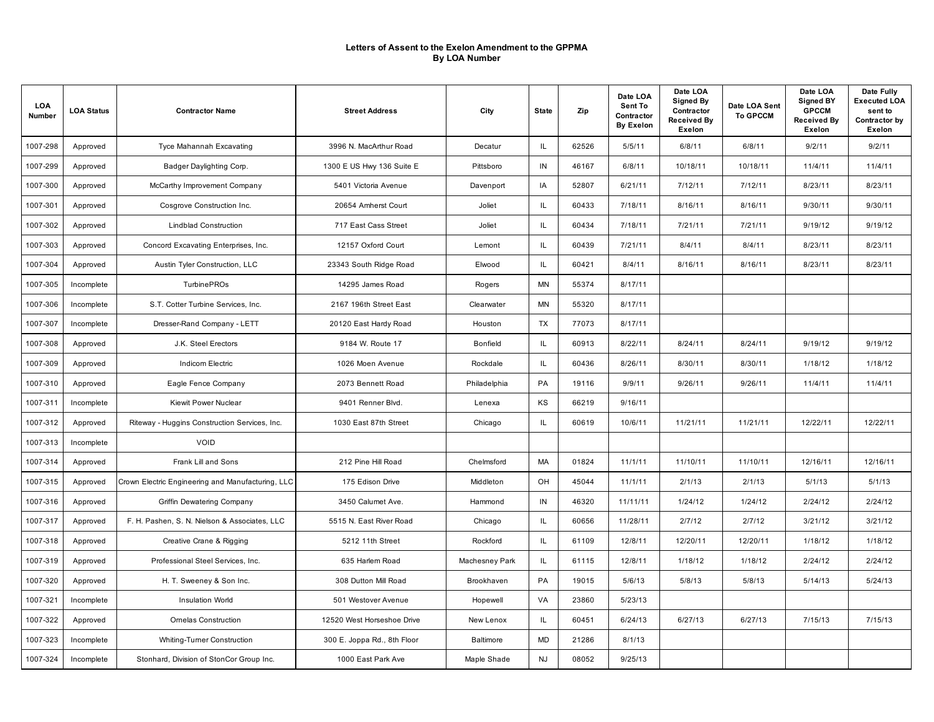| LOA<br>Number | <b>LOA Status</b> | <b>Contractor Name</b>                            | <b>Street Address</b>       | City           | <b>State</b> | Zip   | Date LOA<br>Sent To<br>Contractor<br><b>By Exelon</b> | Date LOA<br><b>Signed By</b><br>Contractor<br><b>Received By</b><br>Exelon | Date LOA Sent<br><b>To GPCCM</b> | Date LOA<br><b>Signed BY</b><br><b>GPCCM</b><br><b>Received By</b><br>Exelon | Date Fully<br><b>Executed LOA</b><br>sent to<br>Contractor by<br>Exelon |
|---------------|-------------------|---------------------------------------------------|-----------------------------|----------------|--------------|-------|-------------------------------------------------------|----------------------------------------------------------------------------|----------------------------------|------------------------------------------------------------------------------|-------------------------------------------------------------------------|
| 1007-298      | Approved          | Tyce Mahannah Excavating                          | 3996 N. MacArthur Road      | Decatur        | IL           | 62526 | 5/5/11                                                | 6/8/11                                                                     | 6/8/11                           | 9/2/11                                                                       | 9/2/11                                                                  |
| 1007-299      | Approved          | Badger Daylighting Corp.                          | 1300 E US Hwy 136 Suite E   | Pittsboro      | IN           | 46167 | 6/8/11                                                | 10/18/11                                                                   | 10/18/11                         | 11/4/11                                                                      | 11/4/11                                                                 |
| 1007-300      | Approved          | McCarthy Improvement Company                      | 5401 Victoria Avenue        | Davenport      | IA           | 52807 | 6/21/11                                               | 7/12/11                                                                    | 7/12/11                          | 8/23/11                                                                      | 8/23/11                                                                 |
| 1007-301      | Approved          | Cosgrove Construction Inc.                        | 20654 Amherst Court         | Joliet         | IL.          | 60433 | 7/18/11                                               | 8/16/11                                                                    | 8/16/11                          | 9/30/11                                                                      | 9/30/11                                                                 |
| 1007-302      | Approved          | <b>Lindblad Construction</b>                      | 717 East Cass Street        | Joliet         | IL.          | 60434 | 7/18/11                                               | 7/21/11                                                                    | 7/21/11                          | 9/19/12                                                                      | 9/19/12                                                                 |
| 1007-303      | Approved          | Concord Excavating Enterprises, Inc.              | 12157 Oxford Court          | Lemont         | IL.          | 60439 | 7/21/11                                               | 8/4/11                                                                     | 8/4/11                           | 8/23/11                                                                      | 8/23/11                                                                 |
| 1007-304      | Approved          | Austin Tyler Construction, LLC                    | 23343 South Ridge Road      | Elwood         | IL.          | 60421 | 8/4/11                                                | 8/16/11                                                                    | 8/16/11                          | 8/23/11                                                                      | 8/23/11                                                                 |
| 1007-305      | Incomplete        | <b>TurbinePROs</b>                                | 14295 James Road            | Rogers         | MN           | 55374 | 8/17/11                                               |                                                                            |                                  |                                                                              |                                                                         |
| 1007-306      | Incomplete        | S.T. Cotter Turbine Services, Inc.                | 2167 196th Street East      | Clearwater     | MN           | 55320 | 8/17/11                                               |                                                                            |                                  |                                                                              |                                                                         |
| 1007-307      | Incomplete        | Dresser-Rand Company - LETT                       | 20120 East Hardy Road       | Houston        | TX           | 77073 | 8/17/11                                               |                                                                            |                                  |                                                                              |                                                                         |
| 1007-308      | Approved          | J.K. Steel Erectors                               | 9184 W. Route 17            | Bonfield       | IL.          | 60913 | 8/22/11                                               | 8/24/11                                                                    | 8/24/11                          | 9/19/12                                                                      | 9/19/12                                                                 |
| 1007-309      | Approved          | <b>Indicom Electric</b>                           | 1026 Moen Avenue            | Rockdale       | IL.          | 60436 | 8/26/11                                               | 8/30/11                                                                    | 8/30/11                          | 1/18/12                                                                      | 1/18/12                                                                 |
| 1007-310      | Approved          | Eagle Fence Company                               | 2073 Bennett Road           | Philadelphia   | PA           | 19116 | 9/9/11                                                | 9/26/11                                                                    | 9/26/11                          | 11/4/11                                                                      | 11/4/11                                                                 |
| 1007-311      | Incomplete        | <b>Kiewit Power Nuclear</b>                       | 9401 Renner Blvd.           | Lenexa         | ΚS           | 66219 | 9/16/11                                               |                                                                            |                                  |                                                                              |                                                                         |
| 1007-312      | Approved          | Riteway - Huggins Construction Services, Inc.     | 1030 East 87th Street       | Chicago        | IL.          | 60619 | 10/6/11                                               | 11/21/11                                                                   | 11/21/11                         | 12/22/11                                                                     | 12/22/11                                                                |
| 1007-313      | Incomplete        | VOID                                              |                             |                |              |       |                                                       |                                                                            |                                  |                                                                              |                                                                         |
| 1007-314      | Approved          | Frank Lill and Sons                               | 212 Pine Hill Road          | Chelmsford     | MA           | 01824 | 11/1/11                                               | 11/10/11                                                                   | 11/10/11                         | 12/16/11                                                                     | 12/16/11                                                                |
| 1007-315      | Approved          | Crown Electric Engineering and Manufacturing, LLC | 175 Edison Drive            | Middleton      | OH           | 45044 | 11/1/11                                               | 2/1/13                                                                     | 2/1/13                           | 5/1/13                                                                       | 5/1/13                                                                  |
| 1007-316      | Approved          | Griffin Dewatering Company                        | 3450 Calumet Ave.           | Hammond        | IN           | 46320 | 11/11/11                                              | 1/24/12                                                                    | 1/24/12                          | 2/24/12                                                                      | 2/24/12                                                                 |
| 1007-317      | Approved          | F. H. Pashen, S. N. Nielson & Associates, LLC     | 5515 N. East River Road     | Chicago        | IL.          | 60656 | 11/28/11                                              | 2/7/12                                                                     | 2/7/12                           | 3/21/12                                                                      | 3/21/12                                                                 |
| 1007-318      | Approved          | Creative Crane & Rigging                          | 5212 11th Street            | Rockford       | IL.          | 61109 | 12/8/11                                               | 12/20/11                                                                   | 12/20/11                         | 1/18/12                                                                      | 1/18/12                                                                 |
| 1007-319      | Approved          | Professional Steel Services, Inc.                 | 635 Harlem Road             | Machesney Park | IL.          | 61115 | 12/8/11                                               | 1/18/12                                                                    | 1/18/12                          | 2/24/12                                                                      | 2/24/12                                                                 |
| 1007-320      | Approved          | H. T. Sweeney & Son Inc.                          | 308 Dutton Mill Road        | Brookhaven     | PA           | 19015 | 5/6/13                                                | 5/8/13                                                                     | 5/8/13                           | 5/14/13                                                                      | 5/24/13                                                                 |
| 1007-321      | Incomplete        | <b>Insulation World</b>                           | 501 Westover Avenue         | Hopewell       | VA           | 23860 | 5/23/13                                               |                                                                            |                                  |                                                                              |                                                                         |
| 1007-322      | Approved          | <b>Omelas Construction</b>                        | 12520 West Horseshoe Drive  | New Lenox      | IL.          | 60451 | 6/24/13                                               | 6/27/13                                                                    | 6/27/13                          | 7/15/13                                                                      | 7/15/13                                                                 |
| 1007-323      | Incomplete        | <b>Whiting-Turner Construction</b>                | 300 E. Joppa Rd., 8th Floor | Baltimore      | <b>MD</b>    | 21286 | 8/1/13                                                |                                                                            |                                  |                                                                              |                                                                         |
| 1007-324      | Incomplete        | Stonhard, Division of StonCor Group Inc.          | 1000 East Park Ave          | Maple Shade    | <b>NJ</b>    | 08052 | 9/25/13                                               |                                                                            |                                  |                                                                              |                                                                         |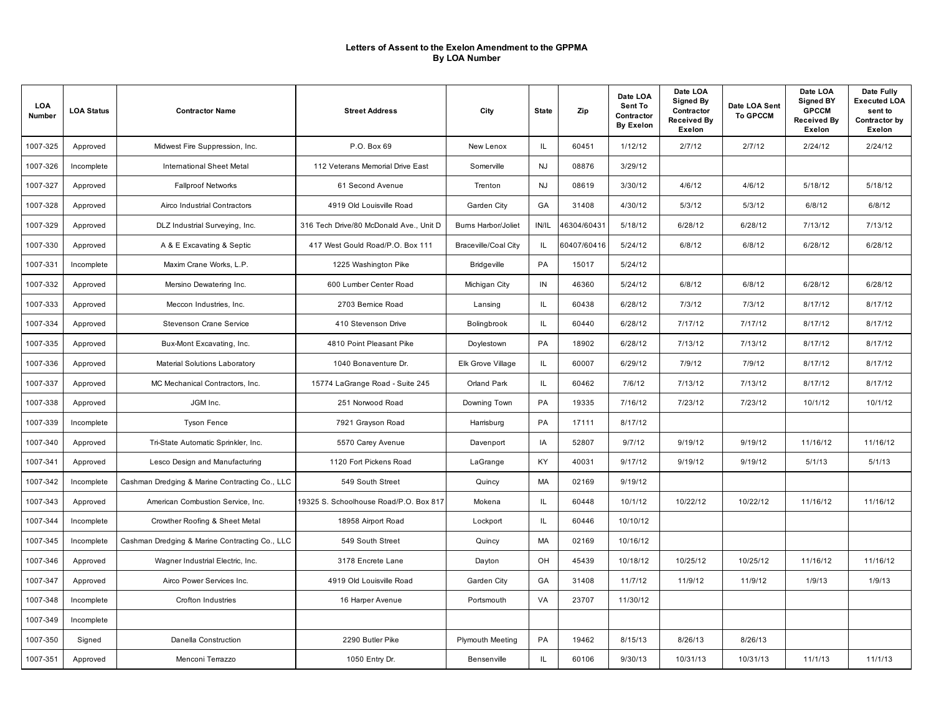| LOA<br>Number | <b>LOA Status</b> | <b>Contractor Name</b>                         | <b>Street Address</b>                   | City                        | <b>State</b> | Zip         | Date LOA<br>Sent To<br>Contractor<br><b>By Exelon</b> | Date LOA<br>Signed By<br>Contractor<br><b>Received By</b><br>Exelon | Date LOA Sent<br><b>To GPCCM</b> | Date LOA<br><b>Signed BY</b><br><b>GPCCM</b><br><b>Received By</b><br><b>Exelon</b> | Date Fully<br><b>Executed LOA</b><br>sent to<br>Contractor by<br>Exelon |
|---------------|-------------------|------------------------------------------------|-----------------------------------------|-----------------------------|--------------|-------------|-------------------------------------------------------|---------------------------------------------------------------------|----------------------------------|-------------------------------------------------------------------------------------|-------------------------------------------------------------------------|
| 1007-325      | Approved          | Midwest Fire Suppression, Inc.                 | P.O. Box 69                             | New Lenox                   | IL.          | 60451       | 1/12/12                                               | 2/7/12                                                              | 2/7/12                           | 2/24/12                                                                             | 2/24/12                                                                 |
| 1007-326      | Incomplete        | <b>International Sheet Metal</b>               | 112 Veterans Memorial Drive East        | Somerville                  | <b>NJ</b>    | 08876       | 3/29/12                                               |                                                                     |                                  |                                                                                     |                                                                         |
| 1007-327      | Approved          | <b>Fallproof Networks</b>                      | 61 Second Avenue                        | Trenton                     | <b>NJ</b>    | 08619       | 3/30/12                                               | 4/6/12                                                              | 4/6/12                           | 5/18/12                                                                             | 5/18/12                                                                 |
| 1007-328      | Approved          | Airco Industrial Contractors                   | 4919 Old Louisville Road                | Garden City                 | GA           | 31408       | 4/30/12                                               | 5/3/12                                                              | 5/3/12                           | 6/8/12                                                                              | 6/8/12                                                                  |
| 1007-329      | Approved          | DLZ Industrial Surveying, Inc.                 | 316 Tech Drive/80 McDonald Ave., Unit D | <b>Bums Harbor/Joliet</b>   | IN/IL        | 46304/60431 | 5/18/12                                               | 6/28/12                                                             | 6/28/12                          | 7/13/12                                                                             | 7/13/12                                                                 |
| 1007-330      | Approved          | A & E Excavating & Septic                      | 417 West Gould Road/P.O. Box 111        | <b>Braceville/Coal City</b> | IL.          | 60407/60416 | 5/24/12                                               | 6/8/12                                                              | 6/8/12                           | 6/28/12                                                                             | 6/28/12                                                                 |
| 1007-331      | Incomplete        | Maxim Crane Works, L.P.                        | 1225 Washington Pike                    | <b>Bridgeville</b>          | PA           | 15017       | 5/24/12                                               |                                                                     |                                  |                                                                                     |                                                                         |
| 1007-332      | Approved          | Mersino Dewatering Inc.                        | 600 Lumber Center Road                  | Michigan City               | $\sf IN$     | 46360       | 5/24/12                                               | 6/8/12                                                              | 6/8/12                           | 6/28/12                                                                             | 6/28/12                                                                 |
| 1007-333      | Approved          | Meccon Industries, Inc.                        | 2703 Bernice Road                       | Lansing                     | IL.          | 60438       | 6/28/12                                               | 7/3/12                                                              | 7/3/12                           | 8/17/12                                                                             | 8/17/12                                                                 |
| 1007-334      | Approved          | <b>Stevenson Crane Service</b>                 | 410 Stevenson Drive                     | Bolingbrook                 | IL.          | 60440       | 6/28/12                                               | 7/17/12                                                             | 7/17/12                          | 8/17/12                                                                             | 8/17/12                                                                 |
| 1007-335      | Approved          | Bux-Mont Excavating, Inc.                      | 4810 Point Pleasant Pike                | Doylestown                  | PA           | 18902       | 6/28/12                                               | 7/13/12                                                             | 7/13/12                          | 8/17/12                                                                             | 8/17/12                                                                 |
| 1007-336      | Approved          | Material Solutions Laboratory                  | 1040 Bonaventure Dr.                    | Elk Grove Village           | IL.          | 60007       | 6/29/12                                               | 7/9/12                                                              | 7/9/12                           | 8/17/12                                                                             | 8/17/12                                                                 |
| 1007-337      | Approved          | MC Mechanical Contractors, Inc.                | 15774 LaGrange Road - Suite 245         | <b>Orland Park</b>          | IL.          | 60462       | 7/6/12                                                | 7/13/12                                                             | 7/13/12                          | 8/17/12                                                                             | 8/17/12                                                                 |
| 1007-338      | Approved          | JGM Inc.                                       | 251 Norwood Road                        | Downing Town                | PA           | 19335       | 7/16/12                                               | 7/23/12                                                             | 7/23/12                          | 10/1/12                                                                             | 10/1/12                                                                 |
| 1007-339      | Incomplete        | <b>Tyson Fence</b>                             | 7921 Grayson Road                       | Harrisburg                  | PA           | 17111       | 8/17/12                                               |                                                                     |                                  |                                                                                     |                                                                         |
| 1007-340      | Approved          | Tri-State Automatic Sprinkler, Inc.            | 5570 Carey Avenue                       | Davenport                   | IA           | 52807       | 9/7/12                                                | 9/19/12                                                             | 9/19/12                          | 11/16/12                                                                            | 11/16/12                                                                |
| 1007-341      | Approved          | Lesco Design and Manufacturing                 | 1120 Fort Pickens Road                  | LaGrange                    | KY           | 40031       | 9/17/12                                               | 9/19/12                                                             | 9/19/12                          | 5/1/13                                                                              | 5/1/13                                                                  |
| 1007-342      | Incomplete        | Cashman Dredging & Marine Contracting Co., LLC | 549 South Street                        | Quincy                      | <b>MA</b>    | 02169       | 9/19/12                                               |                                                                     |                                  |                                                                                     |                                                                         |
| 1007-343      | Approved          | American Combustion Service, Inc.              | 19325 S. Schoolhouse Road/P.O. Box 817  | Mokena                      | IL.          | 60448       | 10/1/12                                               | 10/22/12                                                            | 10/22/12                         | 11/16/12                                                                            | 11/16/12                                                                |
| 1007-344      | Incomplete        | Crowther Roofing & Sheet Metal                 | 18958 Airport Road                      | Lockport                    | IL.          | 60446       | 10/10/12                                              |                                                                     |                                  |                                                                                     |                                                                         |
| 1007-345      | Incomplete        | Cashman Dredging & Marine Contracting Co., LLC | 549 South Street                        | Quincy                      | <b>MA</b>    | 02169       | 10/16/12                                              |                                                                     |                                  |                                                                                     |                                                                         |
| 1007-346      | Approved          | Wagner Industrial Electric, Inc.               | 3178 Encrete Lane                       | Dayton                      | OH           | 45439       | 10/18/12                                              | 10/25/12                                                            | 10/25/12                         | 11/16/12                                                                            | 11/16/12                                                                |
| 1007-347      | Approved          | Airco Power Services Inc.                      | 4919 Old Louisville Road                | Garden City                 | GA           | 31408       | 11/7/12                                               | 11/9/12                                                             | 11/9/12                          | 1/9/13                                                                              | 1/9/13                                                                  |
| 1007-348      | Incomplete        | Crofton Industries                             | 16 Harper Avenue                        | Portsmouth                  | VA           | 23707       | 11/30/12                                              |                                                                     |                                  |                                                                                     |                                                                         |
| 1007-349      | Incomplete        |                                                |                                         |                             |              |             |                                                       |                                                                     |                                  |                                                                                     |                                                                         |
| 1007-350      | Signed            | Danella Construction                           | 2290 Butler Pike                        | <b>Plymouth Meeting</b>     | PA           | 19462       | 8/15/13                                               | 8/26/13                                                             | 8/26/13                          |                                                                                     |                                                                         |
| 1007-351      | Approved          | Menconi Terrazzo                               | 1050 Entry Dr.                          | Bensenville                 | IL           | 60106       | 9/30/13                                               | 10/31/13                                                            | 10/31/13                         | 11/1/13                                                                             | 11/1/13                                                                 |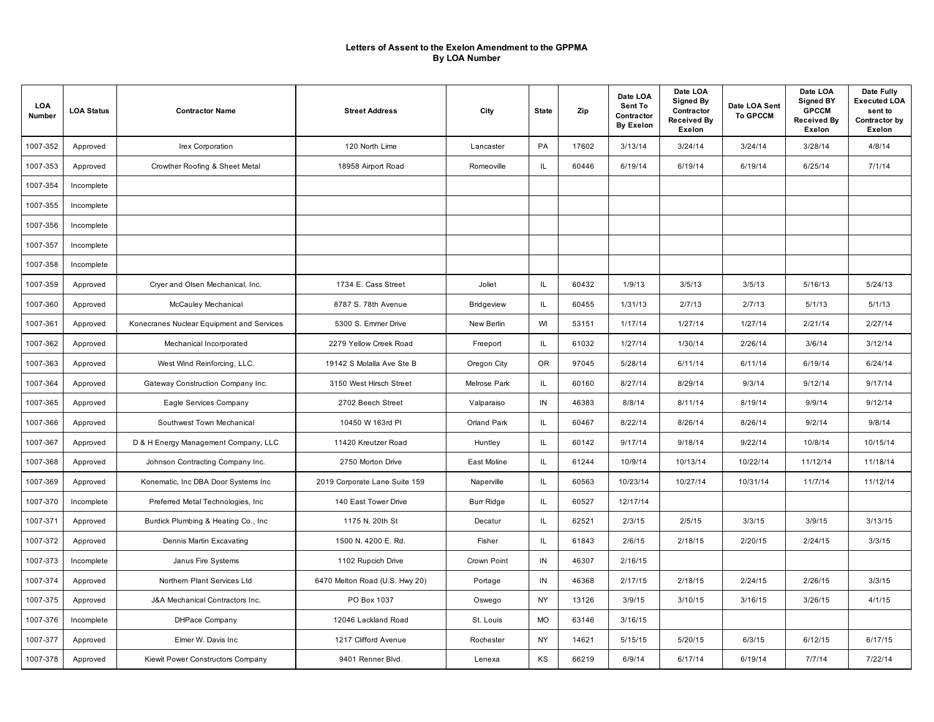| LOA<br>Number | <b>LOA Status</b> | <b>Contractor Name</b>                    | <b>Street Address</b>          | City              | <b>State</b> | Zip   | Date LOA<br>Sent To<br>Contractor<br><b>By Exelon</b> | Date LOA<br><b>Signed By</b><br>Contractor<br><b>Received By</b><br>Exelon | Date LOA Sent<br><b>To GPCCM</b> | Date LOA<br><b>Signed BY</b><br><b>GPCCM</b><br><b>Received By</b><br><b>Exelon</b> | Date Fully<br><b>Executed LOA</b><br>sent to<br>Contractor by<br>Exelon |
|---------------|-------------------|-------------------------------------------|--------------------------------|-------------------|--------------|-------|-------------------------------------------------------|----------------------------------------------------------------------------|----------------------------------|-------------------------------------------------------------------------------------|-------------------------------------------------------------------------|
| 1007-352      | Approved          | Irex Corporation                          | 120 North Lime                 | Lancaster         | PA           | 17602 | 3/13/14                                               | 3/24/14                                                                    | 3/24/14                          | 3/28/14                                                                             | 4/8/14                                                                  |
| 1007-353      | Approved          | Crowther Roofing & Sheet Metal            | 18958 Airport Road             | Romeoville        | IL           | 60446 | 6/19/14                                               | 6/19/14                                                                    | 6/19/14                          | 6/25/14                                                                             | 7/1/14                                                                  |
| 1007-354      | Incomplete        |                                           |                                |                   |              |       |                                                       |                                                                            |                                  |                                                                                     |                                                                         |
| 1007-355      | Incomplete        |                                           |                                |                   |              |       |                                                       |                                                                            |                                  |                                                                                     |                                                                         |
| 1007-356      | Incomplete        |                                           |                                |                   |              |       |                                                       |                                                                            |                                  |                                                                                     |                                                                         |
| 1007-357      | Incomplete        |                                           |                                |                   |              |       |                                                       |                                                                            |                                  |                                                                                     |                                                                         |
| 1007-358      | Incomplete        |                                           |                                |                   |              |       |                                                       |                                                                            |                                  |                                                                                     |                                                                         |
| 1007-359      | Approved          | Cryer and Olsen Mechanical, Inc.          | 1734 E. Cass Street            | Joliet            | IL.          | 60432 | 1/9/13                                                | 3/5/13                                                                     | 3/5/13                           | 5/16/13                                                                             | 5/24/13                                                                 |
| 1007-360      | Approved          | McCauley Mechanical                       | 8787 S. 78th Avenue            | Bridgeview        | IL.          | 60455 | 1/31/13                                               | 2/7/13                                                                     | 2/7/13                           | 5/1/13                                                                              | 5/1/13                                                                  |
| 1007-361      | Approved          | Konecranes Nuclear Equipment and Services | 5300 S. Emmer Drive            | New Berlin        | WI           | 53151 | 1/17/14                                               | 1/27/14                                                                    | 1/27/14                          | 2/21/14                                                                             | 2/27/14                                                                 |
| 1007-362      | Approved          | Mechanical Incorporated                   | 2279 Yellow Creek Road         | Freeport          | IL.          | 61032 | 1/27/14                                               | 1/30/14                                                                    | 2/26/14                          | 3/6/14                                                                              | 3/12/14                                                                 |
| 1007-363      | Approved          | West Wind Reinforcing, LLC.               | 19142 S Molalla Ave Ste B      | Oregon City       | <b>OR</b>    | 97045 | 5/28/14                                               | 6/11/14                                                                    | 6/11/14                          | 6/19/14                                                                             | 6/24/14                                                                 |
| 1007-364      | Approved          | Gateway Construction Company Inc.         | 3150 West Hirsch Street        | Melrose Park      | IL.          | 60160 | 8/27/14                                               | 8/29/14                                                                    | 9/3/14                           | 9/12/14                                                                             | 9/17/14                                                                 |
| 1007-365      | Approved          | Eagle Services Company                    | 2702 Beech Street              | Valparaiso        | IN           | 46383 | 8/8/14                                                | 8/11/14                                                                    | 8/19/14                          | 9/9/14                                                                              | 9/12/14                                                                 |
| 1007-366      | Approved          | Southwest Town Mechanical                 | 10450 W 163rd PI               | Orland Park       | IL.          | 60467 | 8/22/14                                               | 8/26/14                                                                    | 8/26/14                          | 9/2/14                                                                              | 9/8/14                                                                  |
| 1007-367      | Approved          | D & H Energy Management Company, LLC      | 11420 Kreutzer Road            | Huntley           | IL           | 60142 | 9/17/14                                               | 9/18/14                                                                    | 9/22/14                          | 10/8/14                                                                             | 10/15/14                                                                |
| 1007-368      | Approved          | Johnson Contracting Company Inc.          | 2750 Morton Drive              | East Moline       | IL           | 61244 | 10/9/14                                               | 10/13/14                                                                   | 10/22/14                         | 11/12/14                                                                            | 11/18/14                                                                |
| 1007-369      | Approved          | Konematic, Inc DBA Door Systems Inc       | 2019 Corporate Lane Suite 159  | Naperville        | IL.          | 60563 | 10/23/14                                              | 10/27/14                                                                   | 10/31/14                         | 11/7/14                                                                             | 11/12/14                                                                |
| 1007-370      | Incomplete        | Preferred Metal Technologies, Inc.        | 140 East Tower Drive           | <b>Burr Ridge</b> | IL.          | 60527 | 12/17/14                                              |                                                                            |                                  |                                                                                     |                                                                         |
| 1007-371      | Approved          | Burdick Plumbing & Heating Co., Inc.      | 1175 N. 20th St                | Decatur           | IL           | 62521 | 2/3/15                                                | 2/5/15                                                                     | 3/3/15                           | 3/9/15                                                                              | 3/13/15                                                                 |
| 1007-372      | Approved          | Dennis Martin Excavating                  | 1500 N. 4200 E. Rd.            | Fisher            | IL.          | 61843 | 2/6/15                                                | 2/18/15                                                                    | 2/20/15                          | 2/24/15                                                                             | 3/3/15                                                                  |
| 1007-373      | Incomplete        | Janus Fire Systems                        | 1102 Rupcich Drive             | Crown Point       | IN           | 46307 | 2/16/15                                               |                                                                            |                                  |                                                                                     |                                                                         |
| 1007-374      | Approved          | Northern Plant Services Ltd               | 6470 Melton Road (U.S. Hwy 20) | Portage           | IN           | 46368 | 2/17/15                                               | 2/18/15                                                                    | 2/24/15                          | 2/26/15                                                                             | 3/3/15                                                                  |
| 1007-375      | Approved          | J&A Mechanical Contractors Inc.           | PO Box 1037                    | Oswego            | <b>NY</b>    | 13126 | 3/9/15                                                | 3/10/15                                                                    | 3/16/15                          | 3/26/15                                                                             | 4/1/15                                                                  |
| 1007-376      | Incomplete        | DHPace Company                            | 12046 Lackland Road            | St. Louis         | <b>MO</b>    | 63146 | 3/16/15                                               |                                                                            |                                  |                                                                                     |                                                                         |
| 1007-377      | Approved          | Elmer W. Davis Inc                        | 1217 Clifford Avenue           | Rochester         | <b>NY</b>    | 14621 | 5/15/15                                               | 5/20/15                                                                    | 6/3/15                           | 6/12/15                                                                             | 6/17/15                                                                 |
| 1007-378      | Approved          | Kiewit Power Constructors Company         | 9401 Renner Blvd.              | Lenexa            | KS           | 66219 | 6/9/14                                                | 6/17/14                                                                    | 6/19/14                          | 7/7/14                                                                              | 7/22/14                                                                 |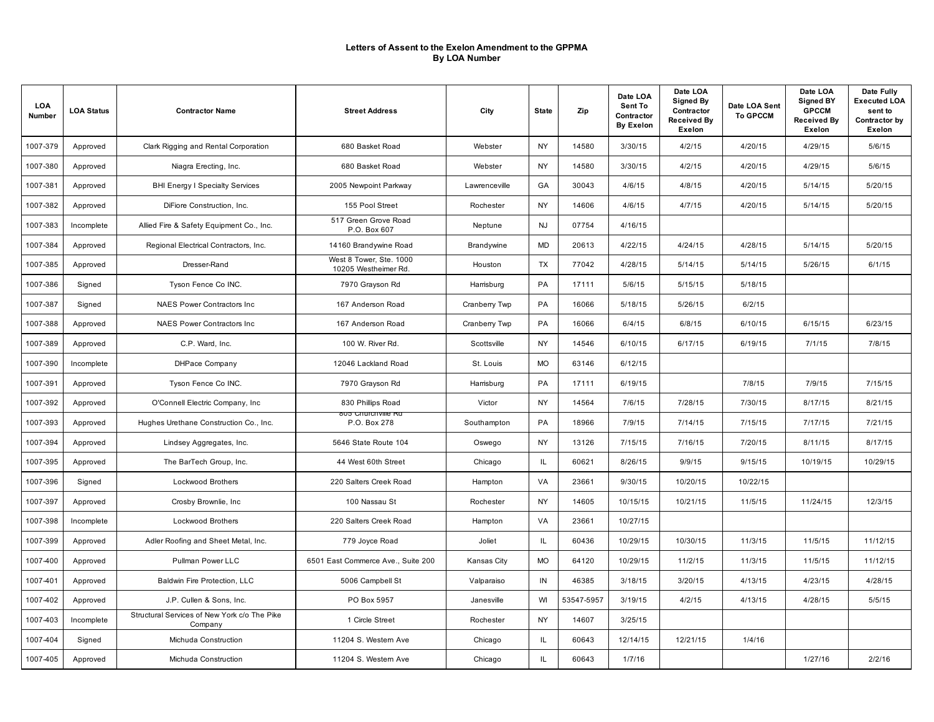| LOA<br>Number | <b>LOA Status</b> | <b>Contractor Name</b>                                  | <b>Street Address</b>                           | City          | <b>State</b> | Zip        | Date LOA<br>Sent To<br>Contractor<br><b>By Exelon</b> | Date LOA<br>Signed By<br>Contractor<br><b>Received By</b><br>Exelon | Date LOA Sent<br><b>To GPCCM</b> | Date LOA<br><b>Signed BY</b><br><b>GPCCM</b><br><b>Received By</b><br>Exelon | Date Fully<br><b>Executed LOA</b><br>sent to<br>Contractor by<br>Exelon |
|---------------|-------------------|---------------------------------------------------------|-------------------------------------------------|---------------|--------------|------------|-------------------------------------------------------|---------------------------------------------------------------------|----------------------------------|------------------------------------------------------------------------------|-------------------------------------------------------------------------|
| 1007-379      | Approved          | Clark Rigging and Rental Corporation                    | 680 Basket Road                                 | Webster       | <b>NY</b>    | 14580      | 3/30/15                                               | 4/2/15                                                              | 4/20/15                          | 4/29/15                                                                      | 5/6/15                                                                  |
| 1007-380      | Approved          | Niagra Erecting, Inc.                                   | 680 Basket Road                                 | Webster       | <b>NY</b>    | 14580      | 3/30/15                                               | 4/2/15                                                              | 4/20/15                          | 4/29/15                                                                      | 5/6/15                                                                  |
| 1007-381      | Approved          | <b>BHI Energy I Specialty Services</b>                  | 2005 Newpoint Parkway                           | Lawrenceville | GA           | 30043      | 4/6/15                                                | 4/8/15                                                              | 4/20/15                          | 5/14/15                                                                      | 5/20/15                                                                 |
| 1007-382      | Approved          | DiFiore Construction, Inc.                              | 155 Pool Street                                 | Rochester     | <b>NY</b>    | 14606      | 4/6/15                                                | 4/7/15                                                              | 4/20/15                          | 5/14/15                                                                      | 5/20/15                                                                 |
| 1007-383      | Incomplete        | Allied Fire & Safety Equipment Co., Inc.                | 517 Green Grove Road<br>P.O. Box 607            | Neptune       | <b>NJ</b>    | 07754      | 4/16/15                                               |                                                                     |                                  |                                                                              |                                                                         |
| 1007-384      | Approved          | Regional Electrical Contractors, Inc.                   | 14160 Brandywine Road                           | Brandywine    | MD           | 20613      | 4/22/15                                               | 4/24/15                                                             | 4/28/15                          | 5/14/15                                                                      | 5/20/15                                                                 |
| 1007-385      | Approved          | Dresser-Rand                                            | West 8 Tower, Ste. 1000<br>10205 Westheimer Rd. | Houston       | TX           | 77042      | 4/28/15                                               | 5/14/15                                                             | 5/14/15                          | 5/26/15                                                                      | 6/1/15                                                                  |
| 1007-386      | Signed            | Tyson Fence Co INC.                                     | 7970 Grayson Rd                                 | Harrisburg    | PA           | 17111      | 5/6/15                                                | 5/15/15                                                             | 5/18/15                          |                                                                              |                                                                         |
| 1007-387      | Signed            | NAES Power Contractors Inc                              | 167 Anderson Road                               | Cranberry Twp | PA           | 16066      | 5/18/15                                               | 5/26/15                                                             | 6/2/15                           |                                                                              |                                                                         |
| 1007-388      | Approved          | <b>NAES Power Contractors Inc.</b>                      | 167 Anderson Road                               | Cranberry Twp | PA           | 16066      | 6/4/15                                                | 6/8/15                                                              | 6/10/15                          | 6/15/15                                                                      | 6/23/15                                                                 |
| 1007-389      | Approved          | C.P. Ward. Inc.                                         | 100 W. River Rd.                                | Scottsville   | <b>NY</b>    | 14546      | 6/10/15                                               | 6/17/15                                                             | 6/19/15                          | 7/1/15                                                                       | 7/8/15                                                                  |
| 1007-390      | Incomplete        | <b>DHPace Company</b>                                   | 12046 Lackland Road                             | St. Louis     | <b>MO</b>    | 63146      | 6/12/15                                               |                                                                     |                                  |                                                                              |                                                                         |
| 1007-391      | Approved          | Tyson Fence Co INC.                                     | 7970 Grayson Rd                                 | Harrisburg    | PA           | 17111      | 6/19/15                                               |                                                                     | 7/8/15                           | 7/9/15                                                                       | 7/15/15                                                                 |
| 1007-392      | Approved          | O'Connell Electric Company, Inc                         | 830 Phillips Road                               | Victor        | <b>NY</b>    | 14564      | 7/6/15                                                | 7/28/15                                                             | 7/30/15                          | 8/17/15                                                                      | 8/21/15                                                                 |
| 1007-393      | Approved          | Hughes Urethane Construction Co., Inc.                  | <del>ous Critirenville Ra</del><br>P.O. Box 278 | Southampton   | PA           | 18966      | 7/9/15                                                | 7/14/15                                                             | 7/15/15                          | 7/17/15                                                                      | 7/21/15                                                                 |
| 1007-394      | Approved          | Lindsey Aggregates, Inc.                                | 5646 State Route 104                            | Oswego        | NY           | 13126      | 7/15/15                                               | 7/16/15                                                             | 7/20/15                          | 8/11/15                                                                      | 8/17/15                                                                 |
| 1007-395      | Approved          | The BarTech Group, Inc.                                 | 44 West 60th Street                             | Chicago       | IL.          | 60621      | 8/26/15                                               | 9/9/15                                                              | 9/15/15                          | 10/19/15                                                                     | 10/29/15                                                                |
| 1007-396      | Signed            | <b>Lockwood Brothers</b>                                | 220 Salters Creek Road                          | Hampton       | VA           | 23661      | 9/30/15                                               | 10/20/15                                                            | 10/22/15                         |                                                                              |                                                                         |
| 1007-397      | Approved          | Crosby Brownlie, Inc                                    | 100 Nassau St                                   | Rochester     | <b>NY</b>    | 14605      | 10/15/15                                              | 10/21/15                                                            | 11/5/15                          | 11/24/15                                                                     | 12/3/15                                                                 |
| 1007-398      | Incomplete        | <b>Lockwood Brothers</b>                                | 220 Salters Creek Road                          | Hampton       | VA           | 23661      | 10/27/15                                              |                                                                     |                                  |                                                                              |                                                                         |
| 1007-399      | Approved          | Adler Roofing and Sheet Metal, Inc.                     | 779 Joyce Road                                  | Joliet        | IL.          | 60436      | 10/29/15                                              | 10/30/15                                                            | 11/3/15                          | 11/5/15                                                                      | 11/12/15                                                                |
| 1007-400      | Approved          | Pullman Power LLC                                       | 6501 East Commerce Ave., Suite 200              | Kansas City   | <b>MO</b>    | 64120      | 10/29/15                                              | 11/2/15                                                             | 11/3/15                          | 11/5/15                                                                      | 11/12/15                                                                |
| 1007-401      | Approved          | Baldwin Fire Protection, LLC                            | 5006 Campbell St                                | Valparaiso    | IN           | 46385      | 3/18/15                                               | 3/20/15                                                             | 4/13/15                          | 4/23/15                                                                      | 4/28/15                                                                 |
| 1007-402      | Approved          | J.P. Cullen & Sons, Inc.                                | PO Box 5957                                     | Janesville    | WI           | 53547-5957 | 3/19/15                                               | 4/2/15                                                              | 4/13/15                          | 4/28/15                                                                      | 5/5/15                                                                  |
| 1007-403      | Incomplete        | Structural Services of New York c/o The Pike<br>Company | 1 Circle Street                                 | Rochester     | <b>NY</b>    | 14607      | 3/25/15                                               |                                                                     |                                  |                                                                              |                                                                         |
| 1007-404      | Signed            | Michuda Construction                                    | 11204 S. Western Ave                            | Chicago       | IL           | 60643      | 12/14/15                                              | 12/21/15                                                            | 1/4/16                           |                                                                              |                                                                         |
| 1007-405      | Approved          | Michuda Construction                                    | 11204 S. Western Ave                            | Chicago       | IL           | 60643      | 1/7/16                                                |                                                                     |                                  | 1/27/16                                                                      | 2/2/16                                                                  |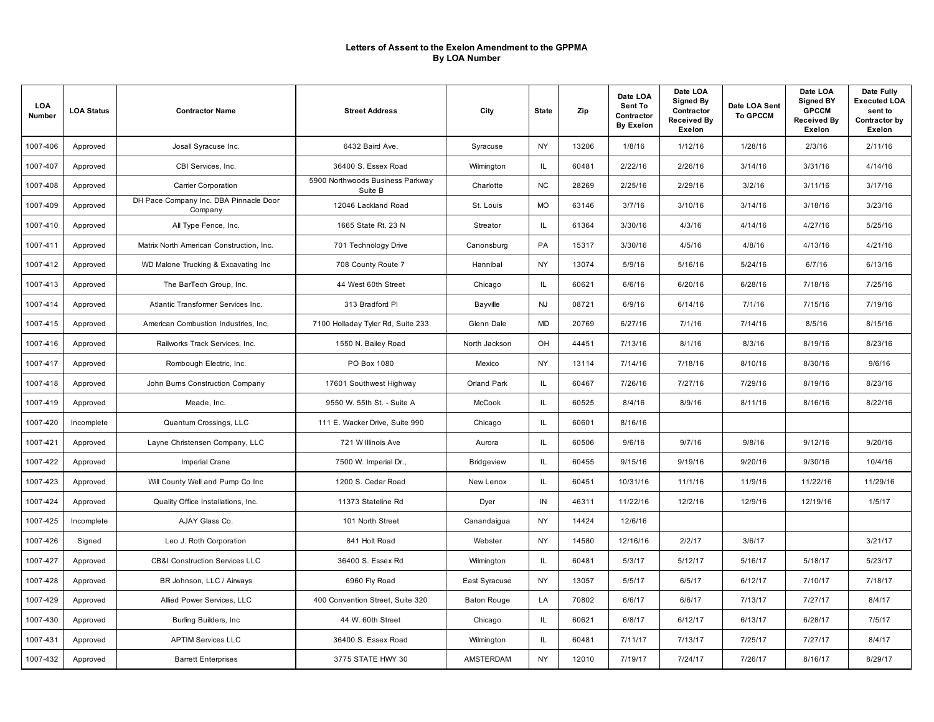| LOA<br>Number | <b>LOA Status</b> | <b>Contractor Name</b>                            | <b>Street Address</b>                       | City               | <b>State</b> | Zip   | Date LOA<br>Sent To<br>Contractor<br><b>By Exelon</b> | Date LOA<br>Signed By<br>Contractor<br><b>Received By</b><br>Exelon | Date LOA Sent<br><b>To GPCCM</b> | Date LOA<br><b>Signed BY</b><br><b>GPCCM</b><br><b>Received By</b><br><b>Exelon</b> | Date Fully<br><b>Executed LOA</b><br>sent to<br>Contractor by<br>Exelon |
|---------------|-------------------|---------------------------------------------------|---------------------------------------------|--------------------|--------------|-------|-------------------------------------------------------|---------------------------------------------------------------------|----------------------------------|-------------------------------------------------------------------------------------|-------------------------------------------------------------------------|
| 1007-406      | Approved          | Josall Syracuse Inc.                              | 6432 Baird Ave.                             | Syracuse           | <b>NY</b>    | 13206 | 1/8/16                                                | 1/12/16                                                             | 1/28/16                          | 2/3/16                                                                              | 2/11/16                                                                 |
| 1007-407      | Approved          | CBI Services, Inc.                                | 36400 S. Essex Road                         | Wilmington         | IL           | 60481 | 2/22/16                                               | 2/26/16                                                             | 3/14/16                          | 3/31/16                                                                             | 4/14/16                                                                 |
| 1007-408      | Approved          | Carrier Corporation                               | 5900 Northwoods Business Parkway<br>Suite B | Charlotte          | NC           | 28269 | 2/25/16                                               | 2/29/16                                                             | 3/2/16                           | 3/11/16                                                                             | 3/17/16                                                                 |
| 1007-409      | Approved          | DH Pace Company Inc. DBA Pinnacle Door<br>Company | 12046 Lackland Road                         | St. Louis          | <b>MO</b>    | 63146 | 3/7/16                                                | 3/10/16                                                             | 3/14/16                          | 3/18/16                                                                             | 3/23/16                                                                 |
| 1007-410      | Approved          | All Type Fence, Inc.                              | 1665 State Rt. 23 N                         | Streator           | IL.          | 61364 | 3/30/16                                               | 4/3/16                                                              | 4/14/16                          | 4/27/16                                                                             | 5/25/16                                                                 |
| 1007-411      | Approved          | Matrix North American Construction, Inc.          | 701 Technology Drive                        | Canonsburg         | PA           | 15317 | 3/30/16                                               | 4/5/16                                                              | 4/8/16                           | 4/13/16                                                                             | 4/21/16                                                                 |
| 1007-412      | Approved          | WD Malone Trucking & Excavating Inc               | 708 County Route 7                          | Hannibal           | <b>NY</b>    | 13074 | 5/9/16                                                | 5/16/16                                                             | 5/24/16                          | 6/7/16                                                                              | 6/13/16                                                                 |
| 1007-413      | Approved          | The BarTech Group, Inc.                           | 44 West 60th Street                         | Chicago            | IL.          | 60621 | 6/6/16                                                | 6/20/16                                                             | 6/28/16                          | 7/18/16                                                                             | 7/25/16                                                                 |
| 1007-414      | Approved          | Atlantic Transformer Services Inc.                | 313 Bradford PI                             | Bayville           | <b>NJ</b>    | 08721 | 6/9/16                                                | 6/14/16                                                             | 7/1/16                           | 7/15/16                                                                             | 7/19/16                                                                 |
| 1007-415      | Approved          | American Combustion Industries, Inc.              | 7100 Holladay Tyler Rd, Suite 233           | Glenn Dale         | <b>MD</b>    | 20769 | 6/27/16                                               | 7/1/16                                                              | 7/14/16                          | 8/5/16                                                                              | 8/15/16                                                                 |
| 1007-416      | Approved          | Railworks Track Services, Inc.                    | 1550 N. Bailey Road                         | North Jackson      | <b>OH</b>    | 44451 | 7/13/16                                               | 8/1/16                                                              | 8/3/16                           | 8/19/16                                                                             | 8/23/16                                                                 |
| 1007-417      | Approved          | Rombough Electric, Inc.                           | PO Box 1080                                 | Mexico             | <b>NY</b>    | 13114 | 7/14/16                                               | 7/18/16                                                             | 8/10/16                          | 8/30/16                                                                             | 9/6/16                                                                  |
| 1007-418      | Approved          | John Burns Construction Company                   | 17601 Southwest Highway                     | Orland Park        | IL.          | 60467 | 7/26/16                                               | 7/27/16                                                             | 7/29/16                          | 8/19/16                                                                             | 8/23/16                                                                 |
| 1007-419      | Approved          | Meade, Inc.                                       | 9550 W. 55th St. - Suite A                  | McCook             | IL.          | 60525 | 8/4/16                                                | 8/9/16                                                              | 8/11/16                          | 8/16/16                                                                             | 8/22/16                                                                 |
| 1007-420      | Incomplete        | Quantum Crossings, LLC                            | 111 E. Wacker Drive, Suite 990              | Chicago            | IL.          | 60601 | 8/16/16                                               |                                                                     |                                  |                                                                                     |                                                                         |
| 1007-421      | Approved          | Layne Christensen Company, LLC                    | 721 W Illinois Ave                          | Aurora             | IL.          | 60506 | 9/6/16                                                | 9/7/16                                                              | 9/8/16                           | 9/12/16                                                                             | 9/20/16                                                                 |
| 1007-422      | Approved          | Imperial Crane                                    | 7500 W. Imperial Dr.,                       | <b>Bridgeview</b>  | IL.          | 60455 | 9/15/16                                               | 9/19/16                                                             | 9/20/16                          | 9/30/16                                                                             | 10/4/16                                                                 |
| 1007-423      | Approved          | Will County Well and Pump Co Inc                  | 1200 S. Cedar Road                          | New Lenox          | IL.          | 60451 | 10/31/16                                              | 11/1/16                                                             | 11/9/16                          | 11/22/16                                                                            | 11/29/16                                                                |
| 1007-424      | Approved          | Quality Office Installations, Inc.                | 11373 Stateline Rd                          | Dyer               | IN           | 46311 | 11/22/16                                              | 12/2/16                                                             | 12/9/16                          | 12/19/16                                                                            | 1/5/17                                                                  |
| 1007-425      | Incomplete        | AJAY Glass Co.                                    | 101 North Street                            | Canandaigua        | <b>NY</b>    | 14424 | 12/6/16                                               |                                                                     |                                  |                                                                                     |                                                                         |
| 1007-426      | Signed            | Leo J. Roth Corporation                           | 841 Holt Road                               | Webster            | <b>NY</b>    | 14580 | 12/16/16                                              | 2/2/17                                                              | 3/6/17                           |                                                                                     | 3/21/17                                                                 |
| 1007-427      | Approved          | <b>CB&amp;I Construction Services LLC</b>         | 36400 S. Essex Rd                           | Wilmington         | IL.          | 60481 | 5/3/17                                                | 5/12/17                                                             | 5/16/17                          | 5/18/17                                                                             | 5/23/17                                                                 |
| 1007-428      | Approved          | BR Johnson, LLC / Airways                         | 6960 Fly Road                               | East Syracuse      | <b>NY</b>    | 13057 | 5/5/17                                                | 6/5/17                                                              | 6/12/17                          | 7/10/17                                                                             | 7/18/17                                                                 |
| 1007-429      | Approved          | Allied Power Services, LLC                        | 400 Convention Street, Suite 320            | <b>Baton Rouge</b> | LA           | 70802 | 6/6/17                                                | 6/6/17                                                              | 7/13/17                          | 7/27/17                                                                             | 8/4/17                                                                  |
| 1007-430      | Approved          | Burling Builders, Inc.                            | 44 W. 60th Street                           | Chicago            | IL           | 60621 | 6/8/17                                                | 6/12/17                                                             | 6/13/17                          | 6/28/17                                                                             | 7/5/17                                                                  |
| 1007-431      | Approved          | <b>APTIM Services LLC</b>                         | 36400 S. Essex Road                         | Wilmington         | IL.          | 60481 | 7/11/17                                               | 7/13/17                                                             | 7/25/17                          | 7/27/17                                                                             | 8/4/17                                                                  |
| 1007-432      | Approved          | <b>Barrett Enterprises</b>                        | 3775 STATE HWY 30                           | AMSTERDAM          | <b>NY</b>    | 12010 | 7/19/17                                               | 7/24/17                                                             | 7/26/17                          | 8/16/17                                                                             | 8/29/17                                                                 |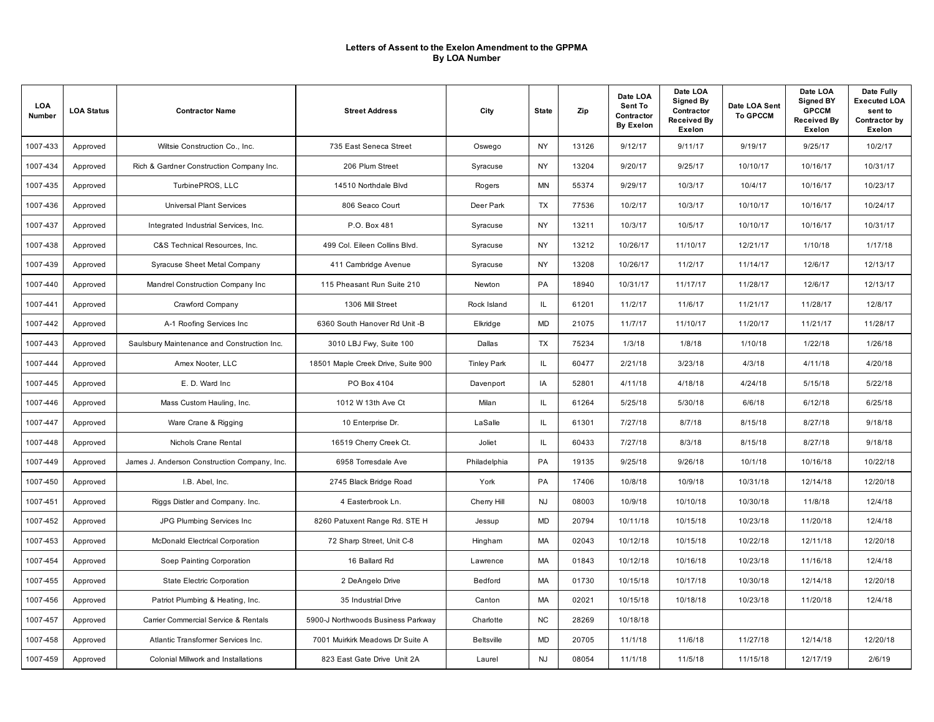| LOA<br>Number | <b>LOA Status</b> | <b>Contractor Name</b>                       | <b>Street Address</b>              | City               | <b>State</b> | Zip   | Date LOA<br>Sent To<br>Contractor<br><b>By Exelon</b> | Date LOA<br>Signed By<br>Contractor<br><b>Received By</b><br>Exelon | Date LOA Sent<br><b>To GPCCM</b> | Date LOA<br><b>Signed BY</b><br><b>GPCCM</b><br><b>Received By</b><br><b>Exelon</b> | Date Fully<br><b>Executed LOA</b><br>sent to<br>Contractor by<br>Exelon |
|---------------|-------------------|----------------------------------------------|------------------------------------|--------------------|--------------|-------|-------------------------------------------------------|---------------------------------------------------------------------|----------------------------------|-------------------------------------------------------------------------------------|-------------------------------------------------------------------------|
| 1007-433      | Approved          | Wiltsie Construction Co., Inc.               | 735 East Seneca Street             | Oswego             | <b>NY</b>    | 13126 | 9/12/17                                               | 9/11/17                                                             | 9/19/17                          | 9/25/17                                                                             | 10/2/17                                                                 |
| 1007-434      | Approved          | Rich & Gardner Construction Company Inc.     | 206 Plum Street                    | Syracuse           | <b>NY</b>    | 13204 | 9/20/17                                               | 9/25/17                                                             | 10/10/17                         | 10/16/17                                                                            | 10/31/17                                                                |
| 1007-435      | Approved          | TurbinePROS, LLC                             | 14510 Northdale Blvd               | Rogers             | <b>MN</b>    | 55374 | 9/29/17                                               | 10/3/17                                                             | 10/4/17                          | 10/16/17                                                                            | 10/23/17                                                                |
| 1007-436      | Approved          | <b>Universal Plant Services</b>              | 806 Seaco Court                    | Deer Park          | TX           | 77536 | 10/2/17                                               | 10/3/17                                                             | 10/10/17                         | 10/16/17                                                                            | 10/24/17                                                                |
| 1007-437      | Approved          | Integrated Industrial Services, Inc.         | P.O. Box 481                       | Syracuse           | NY           | 13211 | 10/3/17                                               | 10/5/17                                                             | 10/10/17                         | 10/16/17                                                                            | 10/31/17                                                                |
| 1007-438      | Approved          | C&S Technical Resources, Inc.                | 499 Col. Eileen Collins Blvd.      | Syracuse           | <b>NY</b>    | 13212 | 10/26/17                                              | 11/10/17                                                            | 12/21/17                         | 1/10/18                                                                             | 1/17/18                                                                 |
| 1007-439      | Approved          | Syracuse Sheet Metal Company                 | 411 Cambridge Avenue               | Syracuse           | NY           | 13208 | 10/26/17                                              | 11/2/17                                                             | 11/14/17                         | 12/6/17                                                                             | 12/13/17                                                                |
| 1007-440      | Approved          | Mandrel Construction Company Inc             | 115 Pheasant Run Suite 210         | Newton             | PA           | 18940 | 10/31/17                                              | 11/17/17                                                            | 11/28/17                         | 12/6/17                                                                             | 12/13/17                                                                |
| 1007-441      | Approved          | Crawford Company                             | 1306 Mill Street                   | Rock Island        | IL.          | 61201 | 11/2/17                                               | 11/6/17                                                             | 11/21/17                         | 11/28/17                                                                            | 12/8/17                                                                 |
| 1007-442      | Approved          | A-1 Roofing Services Inc.                    | 6360 South Hanover Rd Unit -B      | Elkridge           | <b>MD</b>    | 21075 | 11/7/17                                               | 11/10/17                                                            | 11/20/17                         | 11/21/17                                                                            | 11/28/17                                                                |
| 1007-443      | Approved          | Saulsbury Maintenance and Construction Inc.  | 3010 LBJ Fwy, Suite 100            | Dallas             | TX           | 75234 | 1/3/18                                                | 1/8/18                                                              | 1/10/18                          | 1/22/18                                                                             | 1/26/18                                                                 |
| 1007-444      | Approved          | Amex Nooter, LLC                             | 18501 Maple Creek Drive, Suite 900 | <b>Tinley Park</b> | IL.          | 60477 | 2/21/18                                               | 3/23/18                                                             | 4/3/18                           | 4/11/18                                                                             | 4/20/18                                                                 |
| 1007-445      | Approved          | E. D. Ward Inc.                              | PO Box 4104                        | Davenport          | IA           | 52801 | 4/11/18                                               | 4/18/18                                                             | 4/24/18                          | 5/15/18                                                                             | 5/22/18                                                                 |
| 1007-446      | Approved          | Mass Custom Hauling, Inc.                    | 1012 W 13th Ave Ct                 | Milan              | IL.          | 61264 | 5/25/18                                               | 5/30/18                                                             | 6/6/18                           | 6/12/18                                                                             | 6/25/18                                                                 |
| 1007-447      | Approved          | Ware Crane & Rigging                         | 10 Enterprise Dr.                  | LaSalle            | IL.          | 61301 | 7/27/18                                               | 8/7/18                                                              | 8/15/18                          | 8/27/18                                                                             | 9/18/18                                                                 |
| 1007-448      | Approved          | Nichols Crane Rental                         | 16519 Cherry Creek Ct.             | Joliet             | IL.          | 60433 | 7/27/18                                               | 8/3/18                                                              | 8/15/18                          | 8/27/18                                                                             | 9/18/18                                                                 |
| 1007-449      | Approved          | James J. Anderson Construction Company, Inc. | 6958 Torresdale Ave                | Philadelphia       | PA           | 19135 | 9/25/18                                               | 9/26/18                                                             | 10/1/18                          | 10/16/18                                                                            | 10/22/18                                                                |
| 1007-450      | Approved          | I.B. Abel, Inc.                              | 2745 Black Bridge Road             | York               | PA           | 17406 | 10/8/18                                               | 10/9/18                                                             | 10/31/18                         | 12/14/18                                                                            | 12/20/18                                                                |
| 1007-451      | Approved          | Riggs Distler and Company. Inc.              | 4 Easterbrook Ln.                  | Cherry Hill        | <b>NJ</b>    | 08003 | 10/9/18                                               | 10/10/18                                                            | 10/30/18                         | 11/8/18                                                                             | 12/4/18                                                                 |
| 1007-452      | Approved          | JPG Plumbing Services Inc.                   | 8260 Patuxent Range Rd. STE H      | Jessup             | MD           | 20794 | 10/11/18                                              | 10/15/18                                                            | 10/23/18                         | 11/20/18                                                                            | 12/4/18                                                                 |
| 1007-453      | Approved          | <b>McDonald Electrical Corporation</b>       | 72 Sharp Street, Unit C-8          | Hingham            | <b>MA</b>    | 02043 | 10/12/18                                              | 10/15/18                                                            | 10/22/18                         | 12/11/18                                                                            | 12/20/18                                                                |
| 1007-454      | Approved          | Soep Painting Corporation                    | 16 Ballard Rd                      | Lawrence           | MA           | 01843 | 10/12/18                                              | 10/16/18                                                            | 10/23/18                         | 11/16/18                                                                            | 12/4/18                                                                 |
| 1007-455      | Approved          | State Electric Corporation                   | 2 DeAngelo Drive                   | Bedford            | <b>MA</b>    | 01730 | 10/15/18                                              | 10/17/18                                                            | 10/30/18                         | 12/14/18                                                                            | 12/20/18                                                                |
| 1007-456      | Approved          | Patriot Plumbing & Heating, Inc.             | 35 Industrial Drive                | Canton             | <b>MA</b>    | 02021 | 10/15/18                                              | 10/18/18                                                            | 10/23/18                         | 11/20/18                                                                            | 12/4/18                                                                 |
| 1007-457      | Approved          | Carrier Commercial Service & Rentals         | 5900-J Northwoods Business Parkway | Charlotte          | NC           | 28269 | 10/18/18                                              |                                                                     |                                  |                                                                                     |                                                                         |
| 1007-458      | Approved          | Atlantic Transformer Services Inc.           | 7001 Muirkirk Meadows Dr Suite A   | <b>Beltsville</b>  | <b>MD</b>    | 20705 | 11/1/18                                               | 11/6/18                                                             | 11/27/18                         | 12/14/18                                                                            | 12/20/18                                                                |
| 1007-459      | Approved          | Colonial Millwork and Installations          | 823 East Gate Drive Unit 2A        | Laurel             | <b>NJ</b>    | 08054 | 11/1/18                                               | 11/5/18                                                             | 11/15/18                         | 12/17/19                                                                            | 2/6/19                                                                  |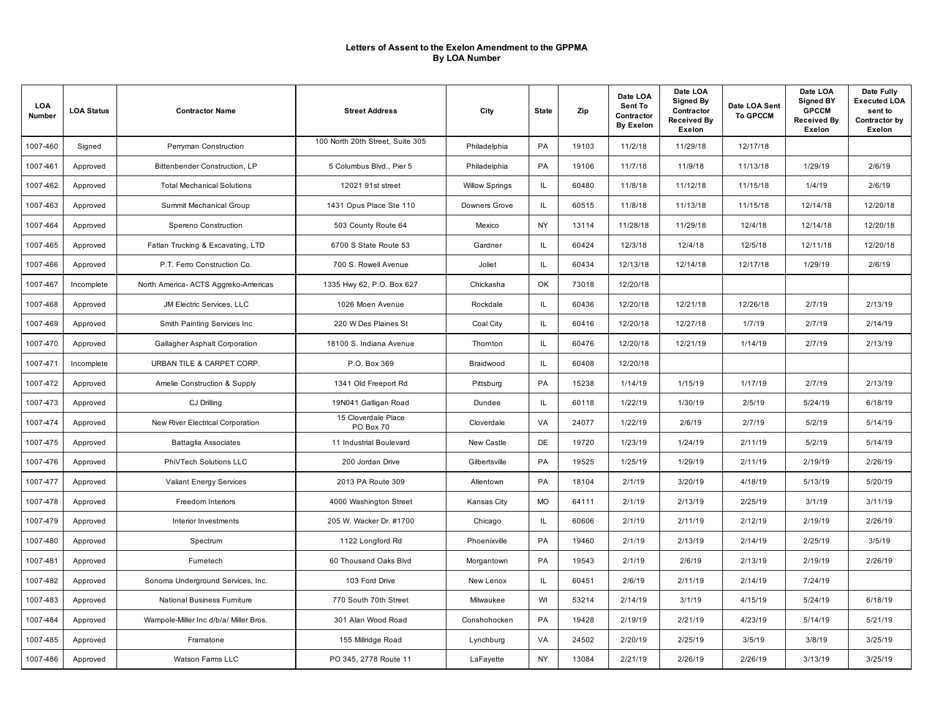| LOA<br>Number | <b>LOA Status</b> | <b>Contractor Name</b>                 | <b>Street Address</b>            | City                  | <b>State</b> | Zip   | Date LOA<br>Sent To<br>Contractor<br><b>By Exelon</b> | Date LOA<br><b>Signed By</b><br>Contractor<br><b>Received By</b><br>Exelon | Date LOA Sent<br><b>To GPCCM</b> | Date LOA<br><b>Signed BY</b><br><b>GPCCM</b><br><b>Received By</b><br><b>Exelon</b> | Date Fully<br><b>Executed LOA</b><br>sent to<br>Contractor by<br>Exelon |
|---------------|-------------------|----------------------------------------|----------------------------------|-----------------------|--------------|-------|-------------------------------------------------------|----------------------------------------------------------------------------|----------------------------------|-------------------------------------------------------------------------------------|-------------------------------------------------------------------------|
| 1007-460      | Signed            | Perryman Construction                  | 100 North 20th Street, Suite 305 | Philadelphia          | PA           | 19103 | 11/2/18                                               | 11/29/18                                                                   | 12/17/18                         |                                                                                     |                                                                         |
| 1007-461      | Approved          | Bittenbender Construction, LP          | 5 Columbus Blvd., Pier 5         | Philadelphia          | <b>PA</b>    | 19106 | 11/7/18                                               | 11/9/18                                                                    | 11/13/18                         | 1/29/19                                                                             | 2/6/19                                                                  |
| 1007-462      | Approved          | <b>Total Mechanical Solutions</b>      | 12021 91st street                | <b>Willow Springs</b> | IL.          | 60480 | 11/8/18                                               | 11/12/18                                                                   | 11/15/18                         | 1/4/19                                                                              | 2/6/19                                                                  |
| 1007-463      | Approved          | Summit Mechanical Group                | 1431 Opus Place Ste 110          | Downers Grove         | IL           | 60515 | 11/8/18                                               | 11/13/18                                                                   | 11/15/18                         | 12/14/18                                                                            | 12/20/18                                                                |
| 1007-464      | Approved          | Spereno Construction                   | 503 County Route 64              | Mexico                | <b>NY</b>    | 13114 | 11/28/18                                              | 11/29/18                                                                   | 12/4/18                          | 12/14/18                                                                            | 12/20/18                                                                |
| 1007-465      | Approved          | Fatlan Trucking & Excavating, LTD      | 6700 S State Route 53            | Gardner               | IL           | 60424 | 12/3/18                                               | 12/4/18                                                                    | 12/5/18                          | 12/11/18                                                                            | 12/20/18                                                                |
| 1007-466      | Approved          | P.T. Ferro Construction Co.            | 700 S. Rowell Avenue             | Joliet                | IL.          | 60434 | 12/13/18                                              | 12/14/18                                                                   | 12/17/18                         | 1/29/19                                                                             | 2/6/19                                                                  |
| 1007-467      | Incomplete        | North America- ACTS Aggreko-Americas   | 1335 Hwy 62, P.O. Box 627        | Chickasha             | OK           | 73018 | 12/20/18                                              |                                                                            |                                  |                                                                                     |                                                                         |
| 1007-468      | Approved          | JM Electric Services, LLC              | 1026 Moen Avenue                 | Rockdale              | IL           | 60436 | 12/20/18                                              | 12/21/18                                                                   | 12/26/18                         | 2/7/19                                                                              | 2/13/19                                                                 |
| 1007-469      | Approved          | Smith Painting Services Inc.           | 220 W Des Plaines St             | Coal City             | IL.          | 60416 | 12/20/18                                              | 12/27/18                                                                   | 1/7/19                           | 2/7/19                                                                              | 2/14/19                                                                 |
| 1007-470      | Approved          | Gallagher Asphalt Corporation          | 18100 S. Indiana Avenue          | Thomton               | IL.          | 60476 | 12/20/18                                              | 12/21/19                                                                   | 1/14/19                          | 2/7/19                                                                              | 2/13/19                                                                 |
| 1007-471      | Incomplete        | URBAN TILE & CARPET CORP.              | P.O. Box 369                     | Braidwood             | IL.          | 60408 | 12/20/18                                              |                                                                            |                                  |                                                                                     |                                                                         |
| 1007-472      | Approved          | Amelie Construction & Supply           | 1341 Old Freeport Rd             | Pittsburg             | <b>PA</b>    | 15238 | 1/14/19                                               | 1/15/19                                                                    | 1/17/19                          | 2/7/19                                                                              | 2/13/19                                                                 |
| 1007-473      | Approved          | CJ Drilling                            | 19N041 Galligan Road             | Dundee                | IL           | 60118 | 1/22/19                                               | 1/30/19                                                                    | 2/5/19                           | 5/24/19                                                                             | 6/18/19                                                                 |
| 1007-474      | Approved          | New River Electrical Corporation       | 15 Cloverdale Place<br>PO Box 70 | Cloverdale            | VA           | 24077 | 1/22/19                                               | 2/6/19                                                                     | 2/7/19                           | 5/2/19                                                                              | 5/14/19                                                                 |
| 1007-475      | Approved          | Battaglia Associates                   | 11 Industrial Boulevard          | New Castle            | DE           | 19720 | 1/23/19                                               | 1/24/19                                                                    | 2/11/19                          | 5/2/19                                                                              | 5/14/19                                                                 |
| 1007-476      | Approved          | PhiVTech Solutions LLC                 | 200 Jordan Drive                 | Gilbertsville         | PA           | 19525 | 1/25/19                                               | 1/29/19                                                                    | 2/11/19                          | 2/19/19                                                                             | 2/26/19                                                                 |
| 1007-477      | Approved          | <b>Valiant Energy Services</b>         | 2013 PA Route 309                | Allentown             | PA           | 18104 | 2/1/19                                                | 3/20/19                                                                    | 4/18/19                          | 5/13/19                                                                             | 5/20/19                                                                 |
| 1007-478      | Approved          | Freedom Interiors                      | 4000 Washington Street           | Kansas City           | <b>MO</b>    | 64111 | 2/1/19                                                | 2/13/19                                                                    | 2/25/19                          | 3/1/19                                                                              | 3/11/19                                                                 |
| 1007-479      | Approved          | Interior Investments                   | 205 W. Wacker Dr. #1700          | Chicago               | IL           | 60606 | 2/1/19                                                | 2/11/19                                                                    | 2/12/19                          | 2/19/19                                                                             | 2/26/19                                                                 |
| 1007-480      | Approved          | Spectrum                               | 1122 Longford Rd                 | Phoenixville          | PA           | 19460 | 2/1/19                                                | 2/13/19                                                                    | 2/14/19                          | 2/25/19                                                                             | 3/5/19                                                                  |
| 1007-481      | Approved          | Furnetech                              | 60 Thousand Oaks Blvd            | Morgantown            | PA           | 19543 | 2/1/19                                                | 2/6/19                                                                     | 2/13/19                          | 2/19/19                                                                             | 2/26/19                                                                 |
| 1007-482      | Approved          | Sonoma Underground Services, Inc.      | 103 Ford Drive                   | New Lenox             | IL           | 60451 | 2/6/19                                                | 2/11/19                                                                    | 2/14/19                          | 7/24/19                                                                             |                                                                         |
| 1007-483      | Approved          | National Business Furniture            | 770 South 70th Street            | Milwaukee             | WI           | 53214 | 2/14/19                                               | 3/1/19                                                                     | 4/15/19                          | 5/24/19                                                                             | 6/18/19                                                                 |
| 1007-484      | Approved          | Wampole-Miller Inc d/b/a/ Miller Bros. | 301 Alan Wood Road               | Conshohocken          | PA           | 19428 | 2/19/19                                               | 2/21/19                                                                    | 4/23/19                          | 5/14/19                                                                             | 5/21/19                                                                 |
| 1007-485      | Approved          | Framatone                              | 155 Millridge Road               | Lynchburg             | VA           | 24502 | 2/20/19                                               | 2/25/19                                                                    | 3/5/19                           | 3/8/19                                                                              | 3/25/19                                                                 |
| 1007-486      | Approved          | Watson Farms LLC                       | PO 345, 2778 Route 11            | LaFayette             | <b>NY</b>    | 13084 | 2/21/19                                               | 2/26/19                                                                    | 2/26/19                          | 3/13/19                                                                             | 3/25/19                                                                 |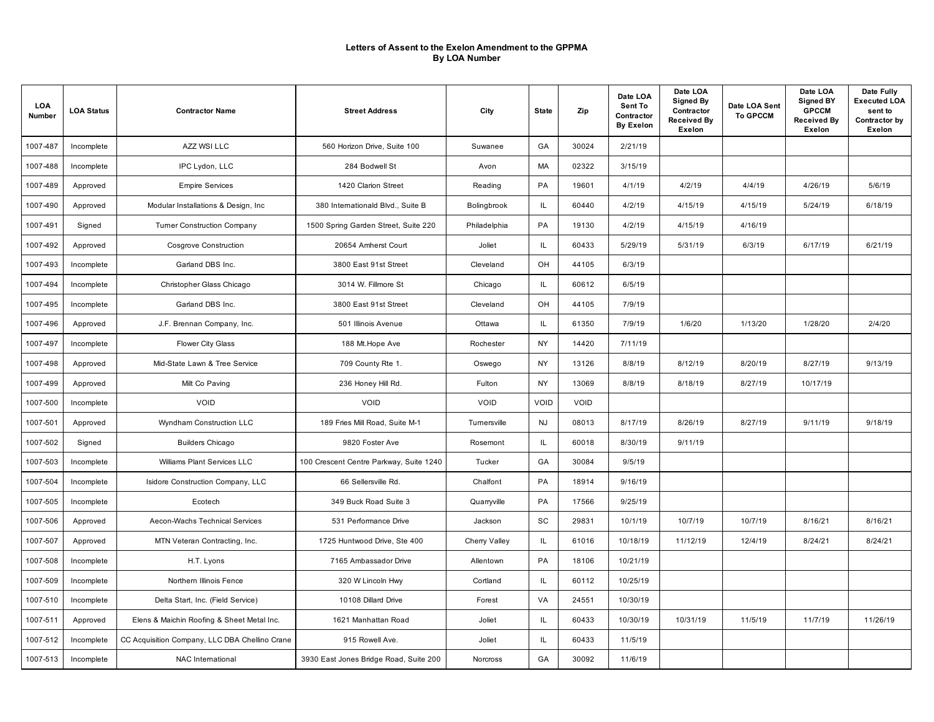| LOA<br>Number | <b>LOA Status</b> | <b>Contractor Name</b>                         | <b>Street Address</b>                   | City          | <b>State</b> | Zip   | Date LOA<br>Sent To<br>Contractor<br><b>By Exelon</b> | Date LOA<br><b>Signed By</b><br>Contractor<br><b>Received By</b><br>Exelon | Date LOA Sent<br><b>To GPCCM</b> | Date LOA<br><b>Signed BY</b><br><b>GPCCM</b><br><b>Received By</b><br><b>Exelon</b> | Date Fully<br><b>Executed LOA</b><br>sent to<br>Contractor by<br>Exelon |
|---------------|-------------------|------------------------------------------------|-----------------------------------------|---------------|--------------|-------|-------------------------------------------------------|----------------------------------------------------------------------------|----------------------------------|-------------------------------------------------------------------------------------|-------------------------------------------------------------------------|
| 1007-487      | Incomplete        | AZZ WSI LLC                                    | 560 Horizon Drive, Suite 100            | Suwanee       | GA           | 30024 | 2/21/19                                               |                                                                            |                                  |                                                                                     |                                                                         |
| 1007-488      | Incomplete        | IPC Lydon, LLC                                 | 284 Bodwell St                          | Avon          | <b>MA</b>    | 02322 | 3/15/19                                               |                                                                            |                                  |                                                                                     |                                                                         |
| 1007-489      | Approved          | <b>Empire Services</b>                         | 1420 Clarion Street                     | Reading       | PA           | 19601 | 4/1/19                                                | 4/2/19                                                                     | 4/4/19                           | 4/26/19                                                                             | 5/6/19                                                                  |
| 1007-490      | Approved          | Modular Installations & Design, Inc.           | 380 Internationald Blvd., Suite B       | Bolingbrook   | IL.          | 60440 | 4/2/19                                                | 4/15/19                                                                    | 4/15/19                          | 5/24/19                                                                             | 6/18/19                                                                 |
| 1007-491      | Signed            | <b>Turner Construction Company</b>             | 1500 Spring Garden Street, Suite 220    | Philadelphia  | PA           | 19130 | 4/2/19                                                | 4/15/19                                                                    | 4/16/19                          |                                                                                     |                                                                         |
| 1007-492      | Approved          | Cosgrove Construction                          | 20654 Amherst Court                     | Joliet        | IL.          | 60433 | 5/29/19                                               | 5/31/19                                                                    | 6/3/19                           | 6/17/19                                                                             | 6/21/19                                                                 |
| 1007-493      | Incomplete        | Garland DBS Inc.                               | 3800 East 91st Street                   | Cleveland     | OH           | 44105 | 6/3/19                                                |                                                                            |                                  |                                                                                     |                                                                         |
| 1007-494      | Incomplete        | Christopher Glass Chicago                      | 3014 W. Fillmore St                     | Chicago       | IL.          | 60612 | 6/5/19                                                |                                                                            |                                  |                                                                                     |                                                                         |
| 1007-495      | Incomplete        | Garland DBS Inc.                               | 3800 East 91st Street                   | Cleveland     | OH           | 44105 | 7/9/19                                                |                                                                            |                                  |                                                                                     |                                                                         |
| 1007-496      | Approved          | J.F. Brennan Company, Inc.                     | 501 Illinois Avenue                     | Ottawa        | IL.          | 61350 | 7/9/19                                                | 1/6/20                                                                     | 1/13/20                          | 1/28/20                                                                             | 2/4/20                                                                  |
| 1007-497      | Incomplete        | <b>Flower City Glass</b>                       | 188 Mt.Hope Ave                         | Rochester     | NY           | 14420 | 7/11/19                                               |                                                                            |                                  |                                                                                     |                                                                         |
| 1007-498      | Approved          | Mid-State Lawn & Tree Service                  | 709 County Rte 1.                       | Oswego        | NY           | 13126 | 8/8/19                                                | 8/12/19                                                                    | 8/20/19                          | 8/27/19                                                                             | 9/13/19                                                                 |
| 1007-499      | Approved          | Milt Co Paving                                 | 236 Honey Hill Rd.                      | Fulton        | <b>NY</b>    | 13069 | 8/8/19                                                | 8/18/19                                                                    | 8/27/19                          | 10/17/19                                                                            |                                                                         |
| 1007-500      | Incomplete        | <b>VOID</b>                                    | <b>VOID</b>                             | VOID          | VOID         | VOID  |                                                       |                                                                            |                                  |                                                                                     |                                                                         |
| 1007-501      | Approved          | Wyndham Construction LLC                       | 189 Fries Mill Road, Suite M-1          | Turnersville  | <b>NJ</b>    | 08013 | 8/17/19                                               | 8/26/19                                                                    | 8/27/19                          | 9/11/19                                                                             | 9/18/19                                                                 |
| 1007-502      | Signed            | <b>Builders Chicago</b>                        | 9820 Foster Ave                         | Rosemont      | IL.          | 60018 | 8/30/19                                               | 9/11/19                                                                    |                                  |                                                                                     |                                                                         |
| 1007-503      | Incomplete        | Williams Plant Services LLC                    | 100 Crescent Centre Parkway, Suite 1240 | Tucker        | GA           | 30084 | 9/5/19                                                |                                                                            |                                  |                                                                                     |                                                                         |
| 1007-504      | Incomplete        | Isidore Construction Company, LLC              | 66 Sellersville Rd.                     | Chalfont      | PA           | 18914 | 9/16/19                                               |                                                                            |                                  |                                                                                     |                                                                         |
| 1007-505      | Incomplete        | Ecotech                                        | 349 Buck Road Suite 3                   | Quarryville   | PA           | 17566 | 9/25/19                                               |                                                                            |                                  |                                                                                     |                                                                         |
| 1007-506      | Approved          | Aecon-Wachs Technical Services                 | 531 Performance Drive                   | Jackson       | SC           | 29831 | 10/1/19                                               | 10/7/19                                                                    | 10/7/19                          | 8/16/21                                                                             | 8/16/21                                                                 |
| 1007-507      | Approved          | MTN Veteran Contracting, Inc.                  | 1725 Huntwood Drive, Ste 400            | Cherry Valley | IL           | 61016 | 10/18/19                                              | 11/12/19                                                                   | 12/4/19                          | 8/24/21                                                                             | 8/24/21                                                                 |
| 1007-508      | Incomplete        | H.T. Lyons                                     | 7165 Ambassador Drive                   | Allentown     | PA           | 18106 | 10/21/19                                              |                                                                            |                                  |                                                                                     |                                                                         |
| 1007-509      | Incomplete        | Northern Illinois Fence                        | 320 W Lincoln Hwy                       | Cortland      | IL           | 60112 | 10/25/19                                              |                                                                            |                                  |                                                                                     |                                                                         |
| 1007-510      | Incomplete        | Delta Start, Inc. (Field Service)              | 10108 Dillard Drive                     | Forest        | VA           | 24551 | 10/30/19                                              |                                                                            |                                  |                                                                                     |                                                                         |
| 1007-511      | Approved          | Elens & Maichin Roofing & Sheet Metal Inc.     | 1621 Manhattan Road                     | Joliet        | IL.          | 60433 | 10/30/19                                              | 10/31/19                                                                   | 11/5/19                          | 11/7/19                                                                             | 11/26/19                                                                |
| 1007-512      | Incomplete        | CC Acquisition Company, LLC DBA Chellino Crane | 915 Rowell Ave.                         | Joliet        | IL.          | 60433 | 11/5/19                                               |                                                                            |                                  |                                                                                     |                                                                         |
| 1007-513      | Incomplete        | NAC International                              | 3930 East Jones Bridge Road, Suite 200  | Norcross      | GA           | 30092 | 11/6/19                                               |                                                                            |                                  |                                                                                     |                                                                         |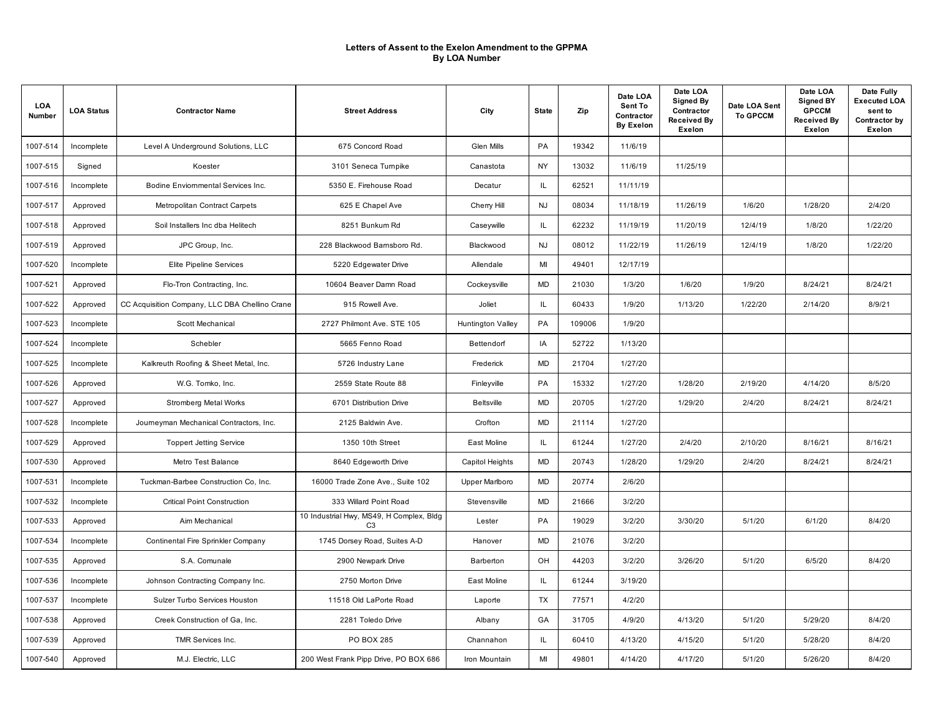| LOA<br>Number | <b>LOA Status</b> | <b>Contractor Name</b>                         | <b>Street Address</b>                                      | City                     | <b>State</b> | Zip    | Date LOA<br>Sent To<br>Contractor<br><b>By Exelon</b> | Date LOA<br>Signed By<br>Contractor<br><b>Received By</b><br>Exelon | Date LOA Sent<br><b>To GPCCM</b> | Date LOA<br><b>Signed BY</b><br><b>GPCCM</b><br><b>Received By</b><br>Exelon | Date Fully<br><b>Executed LOA</b><br>sent to<br>Contractor by<br>Exelon |
|---------------|-------------------|------------------------------------------------|------------------------------------------------------------|--------------------------|--------------|--------|-------------------------------------------------------|---------------------------------------------------------------------|----------------------------------|------------------------------------------------------------------------------|-------------------------------------------------------------------------|
| 1007-514      | Incomplete        | Level A Underground Solutions, LLC             | 675 Concord Road                                           | <b>Glen Mills</b>        | PA           | 19342  | 11/6/19                                               |                                                                     |                                  |                                                                              |                                                                         |
| 1007-515      | Signed            | Koester                                        | 3101 Seneca Tumpike                                        | Canastota                | NY           | 13032  | 11/6/19                                               | 11/25/19                                                            |                                  |                                                                              |                                                                         |
| 1007-516      | Incomplete        | Bodine Enviornmental Services Inc.             | 5350 E. Firehouse Road                                     | Decatur                  | IL.          | 62521  | 11/11/19                                              |                                                                     |                                  |                                                                              |                                                                         |
| 1007-517      | Approved          | Metropolitan Contract Carpets                  | 625 E Chapel Ave                                           | Cherry Hill              | <b>NJ</b>    | 08034  | 11/18/19                                              | 11/26/19                                                            | 1/6/20                           | 1/28/20                                                                      | 2/4/20                                                                  |
| 1007-518      | Approved          | Soil Installers Inc dba Helitech               | 8251 Bunkum Rd                                             | Caseywille               | IL.          | 62232  | 11/19/19                                              | 11/20/19                                                            | 12/4/19                          | 1/8/20                                                                       | 1/22/20                                                                 |
| 1007-519      | Approved          | JPC Group, Inc.                                | 228 Blackwood Bamsboro Rd.                                 | Blackwood                | <b>NJ</b>    | 08012  | 11/22/19                                              | 11/26/19                                                            | 12/4/19                          | 1/8/20                                                                       | 1/22/20                                                                 |
| 1007-520      | Incomplete        | <b>Elite Pipeline Services</b>                 | 5220 Edgewater Drive                                       | Allendale                | MI           | 49401  | 12/17/19                                              |                                                                     |                                  |                                                                              |                                                                         |
| 1007-521      | Approved          | Flo-Tron Contracting, Inc.                     | 10604 Beaver Damn Road                                     | Cockeysville             | <b>MD</b>    | 21030  | 1/3/20                                                | 1/6/20                                                              | 1/9/20                           | 8/24/21                                                                      | 8/24/21                                                                 |
| 1007-522      | Approved          | CC Acquisition Company, LLC DBA Chellino Crane | 915 Rowell Ave.                                            | Joliet                   | IL.          | 60433  | 1/9/20                                                | 1/13/20                                                             | 1/22/20                          | 2/14/20                                                                      | 8/9/21                                                                  |
| 1007-523      | Incomplete        | Scott Mechanical                               | 2727 Philmont Ave. STE 105                                 | <b>Huntington Valley</b> | PA           | 109006 | 1/9/20                                                |                                                                     |                                  |                                                                              |                                                                         |
| 1007-524      | Incomplete        | Schebler                                       | 5665 Fenno Road                                            | Bettendorf               | IA           | 52722  | 1/13/20                                               |                                                                     |                                  |                                                                              |                                                                         |
| 1007-525      | Incomplete        | Kalkreuth Roofing & Sheet Metal, Inc.          | 5726 Industry Lane                                         | Frederick                | <b>MD</b>    | 21704  | 1/27/20                                               |                                                                     |                                  |                                                                              |                                                                         |
| 1007-526      | Approved          | W.G. Tomko, Inc.                               | 2559 State Route 88                                        | Finleyville              | PA           | 15332  | 1/27/20                                               | 1/28/20                                                             | 2/19/20                          | 4/14/20                                                                      | 8/5/20                                                                  |
| 1007-527      | Approved          | Stromberg Metal Works                          | 6701 Distribution Drive                                    | <b>Beltsville</b>        | <b>MD</b>    | 20705  | 1/27/20                                               | 1/29/20                                                             | 2/4/20                           | 8/24/21                                                                      | 8/24/21                                                                 |
| 1007-528      | Incomplete        | Journeyman Mechanical Contractors, Inc.        | 2125 Baldwin Ave.                                          | Crofton                  | <b>MD</b>    | 21114  | 1/27/20                                               |                                                                     |                                  |                                                                              |                                                                         |
| 1007-529      | Approved          | <b>Toppert Jetting Service</b>                 | 1350 10th Street                                           | East Moline              | IL.          | 61244  | 1/27/20                                               | 2/4/20                                                              | 2/10/20                          | 8/16/21                                                                      | 8/16/21                                                                 |
| 1007-530      | Approved          | Metro Test Balance                             | 8640 Edgeworth Drive                                       | Capitol Heights          | <b>MD</b>    | 20743  | 1/28/20                                               | 1/29/20                                                             | 2/4/20                           | 8/24/21                                                                      | 8/24/21                                                                 |
| 1007-531      | Incomplete        | Tuckman-Barbee Construction Co, Inc.           | 16000 Trade Zone Ave., Suite 102                           | <b>Upper Marlboro</b>    | <b>MD</b>    | 20774  | 2/6/20                                                |                                                                     |                                  |                                                                              |                                                                         |
| 1007-532      | Incomplete        | <b>Critical Point Construction</b>             | 333 Willard Point Road                                     | Stevensville             | <b>MD</b>    | 21666  | 3/2/20                                                |                                                                     |                                  |                                                                              |                                                                         |
| 1007-533      | Approved          | Aim Mechanical                                 | 10 Industrial Hwy, MS49, H Complex, Bldg<br>C <sub>3</sub> | Lester                   | PA           | 19029  | 3/2/20                                                | 3/30/20                                                             | 5/1/20                           | 6/1/20                                                                       | 8/4/20                                                                  |
| 1007-534      | Incomplete        | Continental Fire Sprinkler Company             | 1745 Dorsey Road, Suites A-D                               | Hanover                  | <b>MD</b>    | 21076  | 3/2/20                                                |                                                                     |                                  |                                                                              |                                                                         |
| 1007-535      | Approved          | S.A. Comunale                                  | 2900 Newpark Drive                                         | Barberton                | <b>OH</b>    | 44203  | 3/2/20                                                | 3/26/20                                                             | 5/1/20                           | 6/5/20                                                                       | 8/4/20                                                                  |
| 1007-536      | Incomplete        | Johnson Contracting Company Inc.               | 2750 Morton Drive                                          | East Moline              | IL.          | 61244  | 3/19/20                                               |                                                                     |                                  |                                                                              |                                                                         |
| 1007-537      | Incomplete        | Sulzer Turbo Services Houston                  | 11518 Old LaPorte Road                                     | Laporte                  | TX           | 77571  | 4/2/20                                                |                                                                     |                                  |                                                                              |                                                                         |
| 1007-538      | Approved          | Creek Construction of Ga, Inc.                 | 2281 Toledo Drive                                          | Albany                   | GA           | 31705  | 4/9/20                                                | 4/13/20                                                             | 5/1/20                           | 5/29/20                                                                      | 8/4/20                                                                  |
| 1007-539      | Approved          | <b>TMR Services Inc.</b>                       | PO BOX 285                                                 | Channahon                | IL.          | 60410  | 4/13/20                                               | 4/15/20                                                             | 5/1/20                           | 5/28/20                                                                      | 8/4/20                                                                  |
| 1007-540      | Approved          | M.J. Electric, LLC                             | 200 West Frank Pipp Drive, PO BOX 686                      | Iron Mountain            | MI           | 49801  | 4/14/20                                               | 4/17/20                                                             | 5/1/20                           | 5/26/20                                                                      | 8/4/20                                                                  |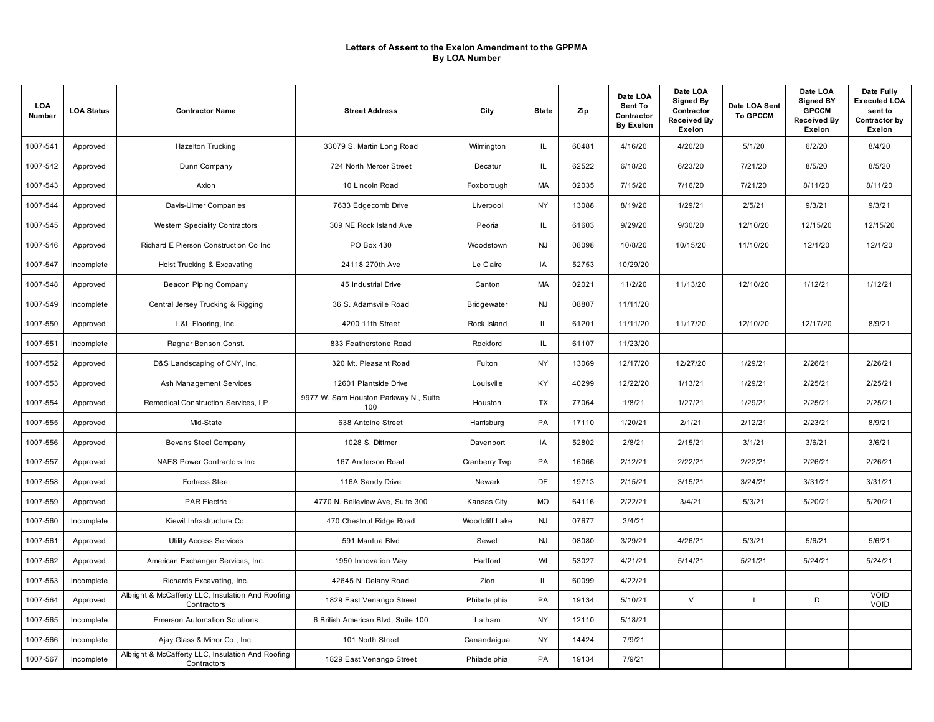| LOA<br>Number | <b>LOA Status</b> | <b>Contractor Name</b>                                           | <b>Street Address</b>                        | City               | <b>State</b> | Zip   | Date LOA<br>Sent To<br>Contractor<br><b>By Exelon</b> | Date LOA<br>Signed By<br>Contractor<br><b>Received By</b><br>Exelon | Date LOA Sent<br><b>To GPCCM</b> | Date LOA<br><b>Signed BY</b><br><b>GPCCM</b><br><b>Received By</b><br><b>Exelon</b> | Date Fully<br><b>Executed LOA</b><br>sent to<br>Contractor by<br>Exelon |
|---------------|-------------------|------------------------------------------------------------------|----------------------------------------------|--------------------|--------------|-------|-------------------------------------------------------|---------------------------------------------------------------------|----------------------------------|-------------------------------------------------------------------------------------|-------------------------------------------------------------------------|
| 1007-541      | Approved          | <b>Hazelton Trucking</b>                                         | 33079 S. Martin Long Road                    | Wilmington         | IL.          | 60481 | 4/16/20                                               | 4/20/20                                                             | 5/1/20                           | 6/2/20                                                                              | 8/4/20                                                                  |
| 1007-542      | Approved          | Dunn Company                                                     | 724 North Mercer Street                      | Decatur            | IL.          | 62522 | 6/18/20                                               | 6/23/20                                                             | 7/21/20                          | 8/5/20                                                                              | 8/5/20                                                                  |
| 1007-543      | Approved          | Axion                                                            | 10 Lincoln Road                              | Foxborough         | MA           | 02035 | 7/15/20                                               | 7/16/20                                                             | 7/21/20                          | 8/11/20                                                                             | 8/11/20                                                                 |
| 1007-544      | Approved          | Davis-Ulmer Companies                                            | 7633 Edgecomb Drive                          | Liverpool          | <b>NY</b>    | 13088 | 8/19/20                                               | 1/29/21                                                             | 2/5/21                           | 9/3/21                                                                              | 9/3/21                                                                  |
| 1007-545      | Approved          | Western Speciality Contractors                                   | 309 NE Rock Island Ave                       | Peoria             | IL.          | 61603 | 9/29/20                                               | 9/30/20                                                             | 12/10/20                         | 12/15/20                                                                            | 12/15/20                                                                |
| 1007-546      | Approved          | Richard E Pierson Construction Co Inc                            | PO Box 430                                   | Woodstown          | <b>NJ</b>    | 08098 | 10/8/20                                               | 10/15/20                                                            | 11/10/20                         | 12/1/20                                                                             | 12/1/20                                                                 |
| 1007-547      | Incomplete        | Holst Trucking & Excavating                                      | 24118 270th Ave                              | Le Claire          | IA           | 52753 | 10/29/20                                              |                                                                     |                                  |                                                                                     |                                                                         |
| 1007-548      | Approved          | Beacon Piping Company                                            | 45 Industrial Drive                          | Canton             | MA           | 02021 | 11/2/20                                               | 11/13/20                                                            | 12/10/20                         | 1/12/21                                                                             | 1/12/21                                                                 |
| 1007-549      | Incomplete        | Central Jersey Trucking & Rigging                                | 36 S. Adamsville Road                        | <b>Bridgewater</b> | <b>NJ</b>    | 08807 | 11/11/20                                              |                                                                     |                                  |                                                                                     |                                                                         |
| 1007-550      | Approved          | L&L Flooring, Inc.                                               | 4200 11th Street                             | Rock Island        | IL.          | 61201 | 11/11/20                                              | 11/17/20                                                            | 12/10/20                         | 12/17/20                                                                            | 8/9/21                                                                  |
| 1007-551      | Incomplete        | Ragnar Benson Const.                                             | 833 Featherstone Road                        | Rockford           | IL.          | 61107 | 11/23/20                                              |                                                                     |                                  |                                                                                     |                                                                         |
| 1007-552      | Approved          | D&S Landscaping of CNY, Inc.                                     | 320 Mt. Pleasant Road                        | Fulton             | NY           | 13069 | 12/17/20                                              | 12/27/20                                                            | 1/29/21                          | 2/26/21                                                                             | 2/26/21                                                                 |
| 1007-553      | Approved          | Ash Management Services                                          | 12601 Plantside Drive                        | Louisville         | <b>KY</b>    | 40299 | 12/22/20                                              | 1/13/21                                                             | 1/29/21                          | 2/25/21                                                                             | 2/25/21                                                                 |
| 1007-554      | Approved          | Remedical Construction Services, LP                              | 9977 W. Sam Houston Parkway N., Suite<br>100 | Houston            | TX           | 77064 | 1/8/21                                                | 1/27/21                                                             | 1/29/21                          | 2/25/21                                                                             | 2/25/21                                                                 |
| 1007-555      | Approved          | Mid-State                                                        | 638 Antoine Street                           | Harrisburg         | PA           | 17110 | 1/20/21                                               | 2/1/21                                                              | 2/12/21                          | 2/23/21                                                                             | 8/9/21                                                                  |
| 1007-556      | Approved          | Bevans Steel Company                                             | 1028 S. Dittmer                              | Davenport          | IA           | 52802 | 2/8/21                                                | 2/15/21                                                             | 3/1/21                           | 3/6/21                                                                              | 3/6/21                                                                  |
| 1007-557      | Approved          | <b>NAES Power Contractors Inc</b>                                | 167 Anderson Road                            | Cranberry Twp      | PA           | 16066 | 2/12/21                                               | 2/22/21                                                             | 2/22/21                          | 2/26/21                                                                             | 2/26/21                                                                 |
| 1007-558      | Approved          | <b>Fortress Steel</b>                                            | 116A Sandy Drive                             | Newark             | <b>DE</b>    | 19713 | 2/15/21                                               | 3/15/21                                                             | 3/24/21                          | 3/31/21                                                                             | 3/31/21                                                                 |
| 1007-559      | Approved          | <b>PAR Electric</b>                                              | 4770 N. Belleview Ave, Suite 300             | Kansas City        | <b>MO</b>    | 64116 | 2/22/21                                               | 3/4/21                                                              | 5/3/21                           | 5/20/21                                                                             | 5/20/21                                                                 |
| 1007-560      | Incomplete        | Kiewit Infrastructure Co.                                        | 470 Chestnut Ridge Road                      | Woodcliff Lake     | <b>NJ</b>    | 07677 | 3/4/21                                                |                                                                     |                                  |                                                                                     |                                                                         |
| 1007-561      | Approved          | <b>Utility Access Services</b>                                   | 591 Mantua Blvd                              | Sewell             | <b>NJ</b>    | 08080 | 3/29/21                                               | 4/26/21                                                             | 5/3/21                           | 5/6/21                                                                              | 5/6/21                                                                  |
| 1007-562      | Approved          | American Exchanger Services, Inc.                                | 1950 Innovation Way                          | Hartford           | WI           | 53027 | 4/21/21                                               | 5/14/21                                                             | 5/21/21                          | 5/24/21                                                                             | 5/24/21                                                                 |
| 1007-563      | Incomplete        | Richards Excavating, Inc.                                        | 42645 N. Delany Road                         | Zion               | IL.          | 60099 | 4/22/21                                               |                                                                     |                                  |                                                                                     |                                                                         |
| 1007-564      | Approved          | Albright & McCafferty LLC, Insulation And Roofing<br>Contractors | 1829 East Venango Street                     | Philadelphia       | PA           | 19134 | 5/10/21                                               | $\vee$                                                              | $\blacksquare$                   | D                                                                                   | <b>VOID</b><br>VOID                                                     |
| 1007-565      | Incomplete        | <b>Emerson Automation Solutions</b>                              | 6 British American Blvd, Suite 100           | Latham             | NY           | 12110 | 5/18/21                                               |                                                                     |                                  |                                                                                     |                                                                         |
| 1007-566      | Incomplete        | Ajay Glass & Mirror Co., Inc.                                    | 101 North Street                             | Canandaigua        | NY           | 14424 | 7/9/21                                                |                                                                     |                                  |                                                                                     |                                                                         |
| 1007-567      | Incomplete        | Albright & McCafferty LLC, Insulation And Roofing<br>Contractors | 1829 East Venango Street                     | Philadelphia       | PA           | 19134 | 7/9/21                                                |                                                                     |                                  |                                                                                     |                                                                         |